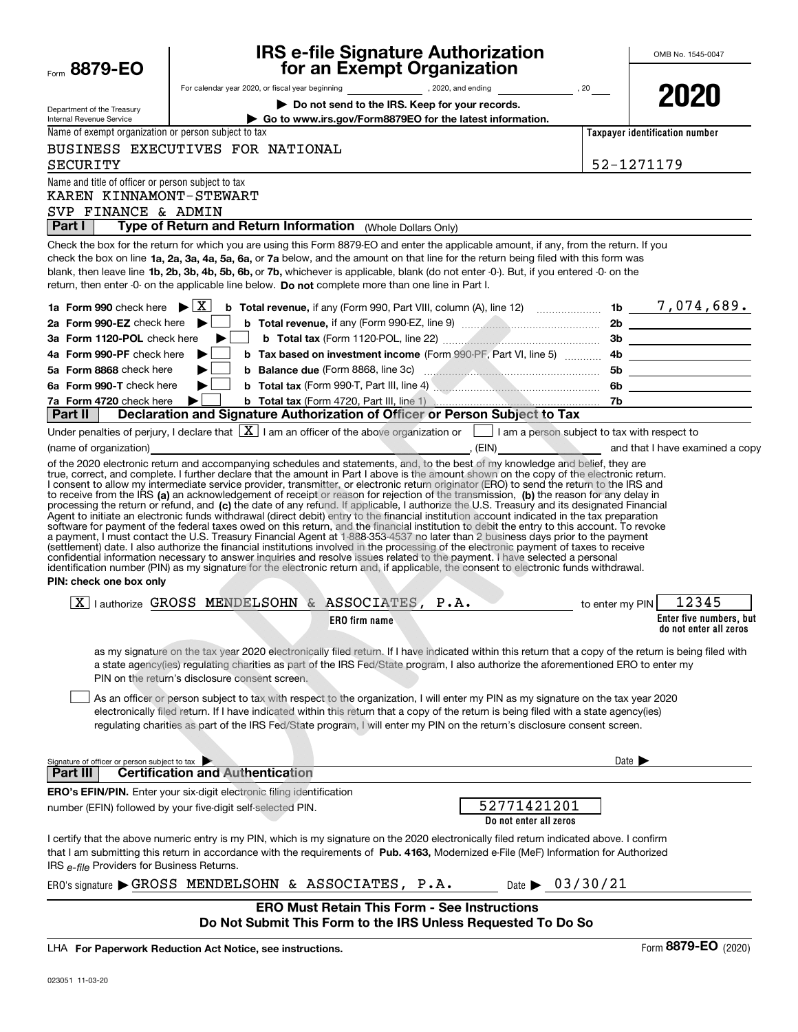|                                                                                  | <b>IRS e-file Signature Authorization</b>                                                                                                                                                                                                                                                                                                                                                                                                                                                                                                                                                                                                                                                                                                                                                                                                                                                                                                                                                       | OMB No. 1545-0047                                       |
|----------------------------------------------------------------------------------|-------------------------------------------------------------------------------------------------------------------------------------------------------------------------------------------------------------------------------------------------------------------------------------------------------------------------------------------------------------------------------------------------------------------------------------------------------------------------------------------------------------------------------------------------------------------------------------------------------------------------------------------------------------------------------------------------------------------------------------------------------------------------------------------------------------------------------------------------------------------------------------------------------------------------------------------------------------------------------------------------|---------------------------------------------------------|
| Form 8879-EO                                                                     | for an Exempt Organization                                                                                                                                                                                                                                                                                                                                                                                                                                                                                                                                                                                                                                                                                                                                                                                                                                                                                                                                                                      |                                                         |
|                                                                                  | For calendar year 2020, or fiscal year beginning and the set of the set of the set of the set of the set of the set of the set of the set of the set of the set of the set of the set of the set of the set of the set of the                                                                                                                                                                                                                                                                                                                                                                                                                                                                                                                                                                                                                                                                                                                                                                   | 2020                                                    |
| Department of the Treasury                                                       | Do not send to the IRS. Keep for your records.                                                                                                                                                                                                                                                                                                                                                                                                                                                                                                                                                                                                                                                                                                                                                                                                                                                                                                                                                  |                                                         |
| Internal Revenue Service<br>Name of exempt organization or person subject to tax | Go to www.irs.gov/Form8879EO for the latest information.                                                                                                                                                                                                                                                                                                                                                                                                                                                                                                                                                                                                                                                                                                                                                                                                                                                                                                                                        | Taxpayer identification number                          |
|                                                                                  | BUSINESS EXECUTIVES FOR NATIONAL                                                                                                                                                                                                                                                                                                                                                                                                                                                                                                                                                                                                                                                                                                                                                                                                                                                                                                                                                                |                                                         |
| SECURITY                                                                         |                                                                                                                                                                                                                                                                                                                                                                                                                                                                                                                                                                                                                                                                                                                                                                                                                                                                                                                                                                                                 | 52-1271179                                              |
| Name and title of officer or person subject to tax                               |                                                                                                                                                                                                                                                                                                                                                                                                                                                                                                                                                                                                                                                                                                                                                                                                                                                                                                                                                                                                 |                                                         |
| KAREN KINNAMONT-STEWART                                                          |                                                                                                                                                                                                                                                                                                                                                                                                                                                                                                                                                                                                                                                                                                                                                                                                                                                                                                                                                                                                 |                                                         |
| SVP FINANCE & ADMIN                                                              |                                                                                                                                                                                                                                                                                                                                                                                                                                                                                                                                                                                                                                                                                                                                                                                                                                                                                                                                                                                                 |                                                         |
| Part I                                                                           | Type of Return and Return Information (Whole Dollars Only)                                                                                                                                                                                                                                                                                                                                                                                                                                                                                                                                                                                                                                                                                                                                                                                                                                                                                                                                      |                                                         |
|                                                                                  | Check the box for the return for which you are using this Form 8879-EO and enter the applicable amount, if any, from the return. If you                                                                                                                                                                                                                                                                                                                                                                                                                                                                                                                                                                                                                                                                                                                                                                                                                                                         |                                                         |
|                                                                                  | check the box on line 1a, 2a, 3a, 4a, 5a, 6a, or 7a below, and the amount on that line for the return being filed with this form was                                                                                                                                                                                                                                                                                                                                                                                                                                                                                                                                                                                                                                                                                                                                                                                                                                                            |                                                         |
|                                                                                  | blank, then leave line 1b, 2b, 3b, 4b, 5b, 6b, or 7b, whichever is applicable, blank (do not enter -0-). But, if you entered -0- on the                                                                                                                                                                                                                                                                                                                                                                                                                                                                                                                                                                                                                                                                                                                                                                                                                                                         |                                                         |
|                                                                                  | return, then enter -0- on the applicable line below. Do not complete more than one line in Part I.                                                                                                                                                                                                                                                                                                                                                                                                                                                                                                                                                                                                                                                                                                                                                                                                                                                                                              |                                                         |
| 1a Form 990 check here $\blacktriangleright$ $\mid$ X $\mid$                     | <b>b</b> Total revenue, if any (Form 990, Part VIII, column (A), line 12) $\ldots$ 1b $\ldots$ 1b $\ldots$ 7, 074, 689.                                                                                                                                                                                                                                                                                                                                                                                                                                                                                                                                                                                                                                                                                                                                                                                                                                                                         |                                                         |
| 2a Form 990-EZ check here $\blacktriangleright$                                  |                                                                                                                                                                                                                                                                                                                                                                                                                                                                                                                                                                                                                                                                                                                                                                                                                                                                                                                                                                                                 |                                                         |
| 3a Form 1120-POL check here                                                      | ▶∣                                                                                                                                                                                                                                                                                                                                                                                                                                                                                                                                                                                                                                                                                                                                                                                                                                                                                                                                                                                              |                                                         |
| 4a Form 990-PF check here                                                        | ▶                                                                                                                                                                                                                                                                                                                                                                                                                                                                                                                                                                                                                                                                                                                                                                                                                                                                                                                                                                                               |                                                         |
| 5a Form 8868 check here                                                          |                                                                                                                                                                                                                                                                                                                                                                                                                                                                                                                                                                                                                                                                                                                                                                                                                                                                                                                                                                                                 |                                                         |
| 6a Form 990-T check here                                                         | <b>b</b> Total tax (Form 990-T, Part III, line 4) <b>Construction and Construction</b> 6b                                                                                                                                                                                                                                                                                                                                                                                                                                                                                                                                                                                                                                                                                                                                                                                                                                                                                                       |                                                         |
| 7a Form 4720 check here                                                          | <b>b</b> Total tax (Form 4720, Part III, line 1) <b>Construct Construct To To</b>                                                                                                                                                                                                                                                                                                                                                                                                                                                                                                                                                                                                                                                                                                                                                                                                                                                                                                               |                                                         |
| Part II                                                                          | Declaration and Signature Authorization of Officer or Person Subject to Tax                                                                                                                                                                                                                                                                                                                                                                                                                                                                                                                                                                                                                                                                                                                                                                                                                                                                                                                     |                                                         |
|                                                                                  | Under penalties of perjury, I declare that $\boxed{\mathbf{X}}$ I am an officer of the above organization or $\boxed{\phantom{\mathbf{X}}}$ I am a person subject to tax with respect to                                                                                                                                                                                                                                                                                                                                                                                                                                                                                                                                                                                                                                                                                                                                                                                                        |                                                         |
|                                                                                  | (name of organization) and that I have examined a copy of the state of organization) and that I have examined a copy<br>of the 2020 electronic return and accompanying schedules and statements, and, to the best of my knowledge and belief, they are                                                                                                                                                                                                                                                                                                                                                                                                                                                                                                                                                                                                                                                                                                                                          |                                                         |
| PIN: check one box only                                                          | processing the return or refund, and (c) the date of any refund. If applicable, I authorize the U.S. Treasury and its designated Financial<br>Agent to initiate an electronic funds withdrawal (direct debit) entry to the financial institution account indicated in the tax preparation<br>software for payment of the federal taxes owed on this return, and the financial institution to debit the entry to this account. To revoke<br>a payment, I must contact the U.S. Treasury Financial Agent at 1-888-353-4537 no later than 2 business days prior to the payment<br>(settlement) date. I also authorize the financial institutions involved in the processing of the electronic payment of taxes to receive<br>confidential information necessary to answer inquiries and resolve issues related to the payment. I have selected a personal<br>identification number (PIN) as my signature for the electronic return and, if applicable, the consent to electronic funds withdrawal. |                                                         |
|                                                                                  |                                                                                                                                                                                                                                                                                                                                                                                                                                                                                                                                                                                                                                                                                                                                                                                                                                                                                                                                                                                                 |                                                         |
|                                                                                  | $\boxed{\text{X}}$ lauthorize GROSS MENDELSOHN & ASSOCIATES, P.A.                                                                                                                                                                                                                                                                                                                                                                                                                                                                                                                                                                                                                                                                                                                                                                                                                                                                                                                               | $\sim$ to enter my PIN 12345<br>Enter five numbers, but |
|                                                                                  | <b>ERO</b> firm name                                                                                                                                                                                                                                                                                                                                                                                                                                                                                                                                                                                                                                                                                                                                                                                                                                                                                                                                                                            | do not enter all zeros                                  |
|                                                                                  | as my signature on the tax year 2020 electronically filed return. If I have indicated within this return that a copy of the return is being filed with<br>a state agency(ies) regulating charities as part of the IRS Fed/State program, I also authorize the aforementioned ERO to enter my<br>PIN on the return's disclosure consent screen.<br>As an officer or person subject to tax with respect to the organization, I will enter my PIN as my signature on the tax year 2020                                                                                                                                                                                                                                                                                                                                                                                                                                                                                                             |                                                         |
|                                                                                  | electronically filed return. If I have indicated within this return that a copy of the return is being filed with a state agency(ies)<br>regulating charities as part of the IRS Fed/State program, I will enter my PIN on the return's disclosure consent screen.                                                                                                                                                                                                                                                                                                                                                                                                                                                                                                                                                                                                                                                                                                                              |                                                         |
| Signature of officer or person subject to tax                                    |                                                                                                                                                                                                                                                                                                                                                                                                                                                                                                                                                                                                                                                                                                                                                                                                                                                                                                                                                                                                 | Date $\blacktriangleright$                              |
| Part III                                                                         | <b>Certification and Authentication</b>                                                                                                                                                                                                                                                                                                                                                                                                                                                                                                                                                                                                                                                                                                                                                                                                                                                                                                                                                         |                                                         |
|                                                                                  | <b>ERO's EFIN/PIN.</b> Enter your six-digit electronic filing identification                                                                                                                                                                                                                                                                                                                                                                                                                                                                                                                                                                                                                                                                                                                                                                                                                                                                                                                    |                                                         |
|                                                                                  | 52771421201<br>number (EFIN) followed by your five-digit self-selected PIN.<br>Do not enter all zeros                                                                                                                                                                                                                                                                                                                                                                                                                                                                                                                                                                                                                                                                                                                                                                                                                                                                                           |                                                         |
| IRS e-file Providers for Business Returns.                                       | I certify that the above numeric entry is my PIN, which is my signature on the 2020 electronically filed return indicated above. I confirm<br>that I am submitting this return in accordance with the requirements of Pub. 4163, Modernized e-File (MeF) Information for Authorized                                                                                                                                                                                                                                                                                                                                                                                                                                                                                                                                                                                                                                                                                                             |                                                         |
|                                                                                  | Date $\triangleright$ 03/30/21<br>ERO's signature GROSS MENDELSOHN & ASSOCIATES, P.A.                                                                                                                                                                                                                                                                                                                                                                                                                                                                                                                                                                                                                                                                                                                                                                                                                                                                                                           |                                                         |
|                                                                                  | <b>ERO Must Retain This Form - See Instructions</b>                                                                                                                                                                                                                                                                                                                                                                                                                                                                                                                                                                                                                                                                                                                                                                                                                                                                                                                                             |                                                         |
|                                                                                  | Do Not Submit This Form to the IRS Unless Requested To Do So                                                                                                                                                                                                                                                                                                                                                                                                                                                                                                                                                                                                                                                                                                                                                                                                                                                                                                                                    |                                                         |
|                                                                                  | LHA For Paperwork Reduction Act Notice, see instructions.                                                                                                                                                                                                                                                                                                                                                                                                                                                                                                                                                                                                                                                                                                                                                                                                                                                                                                                                       | Form 8879-EO (2020)                                     |
|                                                                                  |                                                                                                                                                                                                                                                                                                                                                                                                                                                                                                                                                                                                                                                                                                                                                                                                                                                                                                                                                                                                 |                                                         |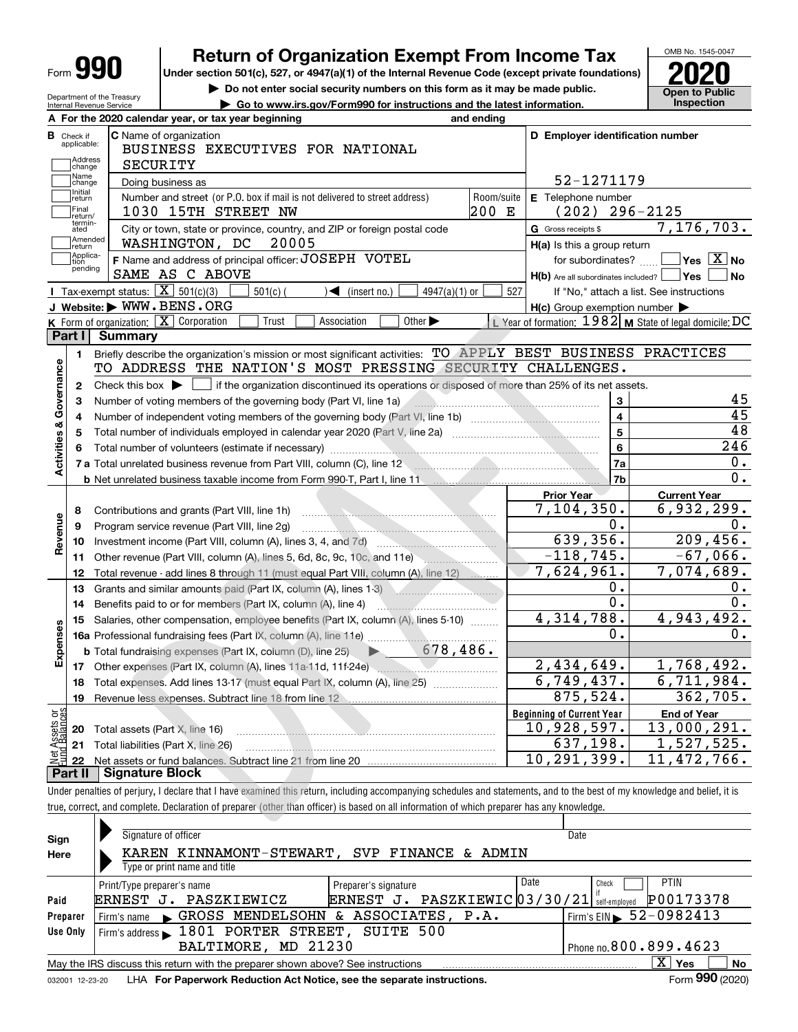| Form | т |
|------|---|
|------|---|

# **Return of Organization Exempt From Income Tax**

**Under section 501(c), 527, or 4947(a)(1) of the Internal Revenue Code (except private foundations) 2020**

**| Do not enter social security numbers on this form as it may be made public.**



Department of the Treasury Internal Revenue Service

| Internal Revenue Service |                                                     | Go to www.irs.gov/Form990 for instructions and the latest information. |                                          | <b>Inspection</b> |
|--------------------------|-----------------------------------------------------|------------------------------------------------------------------------|------------------------------------------|-------------------|
|                          | A For the 2020 calendar year, or tax year beginning | and ending                                                             |                                          |                   |
| Check if<br>annlicable:  | <b>C</b> Name of organization                       |                                                                        | <b>ID Employer identification number</b> |                   |

| в                       | Check if<br>applicable:     | <b>C</b> Name of organization<br>BUSINESS EXECUTIVES FOR NATIONAL                                                                           |            | D Employer identification number                    |                                                           |
|-------------------------|-----------------------------|---------------------------------------------------------------------------------------------------------------------------------------------|------------|-----------------------------------------------------|-----------------------------------------------------------|
|                         | Address<br> change<br>Name  | <b>SECURITY</b>                                                                                                                             |            | 52-1271179                                          |                                                           |
|                         | change<br>Initial           | Doing business as                                                                                                                           |            |                                                     |                                                           |
|                         | return<br>Final             | Number and street (or P.O. box if mail is not delivered to street address)                                                                  | Room/suite | E Telephone number                                  |                                                           |
|                         | lreturn/                    | 1030 15TH STREET NW                                                                                                                         | 200 E      | $(202)$ 296-2125                                    |                                                           |
|                         | termin-<br>ated<br>Amended  | City or town, state or province, country, and ZIP or foreign postal code                                                                    |            | G Gross receipts \$                                 | 7,176,703.                                                |
|                         | return                      | WASHINGTON, DC<br>20005                                                                                                                     |            | $H(a)$ is this a group return                       |                                                           |
|                         | Applica-<br>tion<br>pending | F Name and address of principal officer: JOSEPH VOTEL                                                                                       |            | for subordinates?                                   | $\sqrt{}$ Yes $\sqrt{}$ X $\sqrt{}$ No                    |
|                         |                             | SAME AS C ABOVE                                                                                                                             |            | $H(b)$ Are all subordinates included? $\Box$ Yes    | No                                                        |
|                         |                             | Tax-exempt status: $\boxed{\mathbf{X}}$ 501(c)(3)<br>$501(c)$ (<br>$\sqrt{\bullet}$ (insert no.)<br>$4947(a)(1)$ or                         | 527        |                                                     | If "No," attach a list. See instructions                  |
|                         |                             | J Website: WWW.BENS.ORG                                                                                                                     |            | $H(c)$ Group exemption number $\blacktriangleright$ |                                                           |
|                         |                             | K Form of organization: $\boxed{\mathbf{X}}$ Corporation<br>Association<br>Other $\blacktriangleright$<br>Trust                             |            |                                                     | L Year of formation: $1982$ M State of legal domicile: DC |
|                         | Part I                      | <b>Summary</b>                                                                                                                              |            |                                                     |                                                           |
|                         | 1.                          | Briefly describe the organization's mission or most significant activities: TO APPLY BEST BUSINESS PRACTICES                                |            |                                                     |                                                           |
| Activities & Governance |                             | TO ADDRESS THE NATION'S MOST PRESSING SECURITY CHALLENGES.                                                                                  |            |                                                     |                                                           |
|                         | $\mathbf{2}$                | Check this box $\blacktriangleright$ $\Box$ if the organization discontinued its operations or disposed of more than 25% of its net assets. |            |                                                     |                                                           |
|                         | 3                           | Number of voting members of the governing body (Part VI, line 1a)                                                                           |            | 3                                                   | 45                                                        |
|                         | 4                           |                                                                                                                                             |            | $\overline{4}$                                      | 45                                                        |
|                         | 5                           |                                                                                                                                             |            | $\overline{5}$                                      | 48                                                        |
|                         | 6                           |                                                                                                                                             |            | 6                                                   | $\overline{246}$                                          |
|                         |                             | 7 a Total unrelated business revenue from Part VIII, column (C), line 12                                                                    |            | 7a                                                  | 0.                                                        |
|                         |                             | <b>b</b> Net unrelated business taxable income from Form 990-T, Part I, line 11 <b>manual</b> context in the set of the Net                 |            | 7 <sub>b</sub>                                      | $\overline{0}$ .                                          |
|                         |                             |                                                                                                                                             |            | <b>Prior Year</b>                                   | <b>Current Year</b>                                       |
|                         | 8                           | Contributions and grants (Part VIII, line 1h)                                                                                               |            | 7,104,350.                                          | 6,932,299.                                                |
|                         | 9                           | Program service revenue (Part VIII, line 2g)                                                                                                |            | $0$ .                                               | 0.                                                        |
| Revenue                 | 10                          |                                                                                                                                             |            | 639,356.                                            | 209,456.                                                  |
|                         | 11                          | Other revenue (Part VIII, column (A), lines 5, 6d, 8c, 9c, 10c, and 11e)                                                                    |            | $-118, 745.$                                        | $\overline{-67}$ , 066.                                   |
|                         | 12                          | Total revenue - add lines 8 through 11 (must equal Part VIII, column (A), line 12)                                                          |            | 7,624,961.                                          | 7,074,689.                                                |
|                         | 13                          | Grants and similar amounts paid (Part IX, column (A), lines 1-3)                                                                            |            | О.                                                  | 0.                                                        |
|                         | 14                          | Benefits paid to or for members (Part IX, column (A), line 4)                                                                               |            | $\overline{0}$ .                                    | 0.                                                        |
|                         | 15                          | Salaries, other compensation, employee benefits (Part IX, column (A), lines 5-10)                                                           |            | 4,314,788.                                          | 4,943,492.                                                |
|                         |                             |                                                                                                                                             |            | 0.                                                  | 0.                                                        |
| Expenses                |                             | 678,486.<br><b>b</b> Total fundraising expenses (Part IX, column (D), line 25)                                                              |            |                                                     |                                                           |
|                         |                             | 17 Other expenses (Part IX, column (A), lines 11a-11d, 11f-24e)                                                                             |            | 2,434,649.                                          | 1,768,492.                                                |
|                         |                             |                                                                                                                                             |            | 6,749,437.                                          | 6,711,984.                                                |
|                         | 18                          | Total expenses. Add lines 13-17 (must equal Part IX, column (A), line 25)                                                                   |            | 875, 524.                                           | 362,705.                                                  |
|                         | 19                          |                                                                                                                                             |            |                                                     |                                                           |
| وَق                     |                             |                                                                                                                                             |            | <b>Beginning of Current Year</b><br>10,928,597.     | <b>End of Year</b><br>13,000,291.                         |
|                         |                             | <b>20</b> Total assets (Part X, line 16)                                                                                                    |            | 637,198.                                            | 1,527,525.                                                |
|                         |                             | 21 Total liabilities (Part X, line 26)                                                                                                      |            |                                                     |                                                           |
|                         | 22<br>Part II               | <b>Signature Block</b>                                                                                                                      |            | 10, 291, 399.                                       | 11,472,766.                                               |
|                         |                             |                                                                                                                                             |            |                                                     |                                                           |

Under penalties of perjury, I declare that I have examined this return, including accompanying schedules and statements, and to the best of my knowledge and belief, it is true, correct, and complete. Declaration of preparer (other than officer) is based on all information of which preparer has any knowledge.

| Sign     | Signature of officer                                                                                          | Date                                   |  |  |  |  |  |  |  |
|----------|---------------------------------------------------------------------------------------------------------------|----------------------------------------|--|--|--|--|--|--|--|
| Here     | KAREN KINNAMONT-STEWART, SVP FINANCE & ADMIN                                                                  |                                        |  |  |  |  |  |  |  |
|          | Type or print name and title                                                                                  |                                        |  |  |  |  |  |  |  |
|          | Date<br>Preparer's signature<br>Print/Type preparer's name                                                    | <b>PTIN</b><br>Check                   |  |  |  |  |  |  |  |
| Paid     | ERNEST J. PASZKIEWIC03/30/21<br>PASZKIEWICZ<br>ERNEST J.                                                      | P00173378<br>self-employed             |  |  |  |  |  |  |  |
| Preparer | Firm's name GROSS MENDELSOHN & ASSOCIATES, P.A.                                                               | Firm's EIN $\triangleright$ 52-0982413 |  |  |  |  |  |  |  |
| Use Only | Firm's address 1801 PORTER STREET, SUITE 500                                                                  |                                        |  |  |  |  |  |  |  |
|          | MD 21230<br>BALTIMORE,                                                                                        | Phone no. 800.899.4623                 |  |  |  |  |  |  |  |
|          | $X \mid Y$ es<br><b>No</b><br>May the IRS discuss this return with the preparer shown above? See instructions |                                        |  |  |  |  |  |  |  |
|          | Form 990 (2020)<br>LHA For Paperwork Reduction Act Notice, see the separate instructions.<br>032001 12-23-20  |                                        |  |  |  |  |  |  |  |
|          |                                                                                                               |                                        |  |  |  |  |  |  |  |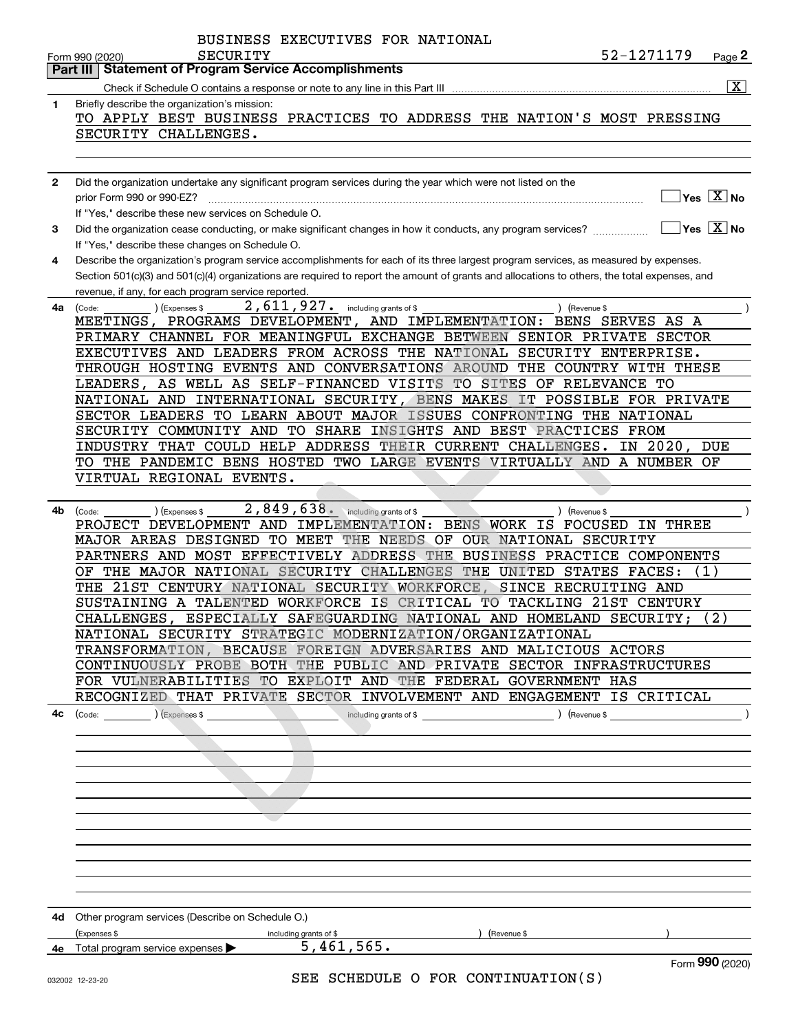|              | BUSINESS EXECUTIVES FOR NATIONAL                                                                                                             |
|--------------|----------------------------------------------------------------------------------------------------------------------------------------------|
|              | 52-1271179<br>SECURITY<br>Page 2<br>Form 990 (2020)                                                                                          |
|              | <b>Statement of Program Service Accomplishments</b><br>Part III I                                                                            |
|              | $\overline{\mathbf{x}}$                                                                                                                      |
| 1            | Briefly describe the organization's mission:                                                                                                 |
|              | TO APPLY BEST BUSINESS PRACTICES TO ADDRESS THE NATION'S MOST PRESSING                                                                       |
|              | SECURITY CHALLENGES.                                                                                                                         |
|              |                                                                                                                                              |
|              |                                                                                                                                              |
| $\mathbf{2}$ | Did the organization undertake any significant program services during the year which were not listed on the                                 |
|              | $\overline{\ }$ Yes $\overline{\phantom{X}}$ No<br>prior Form 990 or 990-EZ?                                                                 |
|              | If "Yes," describe these new services on Schedule O.<br>$\sqrt{}$ Yes $\sqrt{}$ X $\sqrt{}$ No                                               |
| 3            |                                                                                                                                              |
|              | If "Yes," describe these changes on Schedule O.                                                                                              |
| 4            | Describe the organization's program service accomplishments for each of its three largest program services, as measured by expenses.         |
|              | Section 501(c)(3) and 501(c)(4) organizations are required to report the amount of grants and allocations to others, the total expenses, and |
|              | revenue, if any, for each program service reported.<br>2,611,927. including grants of \$                                                     |
| 4a           | (Expenses \$<br>) (Revenue \$<br>(Code:<br>MEETINGS, PROGRAMS DEVELOPMENT, AND IMPLEMENTATION: BENS SERVES AS A                              |
|              | PRIMARY CHANNEL FOR MEANINGFUL EXCHANGE BETWEEN SENIOR PRIVATE SECTOR                                                                        |
|              | EXECUTIVES AND LEADERS FROM ACROSS THE NATIONAL SECURITY ENTERPRISE.                                                                         |
|              | THROUGH HOSTING EVENTS AND CONVERSATIONS AROUND THE COUNTRY WITH THESE                                                                       |
|              | LEADERS, AS WELL AS SELF-FINANCED VISITS TO SITES OF RELEVANCE TO                                                                            |
|              | NATIONAL AND INTERNATIONAL SECURITY, BENS MAKES IT POSSIBLE FOR PRIVATE                                                                      |
|              | SECTOR LEADERS TO LEARN ABOUT MAJOR ISSUES CONFRONTING THE NATIONAL                                                                          |
|              | SECURITY COMMUNITY AND TO SHARE INSIGHTS AND BEST PRACTICES FROM                                                                             |
|              | INDUSTRY THAT COULD HELP ADDRESS THEIR CURRENT CHALLENGES.<br>IN 2020,<br>DUE                                                                |
|              | TO THE PANDEMIC BENS HOSTED TWO LARGE EVENTS VIRTUALLY AND A NUMBER OF                                                                       |
|              | VIRTUAL REGIONAL EVENTS.                                                                                                                     |
|              |                                                                                                                                              |
| 4b           | $2,849,638$ and $\omega$ including grants of \$<br>) (Revenue \$<br>(Code:<br>) (Expenses \$                                                 |
|              | PROJECT DEVELOPMENT AND IMPLEMENTATION: BENS WORK IS FOCUSED IN THREE                                                                        |
|              | MAJOR AREAS DESIGNED TO MEET THE NEEDS OF OUR NATIONAL SECURITY                                                                              |
|              | PARTNERS AND MOST EFFECTIVELY ADDRESS THE<br>BUSINESS PRACTICE COMPONENTS                                                                    |
|              | THE MAJOR NATIONAL SECURITY CHALLENGES THE UNITED STATES FACES:<br>(1)<br>ОF                                                                 |
|              | THE 21ST CENTURY NATIONAL SECURITY WORKFORCE,<br>SINCE RECRUITING AND                                                                        |
|              | SUSTAINING A TALENTED WORKFORCE IS CRITICAL TO TACKLING 21ST CENTURY                                                                         |
|              | ESPECIALLY SAFEGUARDING NATIONAL AND HOMELAND SECURITY;<br>(2)<br>CHALLENGES,                                                                |
|              | NATIONAL SECURITY STRATEGIC MODERNIZATION/ORGANIZATIONAL                                                                                     |
|              | TRANSFORMATION, BECAUSE FOREIGN ADVERSARIES AND MALICIOUS ACTORS                                                                             |
|              | CONTINUOUSLY PROBE BOTH THE PUBLIC AND PRIVATE SECTOR INFRASTRUCTURES                                                                        |
|              | FOR VULNERABILITIES TO EXPLOIT AND THE FEDERAL GOVERNMENT HAS                                                                                |
|              | RECOGNIZED THAT PRIVATE SECTOR INVOLVEMENT AND ENGAGEMENT IS CRITICAL                                                                        |
| 4с           | $\text{(Code:} \qquad \qquad \text{)} \text{ (Express $$}$                                                                                   |
|              |                                                                                                                                              |
|              |                                                                                                                                              |
|              |                                                                                                                                              |
|              |                                                                                                                                              |
|              |                                                                                                                                              |
|              |                                                                                                                                              |
|              |                                                                                                                                              |
|              |                                                                                                                                              |
|              |                                                                                                                                              |
|              |                                                                                                                                              |
|              |                                                                                                                                              |
|              | 4d Other program services (Describe on Schedule O.)                                                                                          |
|              | (Expenses \$<br>) (Revenue \$<br>including grants of \$                                                                                      |
|              | 5,461,565.<br>4e Total program service expenses                                                                                              |
|              | Form 990 (2020)                                                                                                                              |
|              | SEE SCHEDIILE O FOR CONTINUATION(S)                                                                                                          |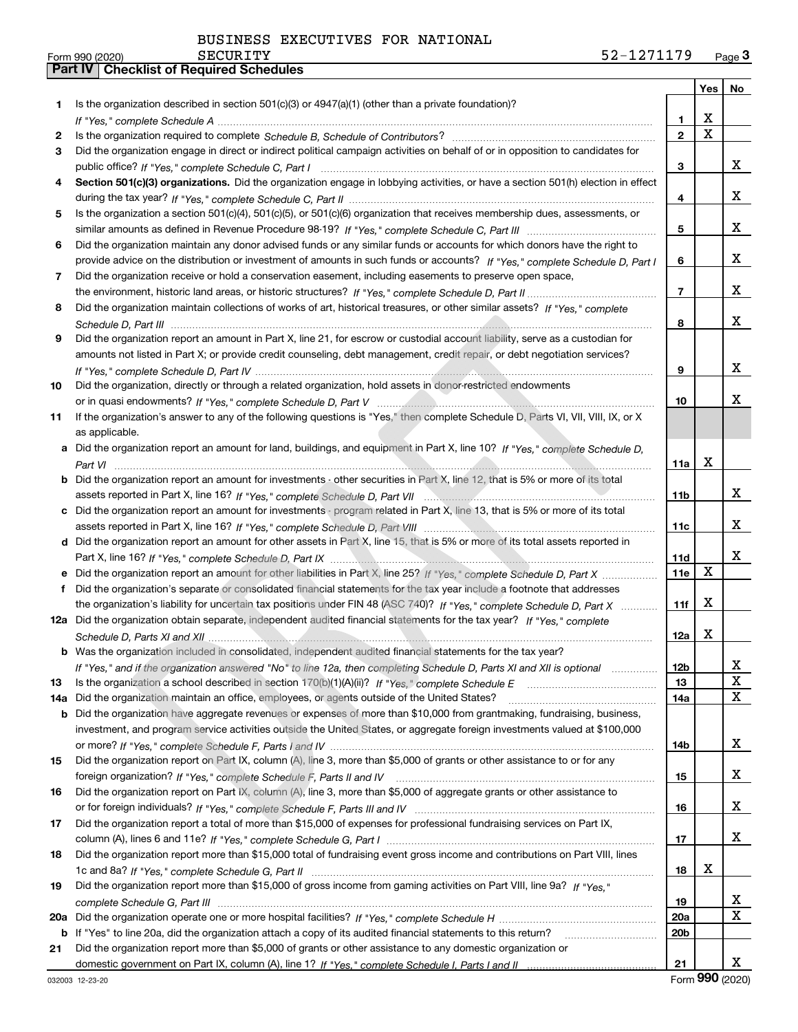|     |                                                                                                                                                    |                 | Yes $ $                 | No           |
|-----|----------------------------------------------------------------------------------------------------------------------------------------------------|-----------------|-------------------------|--------------|
| 1   | Is the organization described in section $501(c)(3)$ or $4947(a)(1)$ (other than a private foundation)?                                            |                 |                         |              |
|     |                                                                                                                                                    | 1.              | х                       |              |
| 2   |                                                                                                                                                    | $\mathbf{2}$    | $\overline{\mathbf{x}}$ |              |
| 3   | Did the organization engage in direct or indirect political campaign activities on behalf of or in opposition to candidates for                    |                 |                         |              |
|     |                                                                                                                                                    | 3               |                         | x            |
| 4   | Section 501(c)(3) organizations. Did the organization engage in lobbying activities, or have a section 501(h) election in effect                   |                 |                         |              |
|     |                                                                                                                                                    | 4               |                         | x            |
| 5   | Is the organization a section 501(c)(4), 501(c)(5), or 501(c)(6) organization that receives membership dues, assessments, or                       |                 |                         |              |
|     |                                                                                                                                                    | 5               |                         | x            |
| 6   | Did the organization maintain any donor advised funds or any similar funds or accounts for which donors have the right to                          |                 |                         |              |
|     | provide advice on the distribution or investment of amounts in such funds or accounts? If "Yes," complete Schedule D, Part I                       | 6               |                         | x            |
| 7   | Did the organization receive or hold a conservation easement, including easements to preserve open space,                                          |                 |                         |              |
|     |                                                                                                                                                    | $\overline{7}$  |                         | x            |
| 8   | Did the organization maintain collections of works of art, historical treasures, or other similar assets? If "Yes," complete                       |                 |                         |              |
|     |                                                                                                                                                    | 8               |                         | x            |
| 9   | Did the organization report an amount in Part X, line 21, for escrow or custodial account liability, serve as a custodian for                      |                 |                         |              |
|     | amounts not listed in Part X; or provide credit counseling, debt management, credit repair, or debt negotiation services?                          |                 |                         |              |
|     |                                                                                                                                                    | 9               |                         | x            |
| 10  | Did the organization, directly or through a related organization, hold assets in donor-restricted endowments                                       |                 |                         | x            |
|     |                                                                                                                                                    | 10              |                         |              |
| 11  | If the organization's answer to any of the following questions is "Yes," then complete Schedule D, Parts VI, VII, VIII, IX, or X<br>as applicable. |                 |                         |              |
|     | Did the organization report an amount for land, buildings, and equipment in Part X, line 10? If "Yes," complete Schedule D,                        |                 |                         |              |
|     |                                                                                                                                                    | 11a             | х                       |              |
| b   | Did the organization report an amount for investments - other securities in Part X, line 12, that is 5% or more of its total                       |                 |                         |              |
|     |                                                                                                                                                    | 11 <sub>b</sub> |                         | x            |
| с   | Did the organization report an amount for investments - program related in Part X, line 13, that is 5% or more of its total                        |                 |                         |              |
|     |                                                                                                                                                    | 11c             |                         | x            |
|     | d Did the organization report an amount for other assets in Part X, line 15, that is 5% or more of its total assets reported in                    |                 |                         |              |
|     |                                                                                                                                                    | 11d             |                         | x            |
|     | Did the organization report an amount for other liabilities in Part X, line 25? If "Yes," complete Schedule D, Part X                              | 11e             | X                       |              |
| f   | Did the organization's separate or consolidated financial statements for the tax year include a footnote that addresses                            |                 |                         |              |
|     | the organization's liability for uncertain tax positions under FIN 48 (ASC 740)? If "Yes," complete Schedule D, Part X                             | 11f             | X                       |              |
|     | 12a Did the organization obtain separate, independent audited financial statements for the tax year? If "Yes," complete                            |                 |                         |              |
|     |                                                                                                                                                    | 12a             | X                       |              |
|     | <b>b</b> Was the organization included in consolidated, independent audited financial statements for the tax year?                                 |                 |                         |              |
|     | If "Yes," and if the organization answered "No" to line 12a, then completing Schedule D, Parts XI and XII is optional                              | 12 <sub>b</sub> |                         | 41           |
| 13  | Is the organization a school described in section 170(b)(1)(A)(ii)? If "Yes," complete Schedule E                                                  | 13              |                         | X            |
| 14a | Did the organization maintain an office, employees, or agents outside of the United States?                                                        | 14a             |                         | X            |
| b   | Did the organization have aggregate revenues or expenses of more than \$10,000 from grantmaking, fundraising, business,                            |                 |                         |              |
|     | investment, and program service activities outside the United States, or aggregate foreign investments valued at \$100,000                         |                 |                         |              |
|     |                                                                                                                                                    | 14b             |                         | X            |
| 15  | Did the organization report on Part IX, column (A), line 3, more than \$5,000 of grants or other assistance to or for any                          |                 |                         |              |
|     |                                                                                                                                                    | 15              |                         | X            |
| 16  | Did the organization report on Part IX, column (A), line 3, more than \$5,000 of aggregate grants or other assistance to                           |                 |                         | X            |
| 17  | Did the organization report a total of more than \$15,000 of expenses for professional fundraising services on Part IX,                            | 16              |                         |              |
|     |                                                                                                                                                    | 17              |                         | X            |
| 18  | Did the organization report more than \$15,000 total of fundraising event gross income and contributions on Part VIII, lines                       |                 |                         |              |
|     |                                                                                                                                                    | 18              | x                       |              |
| 19  | Did the organization report more than \$15,000 of gross income from gaming activities on Part VIII, line 9a? If "Yes."                             |                 |                         |              |
|     |                                                                                                                                                    | 19              |                         | x            |
| 20a |                                                                                                                                                    | 20a             |                         | $\mathbf{X}$ |
|     | b If "Yes" to line 20a, did the organization attach a copy of its audited financial statements to this return?                                     | 20 <sub>b</sub> |                         |              |
| 21  | Did the organization report more than \$5,000 of grants or other assistance to any domestic organization or                                        |                 |                         |              |
|     |                                                                                                                                                    | 21              |                         | X.           |

Form (2020) **990**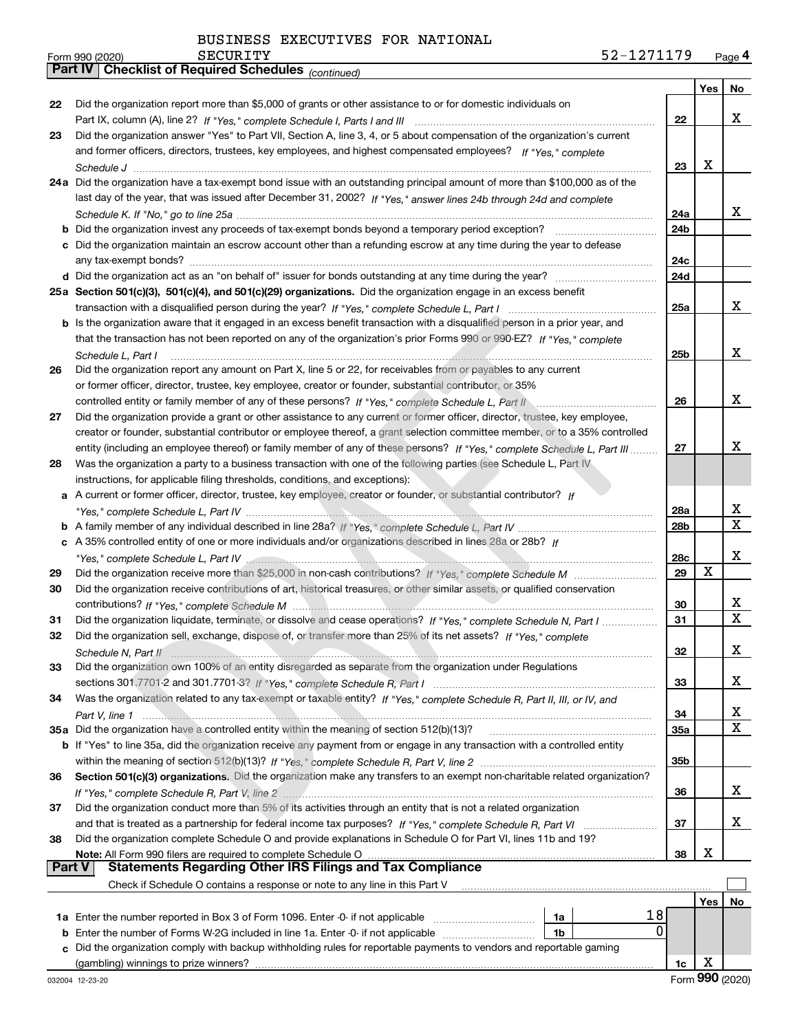*(continued)*

|               |                                                                                                                                                                                                                                              |     | Yes | No |
|---------------|----------------------------------------------------------------------------------------------------------------------------------------------------------------------------------------------------------------------------------------------|-----|-----|----|
| 22            | Did the organization report more than \$5,000 of grants or other assistance to or for domestic individuals on                                                                                                                                |     |     |    |
|               |                                                                                                                                                                                                                                              | 22  |     | x  |
| 23            | Did the organization answer "Yes" to Part VII, Section A, line 3, 4, or 5 about compensation of the organization's current                                                                                                                   |     |     |    |
|               | and former officers, directors, trustees, key employees, and highest compensated employees? If "Yes," complete                                                                                                                               |     |     |    |
|               |                                                                                                                                                                                                                                              | 23  | X   |    |
|               | 24a Did the organization have a tax-exempt bond issue with an outstanding principal amount of more than \$100,000 as of the                                                                                                                  |     |     |    |
|               | last day of the year, that was issued after December 31, 2002? If "Yes," answer lines 24b through 24d and complete                                                                                                                           |     |     |    |
|               |                                                                                                                                                                                                                                              | 24a |     | x  |
|               | <b>b</b> Did the organization invest any proceeds of tax-exempt bonds beyond a temporary period exception?                                                                                                                                   | 24b |     |    |
|               | c Did the organization maintain an escrow account other than a refunding escrow at any time during the year to defease                                                                                                                       | 24c |     |    |
|               |                                                                                                                                                                                                                                              | 24d |     |    |
|               | 25a Section 501(c)(3), 501(c)(4), and 501(c)(29) organizations. Did the organization engage in an excess benefit                                                                                                                             |     |     |    |
|               |                                                                                                                                                                                                                                              | 25a |     | x  |
|               | b Is the organization aware that it engaged in an excess benefit transaction with a disqualified person in a prior year, and                                                                                                                 |     |     |    |
|               | that the transaction has not been reported on any of the organization's prior Forms 990 or 990-EZ? If "Yes," complete                                                                                                                        |     |     |    |
|               | Schedule L, Part I                                                                                                                                                                                                                           | 25b |     | x  |
| 26            | Did the organization report any amount on Part X, line 5 or 22, for receivables from or payables to any current                                                                                                                              |     |     |    |
|               | or former officer, director, trustee, key employee, creator or founder, substantial contributor, or 35%                                                                                                                                      |     |     |    |
|               | controlled entity or family member of any of these persons? If "Yes," complete Schedule L, Part II                                                                                                                                           | 26  |     | x  |
| 27            | Did the organization provide a grant or other assistance to any current or former officer, director, trustee, key employee,                                                                                                                  |     |     |    |
|               | creator or founder, substantial contributor or employee thereof, a grant selection committee member, or to a 35% controlled                                                                                                                  |     |     |    |
|               | entity (including an employee thereof) or family member of any of these persons? If "Yes," complete Schedule L, Part III                                                                                                                     | 27  |     | x  |
| 28            | Was the organization a party to a business transaction with one of the following parties (see Schedule L, Part IV                                                                                                                            |     |     |    |
|               | instructions, for applicable filing thresholds, conditions, and exceptions):                                                                                                                                                                 |     |     |    |
|               | a A current or former officer, director, trustee, key employee, creator or founder, or substantial contributor? If                                                                                                                           |     |     |    |
|               |                                                                                                                                                                                                                                              | 28a |     | х  |
|               |                                                                                                                                                                                                                                              | 28b |     | x  |
|               | c A 35% controlled entity of one or more individuals and/or organizations described in lines 28a or 28b? If                                                                                                                                  |     |     |    |
|               | "Yes," complete Schedule L, Part IV (2000) (2000) (2000) (2000) (2000) (2000) (2000) (2000) (2000) (2000) (200                                                                                                                               | 28c |     | х  |
| 29            |                                                                                                                                                                                                                                              | 29  | X   |    |
| 30            | Did the organization receive contributions of art, historical treasures, or other similar assets, or qualified conservation                                                                                                                  |     |     |    |
|               |                                                                                                                                                                                                                                              | 30  |     | х  |
| 31            | Did the organization liquidate, terminate, or dissolve and cease operations? If "Yes," complete Schedule N, Part I                                                                                                                           | 31  |     | X  |
| 32            | Did the organization sell, exchange, dispose of, or transfer more than 25% of its net assets? If "Yes," complete                                                                                                                             |     |     |    |
|               |                                                                                                                                                                                                                                              | 32  |     | х  |
| 33            | Did the organization own 100% of an entity disregarded as separate from the organization under Regulations                                                                                                                                   |     |     |    |
|               |                                                                                                                                                                                                                                              | 33  |     | х  |
| 34            | Was the organization related to any tax-exempt or taxable entity? If "Yes," complete Schedule R, Part II, III, or IV, and                                                                                                                    |     |     |    |
|               |                                                                                                                                                                                                                                              | 34  |     | х  |
|               | 35a Did the organization have a controlled entity within the meaning of section 512(b)(13)?                                                                                                                                                  | 35a |     | х  |
|               | b If "Yes" to line 35a, did the organization receive any payment from or engage in any transaction with a controlled entity                                                                                                                  |     |     |    |
|               |                                                                                                                                                                                                                                              | 35b |     |    |
| 36            | Section 501(c)(3) organizations. Did the organization make any transfers to an exempt non-charitable related organization?                                                                                                                   |     |     |    |
|               |                                                                                                                                                                                                                                              | 36  |     | х  |
| 37            | Did the organization conduct more than 5% of its activities through an entity that is not a related organization                                                                                                                             |     |     |    |
|               |                                                                                                                                                                                                                                              | 37  |     | х  |
| 38            | Did the organization complete Schedule O and provide explanations in Schedule O for Part VI, lines 11b and 19?                                                                                                                               |     |     |    |
| <b>Part V</b> | Note: All Form 990 filers are required to complete Schedule O<br>الله المعالجة السابقة المعالجة المستخدمة المستخدمة المستخدمة المستخدمة المستخدمة المستخدمة المستخدمة المستخدمة<br>Statements Regarding Other IRS Filings and Tax Compliance | 38  | х   |    |
|               | Check if Schedule O contains a response or note to any line in this Part V                                                                                                                                                                   |     |     |    |
|               |                                                                                                                                                                                                                                              |     | Yes | No |
|               | 18<br>1a                                                                                                                                                                                                                                     |     |     |    |
| b             | 0<br>Enter the number of Forms W-2G included in line 1a. Enter -0- if not applicable<br>1b                                                                                                                                                   |     |     |    |
|               | Did the organization comply with backup withholding rules for reportable payments to vendors and reportable gaming                                                                                                                           |     |     |    |
|               |                                                                                                                                                                                                                                              | 1c  | х   |    |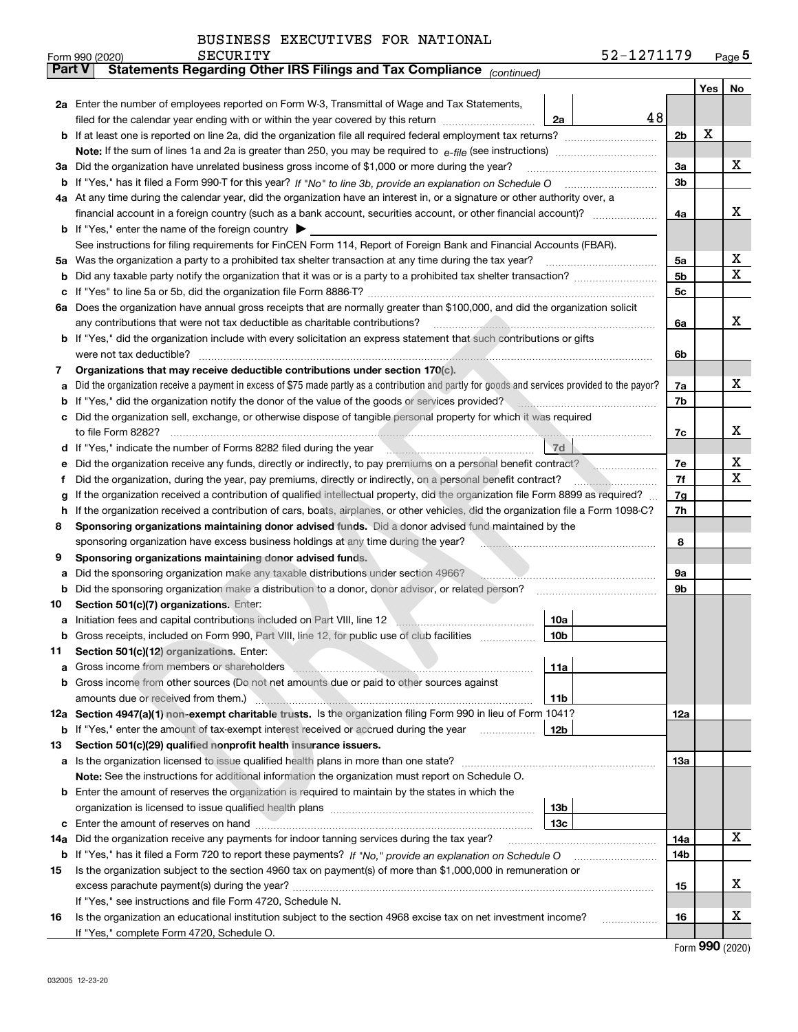| BUSINESS EXECUTIVES FOR NATIONAL |
|----------------------------------|
|----------------------------------|

|               | SECURITY<br>Form 990 (2020)                                                                                                                                                                                                                      |                 | 52-1271179 |                |     | Page $5$ |
|---------------|--------------------------------------------------------------------------------------------------------------------------------------------------------------------------------------------------------------------------------------------------|-----------------|------------|----------------|-----|----------|
| <b>Part V</b> | Statements Regarding Other IRS Filings and Tax Compliance (continued)                                                                                                                                                                            |                 |            |                |     |          |
|               |                                                                                                                                                                                                                                                  |                 |            |                | Yes | No       |
|               | 2a Enter the number of employees reported on Form W-3, Transmittal of Wage and Tax Statements,                                                                                                                                                   |                 |            |                |     |          |
|               | filed for the calendar year ending with or within the year covered by this return <i>manumumumum</i>                                                                                                                                             | 2a              | 48         |                |     |          |
|               |                                                                                                                                                                                                                                                  |                 |            | 2 <sub>b</sub> | х   |          |
|               |                                                                                                                                                                                                                                                  |                 |            |                |     |          |
| За            | Did the organization have unrelated business gross income of \$1,000 or more during the year?                                                                                                                                                    |                 |            | 3a             |     | х        |
|               |                                                                                                                                                                                                                                                  |                 |            | 3b             |     |          |
|               | 4a At any time during the calendar year, did the organization have an interest in, or a signature or other authority over, a                                                                                                                     |                 |            |                |     |          |
|               |                                                                                                                                                                                                                                                  |                 |            | 4a             |     | x        |
|               | <b>b</b> If "Yes," enter the name of the foreign country $\blacktriangleright$                                                                                                                                                                   |                 |            |                |     |          |
|               | See instructions for filing requirements for FinCEN Form 114, Report of Foreign Bank and Financial Accounts (FBAR).                                                                                                                              |                 |            |                |     |          |
| 5a            | Was the organization a party to a prohibited tax shelter transaction at any time during the tax year?                                                                                                                                            |                 |            | 5a             |     | х        |
| b             |                                                                                                                                                                                                                                                  |                 |            | 5 <sub>b</sub> |     | X        |
| с             |                                                                                                                                                                                                                                                  |                 |            | 5c             |     |          |
|               | 6a Does the organization have annual gross receipts that are normally greater than \$100,000, and did the organization solicit                                                                                                                   |                 |            |                |     |          |
|               | any contributions that were not tax deductible as charitable contributions?                                                                                                                                                                      |                 |            | 6a             |     | x        |
|               | b If "Yes," did the organization include with every solicitation an express statement that such contributions or gifts                                                                                                                           |                 |            |                |     |          |
|               | were not tax deductible?                                                                                                                                                                                                                         |                 |            | 6b             |     |          |
| 7             | Organizations that may receive deductible contributions under section $170(c)$ .                                                                                                                                                                 |                 |            |                |     |          |
| a             | Did the organization receive a payment in excess of \$75 made partly as a contribution and partly for goods and services provided to the payor?                                                                                                  |                 |            | 7a             |     | x        |
| b             | If "Yes," did the organization notify the donor of the value of the goods or services provided?                                                                                                                                                  |                 |            | 7b             |     |          |
|               | Did the organization sell, exchange, or otherwise dispose of tangible personal property for which it was required                                                                                                                                |                 |            |                |     | x        |
|               |                                                                                                                                                                                                                                                  |                 |            | 7c             |     |          |
| d             |                                                                                                                                                                                                                                                  | 7d              |            |                |     | х        |
| е             | Did the organization receive any funds, directly or indirectly, to pay premiums on a personal benefit contract?                                                                                                                                  |                 |            | 7e<br>7f       |     | X        |
| f             | Did the organization, during the year, pay premiums, directly or indirectly, on a personal benefit contract?<br>If the organization received a contribution of qualified intellectual property, did the organization file Form 8899 as required? |                 |            | 7g             |     |          |
| g<br>h.       | If the organization received a contribution of cars, boats, airplanes, or other vehicles, did the organization file a Form 1098-C?                                                                                                               |                 |            | 7h             |     |          |
| 8             | Sponsoring organizations maintaining donor advised funds. Did a donor advised fund maintained by the                                                                                                                                             |                 |            |                |     |          |
|               | sponsoring organization have excess business holdings at any time during the year?                                                                                                                                                               |                 |            | 8              |     |          |
| 9             | Sponsoring organizations maintaining donor advised funds.                                                                                                                                                                                        |                 |            |                |     |          |
| a             | Did the sponsoring organization make any taxable distributions under section 4966?                                                                                                                                                               |                 |            | 9а             |     |          |
| b             | Did the sponsoring organization make a distribution to a donor, donor advisor, or related person?                                                                                                                                                |                 |            | 9b             |     |          |
| 10            | Section 501(c)(7) organizations. Enter:                                                                                                                                                                                                          |                 |            |                |     |          |
|               | a Initiation fees and capital contributions included on Part VIII, line 12 \\\ \\ \\ \\ \\ \\ \\ \\ \\ \\ \\ \ \\ \\ \\ \\ \\ \\ \\ \\ \\ \\ \\ \\ \\ \\ \\ \\ \\ \\ \\ \\ \\ \\ \\ \\ \\ \\ \\ \\ \\ \\ \\ \\ \\ \\ \\ \\ \\                    | 10a             |            |                |     |          |
|               | Gross receipts, included on Form 990, Part VIII, line 12, for public use of club facilities                                                                                                                                                      | 10b             |            |                |     |          |
| 11            | Section 501(c)(12) organizations. Enter:                                                                                                                                                                                                         |                 |            |                |     |          |
| a             | Gross income from members or shareholders <b>with an all container and container and container and container and container and container and container and container and container and container and container and container and</b>             | 11a             |            |                |     |          |
|               | b Gross income from other sources (Do not net amounts due or paid to other sources against                                                                                                                                                       |                 |            |                |     |          |
|               |                                                                                                                                                                                                                                                  | 11 <sub>b</sub> |            |                |     |          |
|               | 12a Section 4947(a)(1) non-exempt charitable trusts. Is the organization filing Form 990 in lieu of Form 1041?                                                                                                                                   |                 |            | <b>12a</b>     |     |          |
|               | <b>b</b> If "Yes," enter the amount of tax-exempt interest received or accrued during the year                                                                                                                                                   | 12 <sub>b</sub> |            |                |     |          |
| 13            | Section 501(c)(29) qualified nonprofit health insurance issuers.                                                                                                                                                                                 |                 |            |                |     |          |
|               | a Is the organization licensed to issue qualified health plans in more than one state?                                                                                                                                                           |                 |            | 13a            |     |          |
|               | Note: See the instructions for additional information the organization must report on Schedule O.                                                                                                                                                |                 |            |                |     |          |
|               | <b>b</b> Enter the amount of reserves the organization is required to maintain by the states in which the                                                                                                                                        |                 |            |                |     |          |
|               |                                                                                                                                                                                                                                                  | 13 <sub>b</sub> |            |                |     |          |
|               |                                                                                                                                                                                                                                                  | 13 <sub>c</sub> |            |                |     |          |
| 14a           | Did the organization receive any payments for indoor tanning services during the tax year?                                                                                                                                                       |                 |            | 14a            |     | x        |
|               |                                                                                                                                                                                                                                                  |                 |            | 14b            |     |          |
| 15            | Is the organization subject to the section 4960 tax on payment(s) of more than \$1,000,000 in remuneration or                                                                                                                                    |                 |            |                |     |          |
|               |                                                                                                                                                                                                                                                  |                 |            | 15             |     | х        |
|               | If "Yes," see instructions and file Form 4720, Schedule N.                                                                                                                                                                                       |                 |            |                |     |          |
| 16            | Is the organization an educational institution subject to the section 4968 excise tax on net investment income?                                                                                                                                  |                 |            | 16             |     | х        |
|               | If "Yes," complete Form 4720, Schedule O.                                                                                                                                                                                                        |                 |            |                |     |          |

Form (2020) **990**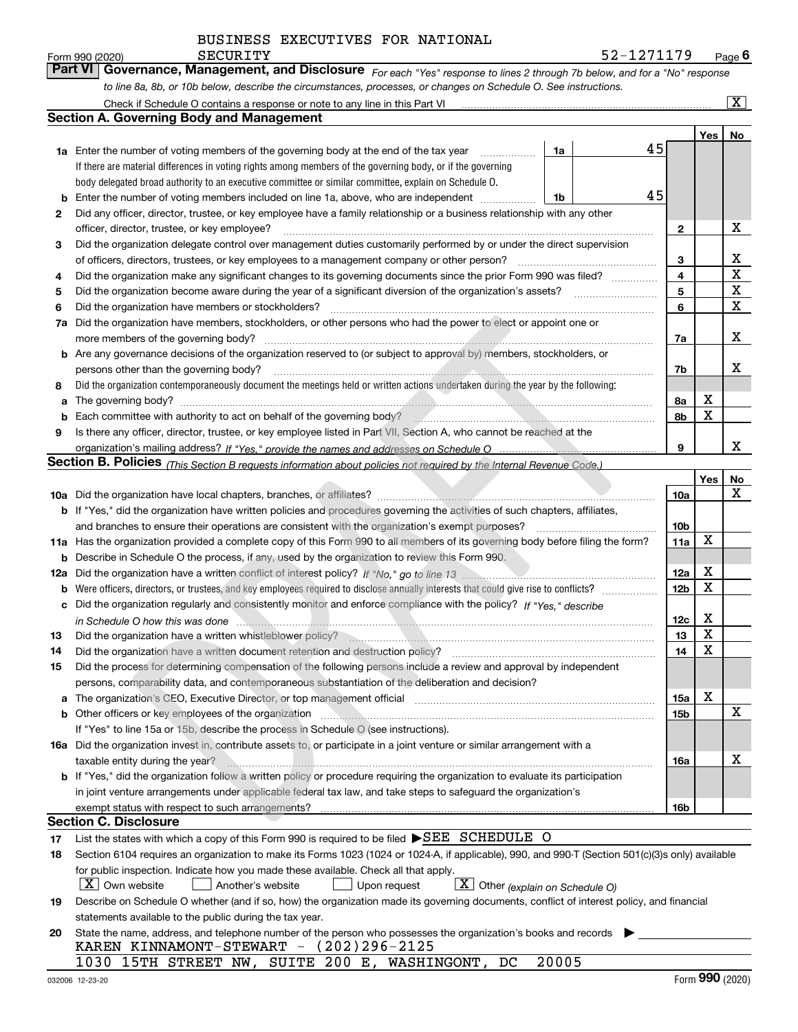| Form 990 (2020) | SECURITY                                                                                                         | 52-1271179                                                                                                                  | $P_{\text{aqe}}$ 6 |
|-----------------|------------------------------------------------------------------------------------------------------------------|-----------------------------------------------------------------------------------------------------------------------------|--------------------|
|                 |                                                                                                                  | Part VI Governance, Management, and Disclosure For each "Yes" response to lines 2 through 7b below, and for a "No" response |                    |
|                 | to line 8a, 8b, or 10b below, describe the circumstances, processes, or changes on Schedule O. See instructions. |                                                                                                                             |                    |

|     | Check if Schedule O contains a response or note to any line in this Part VI                                                                                                                                                     |    |                 |             | ΙX. |
|-----|---------------------------------------------------------------------------------------------------------------------------------------------------------------------------------------------------------------------------------|----|-----------------|-------------|-----|
|     | Section A. Governing Body and Management                                                                                                                                                                                        |    |                 |             |     |
|     |                                                                                                                                                                                                                                 |    |                 | Yes         | No  |
|     | <b>1a</b> Enter the number of voting members of the governing body at the end of the tax year<br>1a                                                                                                                             | 45 |                 |             |     |
|     | If there are material differences in voting rights among members of the governing body, or if the governing                                                                                                                     |    |                 |             |     |
|     | body delegated broad authority to an executive committee or similar committee, explain on Schedule O.                                                                                                                           |    |                 |             |     |
| b   | Enter the number of voting members included on line 1a, above, who are independent<br>1b                                                                                                                                        | 45 |                 |             |     |
| 2   | Did any officer, director, trustee, or key employee have a family relationship or a business relationship with any other                                                                                                        |    |                 |             |     |
|     | officer, director, trustee, or key employee?                                                                                                                                                                                    |    | $\mathbf{2}$    |             | X   |
| 3   | Did the organization delegate control over management duties customarily performed by or under the direct supervision                                                                                                           |    |                 |             |     |
|     | of officers, directors, trustees, or key employees to a management company or other person?                                                                                                                                     |    | 3               |             | x   |
| 4   | Did the organization make any significant changes to its governing documents since the prior Form 990 was filed?                                                                                                                |    | $\overline{4}$  |             | X   |
| 5   |                                                                                                                                                                                                                                 |    | 5               |             | X   |
| 6   | Did the organization have members or stockholders?                                                                                                                                                                              |    | 6               |             | X   |
| 7a  | Did the organization have members, stockholders, or other persons who had the power to elect or appoint one or                                                                                                                  |    |                 |             |     |
|     | more members of the governing body?                                                                                                                                                                                             |    | 7a              |             | x   |
|     | <b>b</b> Are any governance decisions of the organization reserved to (or subject to approval by) members, stockholders, or                                                                                                     |    |                 |             |     |
|     | persons other than the governing body?                                                                                                                                                                                          |    | 7b              |             | x   |
| 8   | Did the organization contemporaneously document the meetings held or written actions undertaken during the year by the following:                                                                                               |    |                 |             |     |
| a   |                                                                                                                                                                                                                                 |    | 8а              | X           |     |
| b   |                                                                                                                                                                                                                                 |    | 8b              | X           |     |
| 9   | Is there any officer, director, trustee, or key employee listed in Part VII, Section A, who cannot be reached at the                                                                                                            |    |                 |             |     |
|     |                                                                                                                                                                                                                                 |    | 9               |             | x   |
|     | <b>Section B. Policies</b> (This Section B requests information about policies not required by the Internal Revenue Code.)                                                                                                      |    |                 |             |     |
|     |                                                                                                                                                                                                                                 |    |                 | Yes         | No  |
|     |                                                                                                                                                                                                                                 |    | 10a             |             | x   |
|     | <b>b</b> If "Yes," did the organization have written policies and procedures governing the activities of such chapters, affiliates,                                                                                             |    |                 |             |     |
|     | and branches to ensure their operations are consistent with the organization's exempt purposes?                                                                                                                                 |    | 10 <sub>b</sub> |             |     |
|     | 11a Has the organization provided a complete copy of this Form 990 to all members of its governing body before filing the form?                                                                                                 |    | 11a             | $\mathbf X$ |     |
| b   | Describe in Schedule O the process, if any, used by the organization to review this Form 990.                                                                                                                                   |    |                 |             |     |
| 12a |                                                                                                                                                                                                                                 |    | 12a             | X           |     |
| b   | Were officers, directors, or trustees, and key employees required to disclose annually interests that could give rise to conflicts?                                                                                             |    | 12 <sub>b</sub> | X           |     |
| с   | Did the organization regularly and consistently monitor and enforce compliance with the policy? If "Yes," describe                                                                                                              |    |                 |             |     |
|     |                                                                                                                                                                                                                                 |    | 12c             | X           |     |
| 13  | Did the organization have a written whistleblower policy?<br>manufactured and continuum continuum continuum control of the control of the control of the control of the control of the control of the control of the control of |    | 13              | X           |     |
| 14  | Did the organization have a written document retention and destruction policy?                                                                                                                                                  |    | 14              | X           |     |
| 15  | Did the process for determining compensation of the following persons include a review and approval by independent                                                                                                              |    |                 |             |     |
|     | persons, comparability data, and contemporaneous substantiation of the deliberation and decision?                                                                                                                               |    |                 |             |     |
| а   | The organization's CEO, Executive Director, or top management official manufactured content of the organization's CEO, Executive Director, or top management official                                                           |    | 15a             | х           |     |
|     |                                                                                                                                                                                                                                 |    | 15b             |             | X   |
|     | If "Yes" to line 15a or 15b, describe the process in Schedule O (see instructions).                                                                                                                                             |    |                 |             |     |
|     | 16a Did the organization invest in, contribute assets to, or participate in a joint venture or similar arrangement with a                                                                                                       |    |                 |             |     |
|     | taxable entity during the year?                                                                                                                                                                                                 |    | 16a             |             | х   |
|     | <b>b</b> If "Yes," did the organization follow a written policy or procedure requiring the organization to evaluate its participation                                                                                           |    |                 |             |     |
|     | in joint venture arrangements under applicable federal tax law, and take steps to safequard the organization's                                                                                                                  |    |                 |             |     |
|     | exempt status with respect to such arrangements?                                                                                                                                                                                |    | 16b             |             |     |
|     | Section C. Disclosure                                                                                                                                                                                                           |    |                 |             |     |
| 17  | List the states with which a copy of this Form 990 is required to be filed ▶SEE SCHEDULE O                                                                                                                                      |    |                 |             |     |
| 18  | Section 6104 requires an organization to make its Forms 1023 (1024 or 1024-A, if applicable), 990, and 990-T (Section 501(c)(3)s only) available                                                                                |    |                 |             |     |
|     | for public inspection. Indicate how you made these available. Check all that apply.                                                                                                                                             |    |                 |             |     |
|     | $\boxed{\textbf{X}}$ Other (explain on Schedule O)<br>$X$ Own website<br>Upon request<br>Another's website                                                                                                                      |    |                 |             |     |
| 19  | Describe on Schedule O whether (and if so, how) the organization made its governing documents, conflict of interest policy, and financial                                                                                       |    |                 |             |     |
|     | statements available to the public during the tax year.                                                                                                                                                                         |    |                 |             |     |
| 20  | State the name, address, and telephone number of the person who possesses the organization's books and records                                                                                                                  |    |                 |             |     |
|     | KAREN KINNAMONT-STEWART - $(202)296-2125$                                                                                                                                                                                       |    |                 |             |     |

1030 15TH STREET NW, SUITE 200 E, WASHINGONT, DC 20005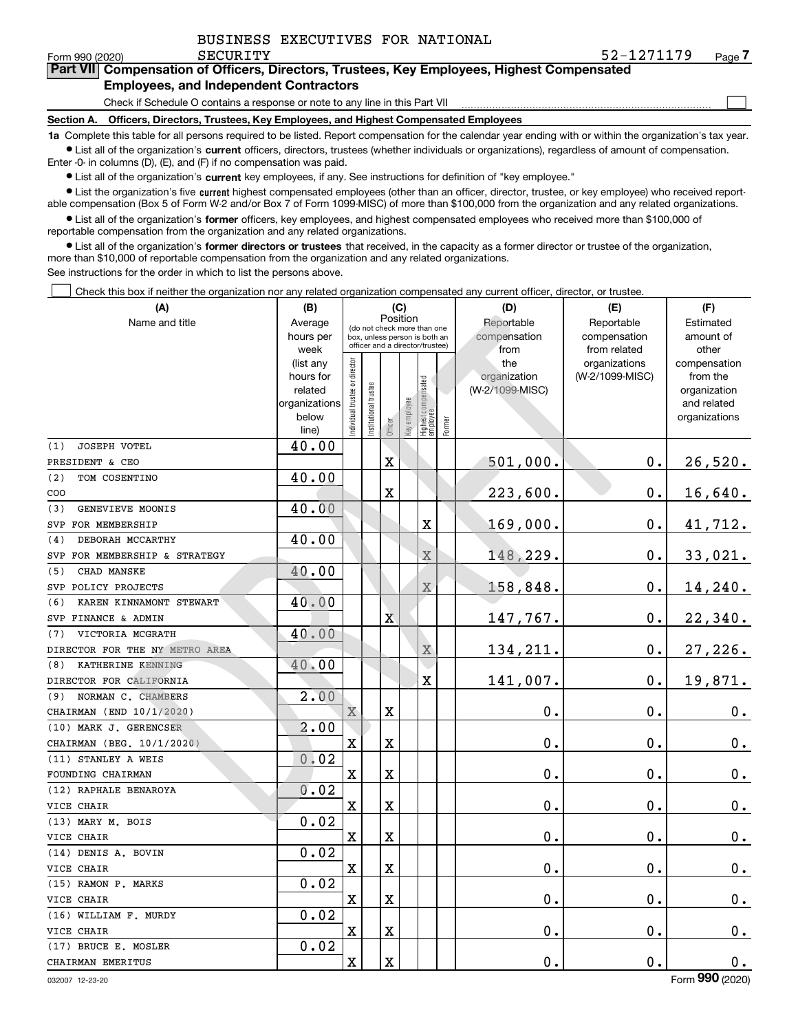$\mathcal{L}^{\text{max}}$ 

| orm 990 (2020) <sup>.</sup> | SECURITY                                      | 52-1271179                                                                                 | Page / |
|-----------------------------|-----------------------------------------------|--------------------------------------------------------------------------------------------|--------|
|                             |                                               | Part VII Compensation of Officers, Directors, Trustees, Key Employees, Highest Compensated |        |
|                             | <b>Employees, and Independent Contractors</b> |                                                                                            |        |

Check if Schedule O contains a response or note to any line in this Part VII

**Section A. Officers, Directors, Trustees, Key Employees, and Highest Compensated Employees**

**1a**  Complete this table for all persons required to be listed. Report compensation for the calendar year ending with or within the organization's tax year. **•** List all of the organization's current officers, directors, trustees (whether individuals or organizations), regardless of amount of compensation.

Enter -0- in columns (D), (E), and (F) if no compensation was paid.

 $\bullet$  List all of the organization's  $\,$ current key employees, if any. See instructions for definition of "key employee."

• List the organization's five current highest compensated employees (other than an officer, director, trustee, or key employee) who received report-■ List the organization's five current highest compensated employees (other than an officer, director, trustee, or key employee) who received report-<br>able compensation (Box 5 of Form W-2 and/or Box 7 of Form 1099-MISC) of

**•** List all of the organization's former officers, key employees, and highest compensated employees who received more than \$100,000 of reportable compensation from the organization and any related organizations.

**former directors or trustees**  ¥ List all of the organization's that received, in the capacity as a former director or trustee of the organization, more than \$10,000 of reportable compensation from the organization and any related organizations.

See instructions for the order in which to list the persons above.

Check this box if neither the organization nor any related organization compensated any current officer, director, or trustee.  $\mathcal{L}^{\text{max}}$ 

| (A)                              | (B)               |                                |                                                                  | (C)                     |              |                                  |           | (D)             | (E)                           | (F)                   |
|----------------------------------|-------------------|--------------------------------|------------------------------------------------------------------|-------------------------|--------------|----------------------------------|-----------|-----------------|-------------------------------|-----------------------|
| Name and title                   | Average           |                                | Position<br>(do not check more than one                          |                         | Reportable   | Reportable                       | Estimated |                 |                               |                       |
|                                  | hours per         |                                | box, unless person is both an<br>officer and a director/trustee) |                         | compensation | compensation                     | amount of |                 |                               |                       |
|                                  | week<br>(list any |                                |                                                                  |                         |              |                                  |           | from<br>the     | from related<br>organizations | other<br>compensation |
|                                  | hours for         |                                |                                                                  |                         |              |                                  |           | organization    | (W-2/1099-MISC)               | from the              |
|                                  | related           |                                |                                                                  |                         |              |                                  |           | (W-2/1099-MISC) |                               | organization          |
|                                  | organizations     |                                |                                                                  |                         |              |                                  |           |                 |                               | and related           |
|                                  | below             | Individual trustee or director | Institutional trustee                                            | Officer                 | Key employee | Highest compensated<br> employee | Former    |                 |                               | organizations         |
| JOSEPH VOTEL<br>(1)              | line)<br>40.00    |                                |                                                                  |                         |              |                                  |           |                 |                               |                       |
| PRESIDENT & CEO                  |                   |                                |                                                                  | $\overline{\textbf{X}}$ |              |                                  |           | 501,000.        | $\mathbf 0$ .                 | 26,520.               |
| (2)<br>TOM COSENTINO             | 40.00             |                                |                                                                  |                         |              |                                  |           |                 |                               |                       |
| COO                              |                   |                                |                                                                  | X                       |              |                                  |           | 223,600.        | $\mathbf 0$ .                 | 16,640.               |
| (3)<br>GENEVIEVE MOONIS          | 40.00             |                                |                                                                  |                         |              |                                  |           |                 |                               |                       |
| FOR MEMBERSHIP<br>SVP            |                   |                                |                                                                  |                         |              | $\mathbf X$                      |           | 169,000.        | $\mathbf 0$ .                 | 41,712.               |
| DEBORAH MCCARTHY<br>(4)          | 40.00             |                                |                                                                  |                         |              |                                  |           |                 |                               |                       |
| FOR MEMBERSHIP & STRATEGY<br>SVP |                   |                                |                                                                  |                         |              | $\overline{X}$                   |           | 148,229.        | $\mathbf 0$ .                 | 33,021.               |
| CHAD MANSKE<br>(5)               | 40.00             |                                |                                                                  |                         |              |                                  |           |                 |                               |                       |
| POLICY PROJECTS<br>SVP           |                   |                                |                                                                  |                         |              | $\overline{X}$                   |           | 158,848.        | $\mathbf 0$ .                 | 14,240.               |
| KAREN KINNAMONT STEWART<br>(6)   | 40.00             |                                |                                                                  |                         |              |                                  |           |                 |                               |                       |
| SVP FINANCE & ADMIN              |                   |                                |                                                                  | $\overline{\mathbf{X}}$ |              |                                  |           | 147,767.        | $\mathbf 0$ .                 | 22,340.               |
| VICTORIA MCGRATH<br>(7)          | 40.00             |                                |                                                                  |                         |              |                                  |           |                 |                               |                       |
| DIRECTOR FOR THE NY METRO AREA   |                   |                                |                                                                  |                         |              | $\mathbf X$                      |           | 134, 211.       | $\mathbf 0$ .                 | 27,226.               |
| KATHERINE KENNING<br>(8)         | 40.00             |                                |                                                                  |                         |              |                                  |           |                 |                               |                       |
| DIRECTOR FOR CALIFORNIA          |                   |                                |                                                                  |                         |              | $\overline{\mathbf{X}}$          |           | 141,007.        | $\mathbf 0$ .                 | 19,871.               |
| NORMAN C. CHAMBERS<br>(9)        | 2.00              |                                |                                                                  |                         |              |                                  |           |                 |                               |                       |
| CHAIRMAN (END 10/1/2020)         |                   | $\mathbf X$                    |                                                                  | X                       |              |                                  |           | 0.              | $\mathbf 0$ .                 | $0_{.}$               |
| (10) MARK J. GERENCSER           | 2.00              |                                |                                                                  |                         |              |                                  |           |                 |                               |                       |
| CHAIRMAN (BEG. 10/1/2020)        |                   | X                              |                                                                  | $\overline{\textbf{X}}$ |              |                                  |           | $\mathbf 0$ .   | $\mathbf 0$ .                 | 0.                    |
| (11) STANLEY A WEIS              | 0.02              |                                |                                                                  |                         |              |                                  |           |                 |                               |                       |
| FOUNDING CHAIRMAN                |                   | $\mathbf X$                    |                                                                  | $\overline{\textbf{X}}$ |              |                                  |           | 0.              | $\mathbf 0$ .                 | 0.                    |
| (12) RAPHALE BENAROYA            | 0.02              |                                |                                                                  |                         |              |                                  |           |                 |                               |                       |
| VICE CHAIR                       |                   | $\mathbf X$                    |                                                                  | X                       |              |                                  |           | 0.              | $\mathbf 0$ .                 | $0_{.}$               |
| (13) MARY M. BOIS                | 0.02              |                                |                                                                  |                         |              |                                  |           |                 |                               |                       |
| VICE CHAIR                       |                   | $\mathbf X$                    |                                                                  | X                       |              |                                  |           | 0.              | $\mathbf 0$ .                 | $0_{.}$               |
| (14) DENIS A. BOVIN              | 0.02              |                                |                                                                  |                         |              |                                  |           |                 |                               |                       |
| VICE CHAIR                       |                   | X                              |                                                                  | X                       |              |                                  |           | 0.              | $\mathbf 0$ .                 | $\mathbf 0$ .         |
| (15) RAMON P. MARKS              | 0.02              |                                |                                                                  |                         |              |                                  |           |                 |                               |                       |
| VICE CHAIR                       |                   | $\mathbf X$                    |                                                                  | $\overline{\textbf{X}}$ |              |                                  |           | 0.              | $\mathbf 0$ .                 | 0.                    |
| (16) WILLIAM F. MURDY            | 0.02              |                                |                                                                  |                         |              |                                  |           |                 |                               |                       |
| VICE CHAIR                       |                   | X                              |                                                                  | $\overline{\textbf{X}}$ |              |                                  |           | 0.              | $\mathbf 0$ .                 | 0.                    |
| (17) BRUCE E. MOSLER             | 0.02              |                                |                                                                  |                         |              |                                  |           |                 |                               |                       |
| CHAIRMAN EMERITUS                |                   | $\mathbf X$                    |                                                                  | X                       |              |                                  |           | 0.              | $\mathbf 0$ .                 | $0_{.}$               |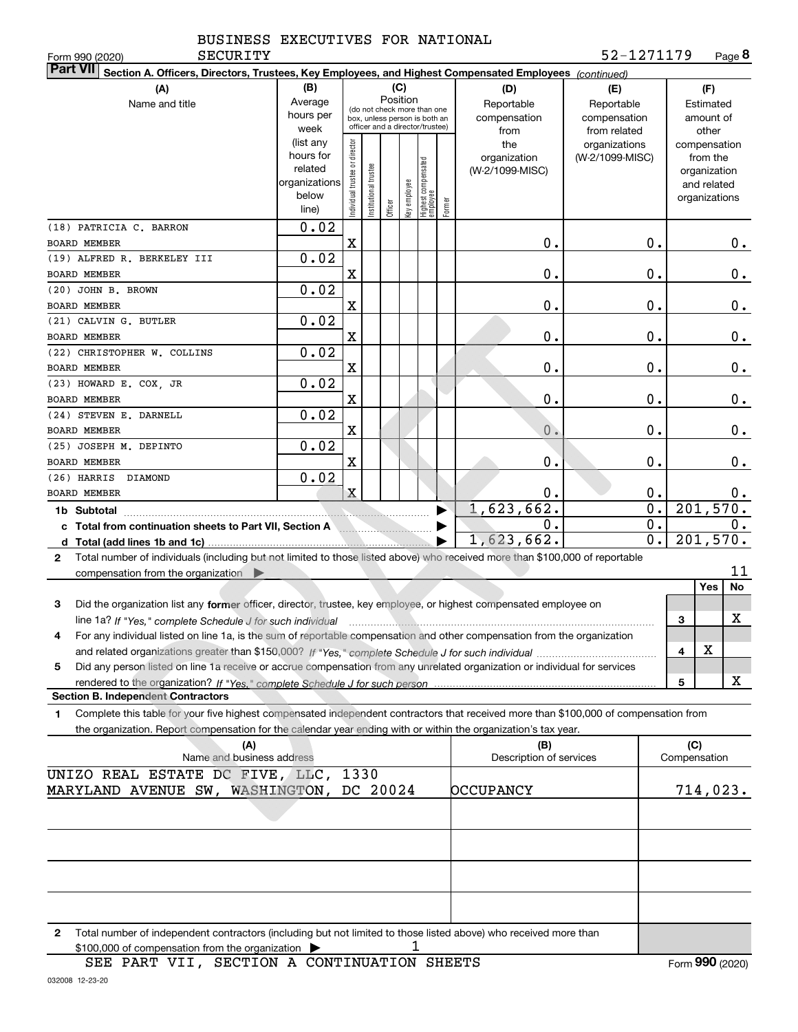SECURITY

| <b>Part VII</b><br>Section A. Officers, Directors, Trustees, Key Employees, and Highest Compensated Employees (continued)                      |                        |                                |                                                              |         |              |                                 |        |                         |                  |                         |
|------------------------------------------------------------------------------------------------------------------------------------------------|------------------------|--------------------------------|--------------------------------------------------------------|---------|--------------|---------------------------------|--------|-------------------------|------------------|-------------------------|
| (A)                                                                                                                                            | (B)                    |                                |                                                              | (C)     |              |                                 |        | (D)                     | (E)              | (F)                     |
| Name and title                                                                                                                                 | Average                |                                |                                                              |         | Position     |                                 |        | Reportable              | Reportable       | Estimated               |
|                                                                                                                                                | hours per              |                                | (do not check more than one<br>box, unless person is both an |         |              |                                 |        | compensation            | compensation     | amount of               |
|                                                                                                                                                | week                   |                                | officer and a director/trustee)                              |         |              |                                 |        | from                    | from related     | other                   |
|                                                                                                                                                | (list any              |                                |                                                              |         |              |                                 |        | the                     | organizations    | compensation            |
|                                                                                                                                                | hours for              |                                |                                                              |         |              |                                 |        | organization            | (W-2/1099-MISC)  | from the                |
|                                                                                                                                                | related                |                                |                                                              |         |              |                                 |        | (W-2/1099-MISC)         |                  | organization            |
|                                                                                                                                                | organizations<br>below |                                |                                                              |         |              |                                 |        |                         |                  | and related             |
|                                                                                                                                                | line)                  | Individual trustee or director | Institutional trustee                                        | Officer | key employee | Highest compensated<br>employee | Former |                         |                  | organizations           |
| (18) PATRICIA C. BARRON                                                                                                                        | 0.02                   |                                |                                                              |         |              |                                 |        |                         |                  |                         |
| <b>BOARD MEMBER</b>                                                                                                                            |                        | X                              |                                                              |         |              |                                 |        | 0.                      | 0.               | 0.                      |
| (19) ALFRED R. BERKELEY III                                                                                                                    | 0.02                   |                                |                                                              |         |              |                                 |        |                         |                  |                         |
| BOARD MEMBER                                                                                                                                   |                        | X                              |                                                              |         |              |                                 |        | 0.                      | 0.               | 0.                      |
| (20) JOHN B. BROWN                                                                                                                             | 0.02                   |                                |                                                              |         |              |                                 |        |                         |                  |                         |
| BOARD MEMBER                                                                                                                                   |                        | X                              |                                                              |         |              |                                 |        | 0.                      | 0.               | $0$ .                   |
| (21) CALVIN G. BUTLER                                                                                                                          | 0.02                   |                                |                                                              |         |              |                                 |        |                         |                  |                         |
| <b>BOARD MEMBER</b>                                                                                                                            |                        | X                              |                                                              |         |              |                                 |        | 0.                      | 0.               | $\mathbf 0$ .           |
| (22) CHRISTOPHER W. COLLINS                                                                                                                    | 0.02                   |                                |                                                              |         |              |                                 |        |                         |                  |                         |
| BOARD MEMBER                                                                                                                                   |                        | X                              |                                                              |         |              |                                 |        | 0.                      | 0.               | 0.                      |
| (23) HOWARD E. COX, JR                                                                                                                         | 0.02                   |                                |                                                              |         |              |                                 |        |                         |                  |                         |
| <b>BOARD MEMBER</b>                                                                                                                            |                        | X                              |                                                              |         |              |                                 |        | 0.                      | 0.               | 0.                      |
| (24) STEVEN E. DARNELL                                                                                                                         | 0.02                   |                                |                                                              |         |              |                                 |        |                         |                  |                         |
| <b>BOARD MEMBER</b>                                                                                                                            |                        | X                              |                                                              |         |              |                                 |        | 0.                      | $\mathbf{0}$ .   | 0.                      |
| (25) JOSEPH M. DEPINTO                                                                                                                         | 0.02                   |                                |                                                              |         |              |                                 |        |                         |                  |                         |
| BOARD MEMBER                                                                                                                                   |                        | X                              |                                                              |         |              |                                 |        | 0.                      | $\mathbf{0}$ .   | 0.                      |
| (26) HARRIS DIAMOND                                                                                                                            | 0.02                   |                                |                                                              |         |              |                                 |        |                         |                  |                         |
| BOARD MEMBER                                                                                                                                   |                        | $\mathbf{x}$                   |                                                              |         |              |                                 |        | 0.                      | 0.               | 0.                      |
| 1b Subtotal                                                                                                                                    |                        |                                |                                                              |         |              |                                 |        | 1,623,662.              | $\overline{0}$ . | 201,570.                |
| c Total from continuation sheets to Part VII, Section A                                                                                        |                        |                                |                                                              |         |              |                                 |        | 0.                      | 0.               | 0.                      |
|                                                                                                                                                |                        |                                |                                                              |         |              |                                 |        | 1,623,662.              | 0.               | 201, 570.               |
| Total number of individuals (including but not limited to those listed above) who received more than \$100,000 of reportable<br>$\mathbf{2}$   |                        |                                |                                                              |         |              |                                 |        |                         |                  |                         |
| compensation from the organization                                                                                                             |                        |                                |                                                              |         |              |                                 |        |                         |                  | 11                      |
|                                                                                                                                                |                        |                                |                                                              |         |              |                                 |        |                         |                  | <b>No</b><br><b>Yes</b> |
| Did the organization list any former officer, director, trustee, key employee, or highest compensated employee on<br>3                         |                        |                                |                                                              |         |              |                                 |        |                         |                  |                         |
| line 1a? If "Yes," complete Schedule J for such individual manufactured contains and the 1a? If "Yes," complete Schedule J for such individual |                        |                                |                                                              |         |              |                                 |        |                         |                  | х<br>3                  |
| For any individual listed on line 1a, is the sum of reportable compensation and other compensation from the organization<br>4                  |                        |                                |                                                              |         |              |                                 |        |                         |                  |                         |
|                                                                                                                                                |                        |                                |                                                              |         |              |                                 |        |                         |                  | X<br>4                  |
| Did any person listed on line 1a receive or accrue compensation from any unrelated organization or individual for services<br>5                |                        |                                |                                                              |         |              |                                 |        |                         |                  |                         |
| rendered to the organization? If "Yes." complete Schedule J for such person                                                                    |                        |                                |                                                              |         |              |                                 |        |                         |                  | х<br>5                  |
| <b>Section B. Independent Contractors</b>                                                                                                      |                        |                                |                                                              |         |              |                                 |        |                         |                  |                         |
| Complete this table for your five highest compensated independent contractors that received more than \$100,000 of compensation from<br>1      |                        |                                |                                                              |         |              |                                 |        |                         |                  |                         |
| the organization. Report compensation for the calendar year ending with or within the organization's tax year.                                 |                        |                                |                                                              |         |              |                                 |        |                         |                  |                         |
| (A)                                                                                                                                            |                        |                                |                                                              |         |              |                                 |        | (B)                     |                  | (C)                     |
| Name and business address                                                                                                                      |                        |                                |                                                              |         |              |                                 |        | Description of services |                  | Compensation            |
| UNIZO REAL ESTATE DC FIVE, LLC, 1330                                                                                                           |                        |                                |                                                              |         |              |                                 |        |                         |                  |                         |
| MARYLAND AVENUE SW, WASHINGTON, DC 20024                                                                                                       |                        |                                |                                                              |         |              |                                 |        | <b>DCCUPANCY</b>        |                  | 714,023.                |
|                                                                                                                                                |                        |                                |                                                              |         |              |                                 |        |                         |                  |                         |
|                                                                                                                                                |                        |                                |                                                              |         |              |                                 |        |                         |                  |                         |
|                                                                                                                                                |                        |                                |                                                              |         |              |                                 |        |                         |                  |                         |
|                                                                                                                                                |                        |                                |                                                              |         |              |                                 |        |                         |                  |                         |
|                                                                                                                                                |                        |                                |                                                              |         |              |                                 |        |                         |                  |                         |
|                                                                                                                                                |                        |                                |                                                              |         |              |                                 |        |                         |                  |                         |
|                                                                                                                                                |                        |                                |                                                              |         |              |                                 |        |                         |                  |                         |
| Total number of independent contractors (including but not limited to those listed above) who received more than<br>2                          |                        |                                |                                                              |         |              |                                 |        |                         |                  |                         |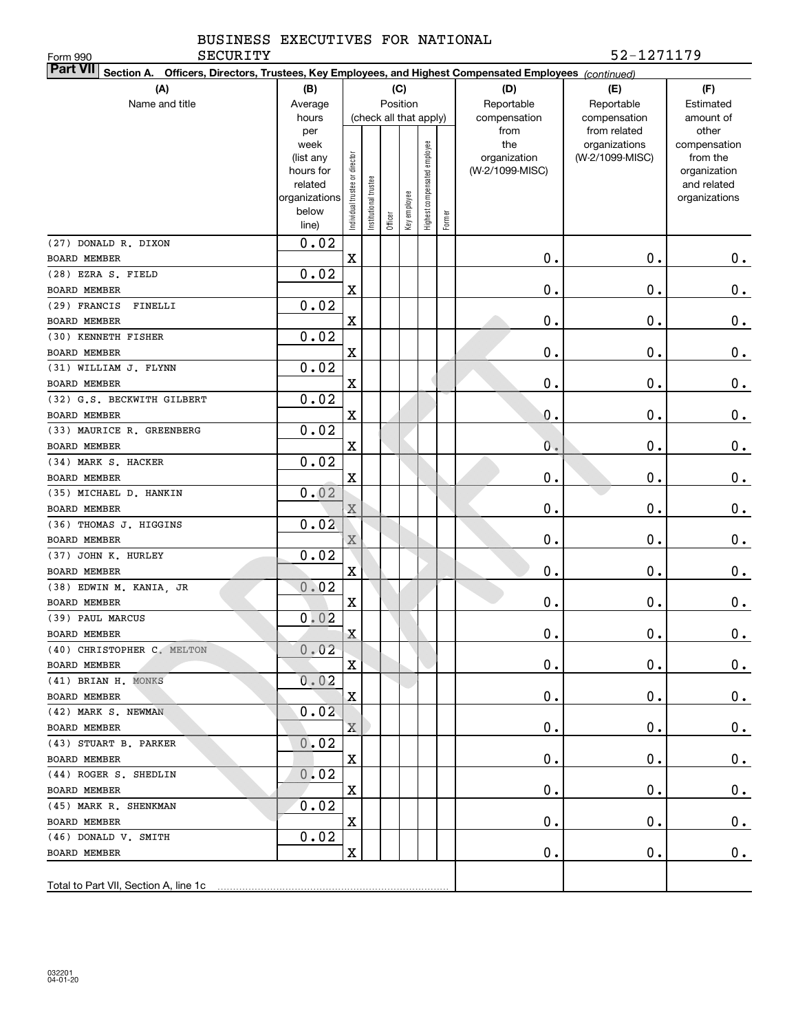SECURITY 52-1271179

| <b>SECURITY</b><br>Form 990                                                                                               |                          |                               |                      |         |              |                              |           |                 | 52-1271179      |                              |
|---------------------------------------------------------------------------------------------------------------------------|--------------------------|-------------------------------|----------------------|---------|--------------|------------------------------|-----------|-----------------|-----------------|------------------------------|
| <b>Part VII</b><br>Section A. Officers, Directors, Trustees, Key Employees, and Highest Compensated Employees (continued) |                          |                               |                      |         |              |                              |           |                 |                 |                              |
| (A)                                                                                                                       | (B)                      |                               |                      |         | (C)          |                              |           | (D)             | (E)             | (F)                          |
| Name and title                                                                                                            | Average                  |                               | Position             |         | Reportable   | Reportable                   | Estimated |                 |                 |                              |
|                                                                                                                           | hours                    |                               |                      |         |              | (check all that apply)       |           | compensation    | compensation    | amount of                    |
|                                                                                                                           | per                      |                               |                      |         |              |                              |           | from            | from related    | other                        |
|                                                                                                                           | week                     |                               |                      |         |              |                              |           | the             | organizations   | compensation                 |
|                                                                                                                           | (list any                |                               |                      |         |              |                              |           | organization    | (W-2/1099-MISC) | from the                     |
|                                                                                                                           | hours for                |                               |                      |         |              |                              |           | (W-2/1099-MISC) |                 | organization                 |
|                                                                                                                           | related<br>organizations |                               |                      |         |              |                              |           |                 |                 | and related<br>organizations |
|                                                                                                                           | below                    | ndividual trustee or director | nstitutional trustee |         | Key employee |                              |           |                 |                 |                              |
|                                                                                                                           | line)                    |                               |                      | Officer |              | Highest compensated employee | Former    |                 |                 |                              |
| (27) DONALD R. DIXON                                                                                                      | 0.02                     |                               |                      |         |              |                              |           |                 |                 |                              |
| <b>BOARD MEMBER</b>                                                                                                       |                          | X                             |                      |         |              |                              |           | $\mathbf 0$ .   | $0$ .           | 0.                           |
| (28) EZRA S. FIELD                                                                                                        | 0.02                     |                               |                      |         |              |                              |           |                 |                 |                              |
| BOARD MEMBER                                                                                                              |                          | X                             |                      |         |              |                              |           | $\mathbf 0$ .   | $\mathbf 0$ .   | $0$ .                        |
| (29) FRANCIS<br>FINELLI                                                                                                   | 0.02                     |                               |                      |         |              |                              |           |                 |                 |                              |
| <b>BOARD MEMBER</b>                                                                                                       |                          | X                             |                      |         |              |                              |           | $\mathbf 0$ .   | $\mathbf 0$ .   | 0.                           |
| (30) KENNETH FISHER                                                                                                       | 0.02                     |                               |                      |         |              |                              |           |                 |                 |                              |
| <b>BOARD MEMBER</b>                                                                                                       |                          | $\mathbf X$                   |                      |         |              |                              |           | 0.              | $\mathbf 0$ .   | $\mathbf 0$ .                |
| (31) WILLIAM J. FLYNN                                                                                                     | 0.02                     |                               |                      |         |              |                              |           |                 |                 |                              |
| <b>BOARD MEMBER</b>                                                                                                       |                          | $\mathbf X$                   |                      |         |              |                              |           | $\mathbf 0$ .   | $\mathbf 0$ .   | $0$ .                        |
| (32) G.S. BECKWITH GILBERT                                                                                                | 0.02                     |                               |                      |         |              |                              |           |                 |                 |                              |
| <b>BOARD MEMBER</b>                                                                                                       |                          | X                             |                      |         |              |                              |           | 0.              | $\mathbf 0$ .   | $0$ .                        |
| (33) MAURICE R. GREENBERG                                                                                                 | 0.02                     |                               |                      |         |              |                              |           |                 |                 |                              |
| BOARD MEMBER                                                                                                              |                          | $\mathbf X$                   |                      |         |              |                              |           | 0.              | $\mathbf 0$ .   | 0.                           |
| (34) MARK S. HACKER                                                                                                       | 0.02                     |                               |                      |         |              |                              |           |                 |                 |                              |
| <b>BOARD MEMBER</b>                                                                                                       |                          | X                             |                      |         |              |                              |           | $\mathbf 0$ .   | $\mathbf 0$ .   | 0.                           |
| (35) MICHAEL D. HANKIN                                                                                                    | 0.02                     |                               |                      |         |              |                              |           |                 |                 |                              |
| <b>BOARD MEMBER</b>                                                                                                       |                          | X                             |                      |         |              |                              |           | 0.              | $\mathbf 0$ .   | $0$ .                        |
| (36) THOMAS J. HIGGINS                                                                                                    | 0.02                     |                               |                      |         |              |                              |           |                 |                 |                              |
| <b>BOARD MEMBER</b>                                                                                                       |                          | $\rm X$                       |                      |         |              |                              |           | $\mathbf 0$ .   | 0.              | 0.                           |
| (37) JOHN K. HURLEY                                                                                                       | 0.02                     |                               |                      |         |              |                              |           |                 |                 |                              |
| BOARD MEMBER                                                                                                              |                          | $\mathbf X$                   |                      |         |              |                              |           | $\mathbf{0}$ .  | 0.              | 0.                           |
| (38) EDWIN M. KANIA, JR                                                                                                   | 0.02                     |                               |                      |         |              |                              |           |                 |                 |                              |
| BOARD MEMBER                                                                                                              |                          | $\mathbf X$                   |                      |         |              |                              |           | $\mathbf 0$ .   | 0.              | $0$ .                        |
| (39) PAUL MARCUS                                                                                                          | 0.02                     |                               |                      |         |              |                              |           |                 |                 |                              |
| BOARD MEMBER                                                                                                              |                          | $\mathbf X$                   |                      |         |              |                              |           | $\mathbf 0$ .   | $\mathbf 0$ .   | $0\cdot$                     |
| (40) CHRISTOPHER C. MELTON                                                                                                | 0.02                     |                               |                      |         |              |                              |           |                 |                 |                              |
| BOARD MEMBER                                                                                                              |                          | X                             |                      |         |              |                              |           | $\mathbf 0$ .   | 0.              | $0_{.}$                      |
| (41) BRIAN H. MONKS                                                                                                       | 0.02                     |                               |                      |         |              |                              |           |                 |                 |                              |
| BOARD MEMBER                                                                                                              |                          | X                             |                      |         |              |                              |           | 0.              | 0.              | $0_{.}$                      |
| (42) MARK S. NEWMAN                                                                                                       | 0.02                     |                               |                      |         |              |                              |           |                 |                 |                              |
| BOARD MEMBER                                                                                                              |                          | $\mathbf X$                   |                      |         |              |                              |           | 0.              | О.              | $0_{.}$                      |
| (43) STUART B. PARKER                                                                                                     | 0.02                     |                               |                      |         |              |                              |           |                 |                 |                              |
| BOARD MEMBER                                                                                                              |                          | X                             |                      |         |              |                              |           | 0.              | 0.              | $0_{.}$                      |
| (44) ROGER S. SHEDLIN                                                                                                     | 0.02                     |                               |                      |         |              |                              |           |                 |                 |                              |
| BOARD MEMBER                                                                                                              |                          | X                             |                      |         |              |                              |           | 0.              | О.              | $0_{.}$                      |
| (45) MARK R. SHENKMAN                                                                                                     | 0.02                     |                               |                      |         |              |                              |           |                 |                 |                              |
| BOARD MEMBER                                                                                                              |                          | X                             |                      |         |              |                              |           | 0.              | О.              | $0_{.}$                      |
| (46) DONALD V. SMITH                                                                                                      | 0.02                     |                               |                      |         |              |                              |           |                 |                 |                              |
| BOARD MEMBER                                                                                                              |                          | X                             |                      |         |              |                              |           | О.              | 0.              | 0.                           |
|                                                                                                                           |                          |                               |                      |         |              |                              |           |                 |                 |                              |
| Total to Part VII, Section A, line 1c                                                                                     |                          |                               |                      |         |              |                              |           |                 |                 |                              |
|                                                                                                                           |                          |                               |                      |         |              |                              |           |                 |                 |                              |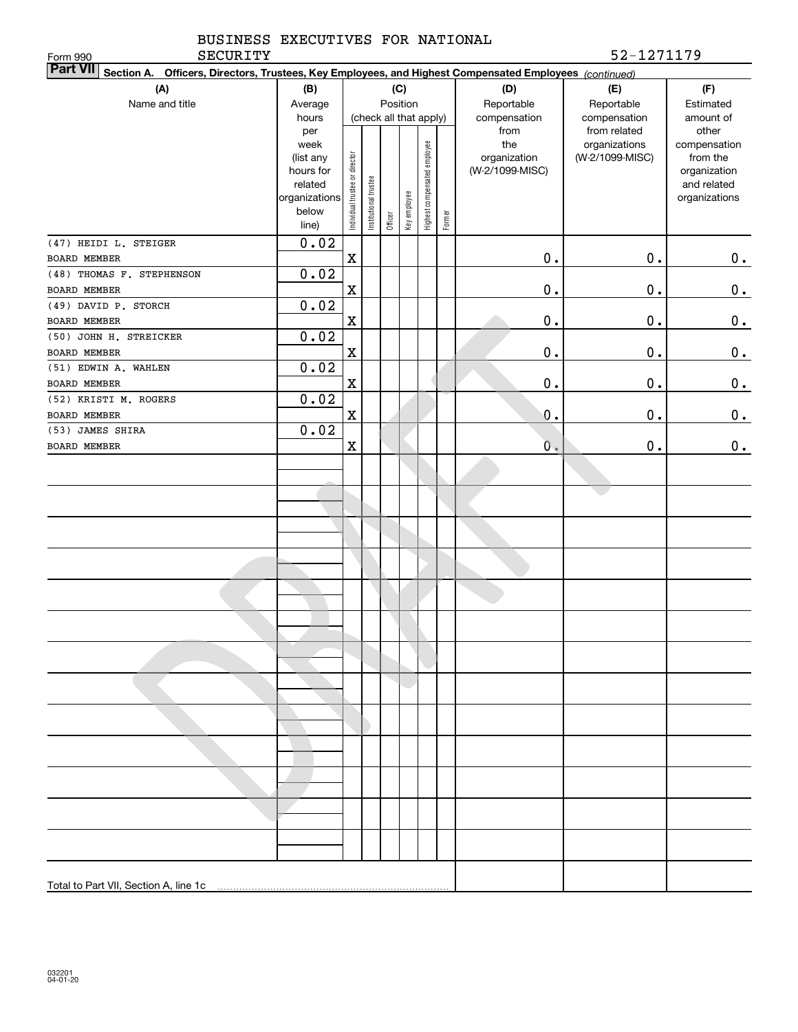|          | BUSINESS EXECUTIVES FOR NATIONAL |  |            |
|----------|----------------------------------|--|------------|
| SECURITY |                                  |  | 52-1271179 |

| Part VII Section A. Officers, Directors, Trustees, Key Employees, and Highest Compensated Employees (continued) |                   |                                |                        |         |              |                              |        |                     |                                  |                          |
|-----------------------------------------------------------------------------------------------------------------|-------------------|--------------------------------|------------------------|---------|--------------|------------------------------|--------|---------------------|----------------------------------|--------------------------|
| (A)                                                                                                             | (B)               | (C)                            |                        |         |              |                              |        | (D)                 | (E)                              | (F)                      |
| Name and title                                                                                                  | Average           |                                |                        |         | Position     |                              |        | Reportable          | Reportable                       | Estimated                |
|                                                                                                                 | hours             |                                | (check all that apply) |         |              |                              |        | compensation        | compensation                     | amount of                |
|                                                                                                                 | per               |                                |                        |         |              |                              |        | from                | from related                     | other                    |
|                                                                                                                 | week<br>(list any |                                |                        |         |              |                              |        | the<br>organization | organizations<br>(W-2/1099-MISC) | compensation<br>from the |
|                                                                                                                 | hours for         |                                |                        |         |              |                              |        | (W-2/1099-MISC)     |                                  | organization             |
|                                                                                                                 | related           |                                |                        |         |              |                              |        |                     |                                  | and related              |
|                                                                                                                 | organizations     |                                |                        |         |              |                              |        |                     |                                  | organizations            |
|                                                                                                                 | below             | Individual trustee or director | Institutional trustee  | Officer | Key employee | Highest compensated employee | Former |                     |                                  |                          |
|                                                                                                                 | line)             |                                |                        |         |              |                              |        |                     |                                  |                          |
| (47) HEIDI L. STEIGER                                                                                           | 0.02              |                                |                        |         |              |                              |        |                     |                                  |                          |
| BOARD MEMBER                                                                                                    |                   | $\mathbf X$                    |                        |         |              |                              |        | $0$ .               | $0$ .                            | $0_{.}$                  |
| (48) THOMAS F. STEPHENSON                                                                                       | 0.02              |                                |                        |         |              |                              |        |                     |                                  |                          |
| BOARD MEMBER                                                                                                    |                   | X                              |                        |         |              |                              |        | $0$ .               | $0$ .                            | 0.                       |
| (49) DAVID P. STORCH                                                                                            | 0.02              |                                |                        |         |              |                              |        |                     |                                  |                          |
| BOARD MEMBER                                                                                                    |                   | X                              |                        |         |              |                              |        | $0$ .               | $0$ .                            | 0.                       |
| (50) JOHN H. STREICKER                                                                                          | 0.02              |                                |                        |         |              |                              |        |                     |                                  |                          |
| BOARD MEMBER                                                                                                    |                   | X                              |                        |         |              |                              |        | $0$ .               | $0$ .                            | 0.                       |
| (51) EDWIN A. WAHLEN                                                                                            | 0.02              |                                |                        |         |              |                              |        |                     |                                  |                          |
| <b>BOARD MEMBER</b><br>(52) KRISTI M. ROGERS                                                                    | 0.02              | X                              |                        |         |              |                              |        | $0$ .               | $\mathbf 0$ .                    | 0.                       |
| <b>BOARD MEMBER</b>                                                                                             |                   | X                              |                        |         |              |                              |        | 0.                  | $\mathbf 0$ .                    |                          |
| (53) JAMES SHIRA                                                                                                | 0.02              |                                |                        |         |              |                              |        |                     |                                  | 0.                       |
| BOARD MEMBER                                                                                                    |                   | X                              |                        |         |              |                              |        | 0.                  | $\mathbf 0$ .                    | 0.                       |
|                                                                                                                 |                   |                                |                        |         |              |                              |        |                     |                                  |                          |
|                                                                                                                 |                   |                                |                        |         |              |                              |        |                     |                                  |                          |
|                                                                                                                 |                   |                                |                        |         |              |                              |        |                     |                                  |                          |
|                                                                                                                 |                   |                                |                        |         |              |                              |        |                     |                                  |                          |
|                                                                                                                 |                   |                                |                        |         |              |                              |        |                     |                                  |                          |
|                                                                                                                 |                   |                                |                        |         |              |                              |        |                     |                                  |                          |
|                                                                                                                 |                   |                                |                        |         |              |                              |        |                     |                                  |                          |
|                                                                                                                 |                   |                                |                        |         |              |                              |        |                     |                                  |                          |
|                                                                                                                 |                   |                                |                        |         |              |                              |        |                     |                                  |                          |
|                                                                                                                 |                   |                                |                        |         |              |                              |        |                     |                                  |                          |
|                                                                                                                 |                   |                                |                        |         |              |                              |        |                     |                                  |                          |
|                                                                                                                 |                   |                                |                        |         |              |                              |        |                     |                                  |                          |
|                                                                                                                 |                   |                                |                        |         |              |                              |        |                     |                                  |                          |
|                                                                                                                 |                   |                                |                        |         |              |                              |        |                     |                                  |                          |
|                                                                                                                 |                   |                                |                        |         |              |                              |        |                     |                                  |                          |
|                                                                                                                 |                   |                                |                        |         |              |                              |        |                     |                                  |                          |
|                                                                                                                 |                   |                                |                        |         |              |                              |        |                     |                                  |                          |
|                                                                                                                 |                   |                                |                        |         |              |                              |        |                     |                                  |                          |
|                                                                                                                 |                   |                                |                        |         |              |                              |        |                     |                                  |                          |
|                                                                                                                 |                   |                                |                        |         |              |                              |        |                     |                                  |                          |
|                                                                                                                 |                   |                                |                        |         |              |                              |        |                     |                                  |                          |
|                                                                                                                 |                   |                                |                        |         |              |                              |        |                     |                                  |                          |
|                                                                                                                 |                   |                                |                        |         |              |                              |        |                     |                                  |                          |
|                                                                                                                 |                   |                                |                        |         |              |                              |        |                     |                                  |                          |
|                                                                                                                 |                   |                                |                        |         |              |                              |        |                     |                                  |                          |
|                                                                                                                 |                   |                                |                        |         |              |                              |        |                     |                                  |                          |
| Total to Part VII, Section A, line 1c                                                                           |                   |                                |                        |         |              |                              |        |                     |                                  |                          |
|                                                                                                                 |                   |                                |                        |         |              |                              |        |                     |                                  |                          |

Form 990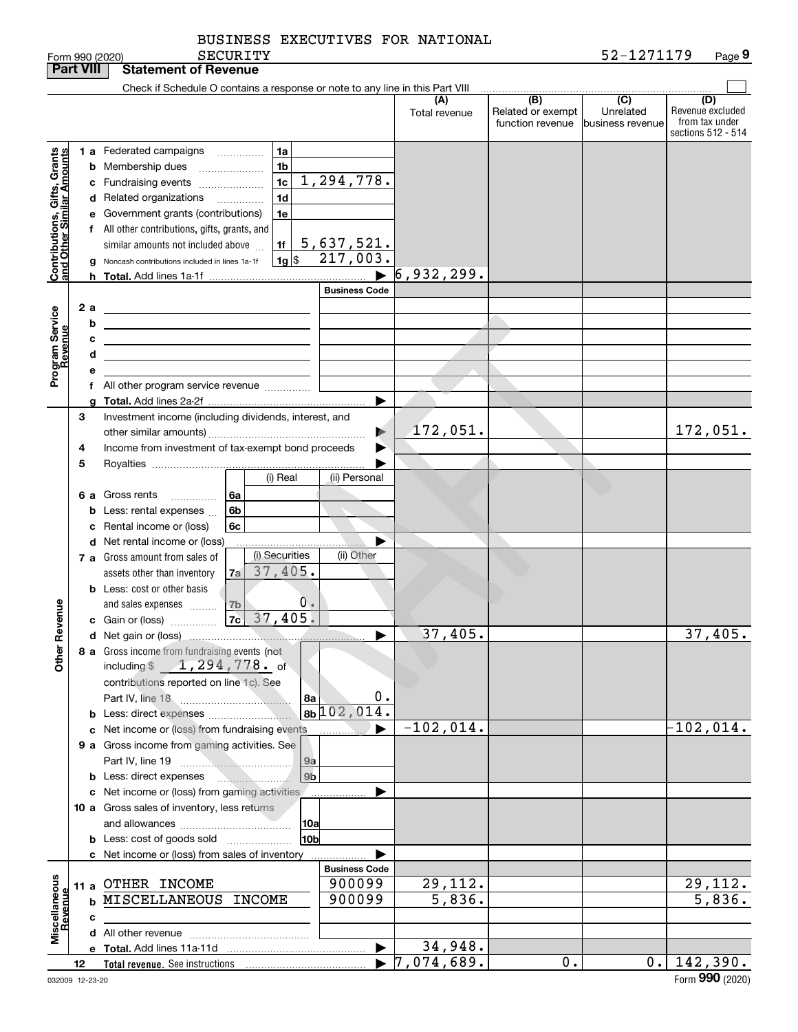|                                               | <b>Part VIII</b> |   | <b>Statement of Revenue</b>                                                                                           |                       |               |                                              |                                                 |                                                                 |
|-----------------------------------------------|------------------|---|-----------------------------------------------------------------------------------------------------------------------|-----------------------|---------------|----------------------------------------------|-------------------------------------------------|-----------------------------------------------------------------|
|                                               |                  |   | Check if Schedule O contains a response or note to any line in this Part VIII                                         |                       |               |                                              |                                                 |                                                                 |
|                                               |                  |   |                                                                                                                       |                       | Total revenue | (B)<br>Related or exempt<br>function revenue | $\overline{C}$<br>Unrelated<br>business revenue | (D)<br>Revenue excluded<br>from tax under<br>sections 512 - 514 |
|                                               |                  |   | 1 a Federated campaigns<br>1a                                                                                         |                       |               |                                              |                                                 |                                                                 |
|                                               |                  |   | 1 <sub>b</sub><br><b>b</b> Membership dues                                                                            |                       |               |                                              |                                                 |                                                                 |
|                                               |                  |   | 1 <sub>c</sub><br>c Fundraising events                                                                                | 1,294,778.            |               |                                              |                                                 |                                                                 |
|                                               |                  |   | 1 <sub>d</sub><br>d Related organizations                                                                             |                       |               |                                              |                                                 |                                                                 |
|                                               |                  |   | e Government grants (contributions)<br>1e                                                                             |                       |               |                                              |                                                 |                                                                 |
|                                               |                  |   | f All other contributions, gifts, grants, and                                                                         |                       |               |                                              |                                                 |                                                                 |
|                                               |                  |   | similar amounts not included above<br>1f                                                                              | 5,637,521.            |               |                                              |                                                 |                                                                 |
| Contributions, Gifts,<br>and Other Similar Ar |                  |   | $1g$ \$<br>Noncash contributions included in lines 1a-1f                                                              | 217,003.              |               |                                              |                                                 |                                                                 |
|                                               |                  | h |                                                                                                                       | $\blacksquare$        | 6,932,299.    |                                              |                                                 |                                                                 |
|                                               |                  |   |                                                                                                                       | <b>Business Code</b>  |               |                                              |                                                 |                                                                 |
|                                               | 2 a              |   | <u> 1989 - Johann Barn, mars ann an t-Amhain Aonaich an t-Aonaich an t-Aonaich an t-Aonaich an t-Aonaich an t-Aon</u> |                       |               |                                              |                                                 |                                                                 |
|                                               |                  | b | the contract of the contract of the contract of the contract of the                                                   |                       |               |                                              |                                                 |                                                                 |
|                                               |                  | c | <u> 1989 - Johann Stoff, fransk politik (d. 1989)</u>                                                                 |                       |               |                                              |                                                 |                                                                 |
|                                               |                  | d | the control of the control of the control of the control of the control of                                            |                       |               |                                              |                                                 |                                                                 |
| Program Service<br>Revenue                    |                  | e |                                                                                                                       |                       |               |                                              |                                                 |                                                                 |
|                                               |                  |   | f All other program service revenue                                                                                   | ▶                     |               |                                              |                                                 |                                                                 |
|                                               | 3                |   | Investment income (including dividends, interest, and                                                                 |                       |               |                                              |                                                 |                                                                 |
|                                               |                  |   |                                                                                                                       | $\blacktriangleright$ | 172,051.      |                                              |                                                 | 172,051.                                                        |
|                                               | 4                |   | Income from investment of tax-exempt bond proceeds                                                                    | ▶                     |               |                                              |                                                 |                                                                 |
|                                               | 5                |   |                                                                                                                       |                       |               |                                              |                                                 |                                                                 |
|                                               |                  |   | (i) Real                                                                                                              | (ii) Personal         |               |                                              |                                                 |                                                                 |
|                                               |                  |   | 6 a Gross rents<br>l 6a                                                                                               |                       |               |                                              |                                                 |                                                                 |
|                                               |                  |   | <b>b</b> Less: rental expenses<br>6b                                                                                  |                       |               |                                              |                                                 |                                                                 |
|                                               |                  |   | c Rental income or (loss)<br>6c                                                                                       |                       |               |                                              |                                                 |                                                                 |
|                                               |                  |   | d Net rental income or (loss)                                                                                         |                       |               |                                              |                                                 |                                                                 |
|                                               |                  |   | (i) Securities<br>7 a Gross amount from sales of                                                                      | (ii) Other            |               |                                              |                                                 |                                                                 |
|                                               |                  |   | 37,405.<br>7al<br>assets other than inventory                                                                         |                       |               |                                              |                                                 |                                                                 |
|                                               |                  |   | <b>b</b> Less: cost or other basis<br>0 <sub>o</sub>                                                                  |                       |               |                                              |                                                 |                                                                 |
|                                               |                  |   |                                                                                                                       |                       |               |                                              |                                                 |                                                                 |
| Revenue                                       |                  |   |                                                                                                                       | ▶                     | 37,405.       |                                              |                                                 | 37,405.                                                         |
|                                               |                  |   | 8 a Gross income from fundraising events (not                                                                         |                       |               |                                              |                                                 |                                                                 |
| <b>Other</b>                                  |                  |   | including \$1, 294, 778. of                                                                                           |                       |               |                                              |                                                 |                                                                 |
|                                               |                  |   | contributions reported on line 1c). See                                                                               |                       |               |                                              |                                                 |                                                                 |
|                                               |                  |   | 8а                                                                                                                    | 0.                    |               |                                              |                                                 |                                                                 |
|                                               |                  |   | <b>b</b> Less: direct expenses <i>manually</i>                                                                        | $8b/102,014$ .        |               |                                              |                                                 |                                                                 |
|                                               |                  |   | c Net income or (loss) from fundraising events                                                                        | ▶                     | $-102,014.$   |                                              |                                                 | $-102,014.$                                                     |
|                                               |                  |   | 9 a Gross income from gaming activities. See                                                                          |                       |               |                                              |                                                 |                                                                 |
|                                               |                  |   | 9a                                                                                                                    |                       |               |                                              |                                                 |                                                                 |
|                                               |                  |   | 9 <sub>b</sub><br><b>b</b> Less: direct expenses                                                                      |                       |               |                                              |                                                 |                                                                 |
|                                               |                  |   | c Net income or (loss) from gaming activities<br>10 a Gross sales of inventory, less returns                          |                       |               |                                              |                                                 |                                                                 |
|                                               |                  |   | 10a                                                                                                                   |                       |               |                                              |                                                 |                                                                 |
|                                               |                  |   | 10bl<br><b>b</b> Less: cost of goods sold                                                                             |                       |               |                                              |                                                 |                                                                 |
|                                               |                  |   | c Net income or (loss) from sales of inventory                                                                        |                       |               |                                              |                                                 |                                                                 |
|                                               |                  |   |                                                                                                                       | <b>Business Code</b>  |               |                                              |                                                 |                                                                 |
|                                               |                  |   | 11 a OTHER INCOME                                                                                                     | 900099                | 29,112.       |                                              |                                                 | 29,112.                                                         |
|                                               |                  |   | <b>b MISCELLANEOUS INCOME</b>                                                                                         | 900099                | 5,836.        |                                              |                                                 | 5,836.                                                          |
|                                               |                  | c |                                                                                                                       |                       |               |                                              |                                                 |                                                                 |
| Miscellaneous<br>Revenue                      |                  |   |                                                                                                                       |                       |               |                                              |                                                 |                                                                 |
|                                               |                  |   |                                                                                                                       | $\blacktriangleright$ | 34,948.       |                                              |                                                 |                                                                 |
|                                               | 12               |   |                                                                                                                       | ▶                     | 7,074,689.    | 0.                                           | $0$ .                                           | 142,390.                                                        |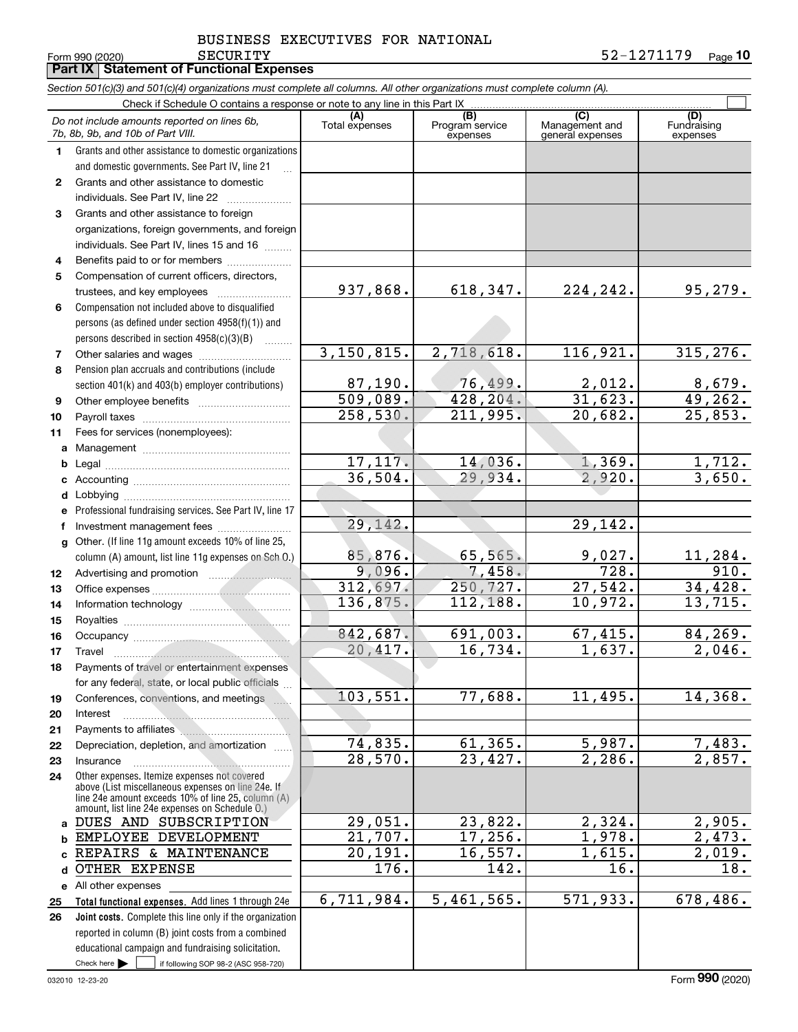**10** SECURITY 52-1271179

Form 990 (2020) Page **Part IX Statement of Functional Expenses**

|              | Section 501(c)(3) and 501(c)(4) organizations must complete all columns. All other organizations must complete column (A).                                                                                 |                       |                                    |                                           |                                |  |  |  |  |  |  |
|--------------|------------------------------------------------------------------------------------------------------------------------------------------------------------------------------------------------------------|-----------------------|------------------------------------|-------------------------------------------|--------------------------------|--|--|--|--|--|--|
|              | Check if Schedule O contains a response or note to any line in this Part IX                                                                                                                                |                       |                                    |                                           |                                |  |  |  |  |  |  |
|              | Do not include amounts reported on lines 6b,<br>7b, 8b, 9b, and 10b of Part VIII.                                                                                                                          | (A)<br>Total expenses | (B)<br>Program service<br>expenses | (C)<br>Management and<br>general expenses | (D)<br>Fundraising<br>expenses |  |  |  |  |  |  |
| 1.           | Grants and other assistance to domestic organizations<br>and domestic governments. See Part IV, line 21                                                                                                    |                       |                                    |                                           |                                |  |  |  |  |  |  |
| $\mathbf{2}$ | Grants and other assistance to domestic                                                                                                                                                                    |                       |                                    |                                           |                                |  |  |  |  |  |  |
|              | individuals. See Part IV, line 22                                                                                                                                                                          |                       |                                    |                                           |                                |  |  |  |  |  |  |
| 3            | Grants and other assistance to foreign                                                                                                                                                                     |                       |                                    |                                           |                                |  |  |  |  |  |  |
|              | organizations, foreign governments, and foreign                                                                                                                                                            |                       |                                    |                                           |                                |  |  |  |  |  |  |
|              | individuals. See Part IV, lines 15 and 16                                                                                                                                                                  |                       |                                    |                                           |                                |  |  |  |  |  |  |
| 4            | Benefits paid to or for members                                                                                                                                                                            |                       |                                    |                                           |                                |  |  |  |  |  |  |
| 5            | Compensation of current officers, directors,                                                                                                                                                               |                       |                                    |                                           |                                |  |  |  |  |  |  |
|              | trustees, and key employees                                                                                                                                                                                | 937,868.              | 618, 347.                          | 224, 242.                                 | 95,279.                        |  |  |  |  |  |  |
| 6            | Compensation not included above to disqualified                                                                                                                                                            |                       |                                    |                                           |                                |  |  |  |  |  |  |
|              | persons (as defined under section 4958(f)(1)) and                                                                                                                                                          |                       |                                    |                                           |                                |  |  |  |  |  |  |
|              | persons described in section 4958(c)(3)(B)                                                                                                                                                                 |                       |                                    |                                           |                                |  |  |  |  |  |  |
| 7            |                                                                                                                                                                                                            | 3,150,815.            | 2,718,618.                         | 116,921.                                  | 315, 276.                      |  |  |  |  |  |  |
| 8            | Pension plan accruals and contributions (include                                                                                                                                                           |                       |                                    |                                           |                                |  |  |  |  |  |  |
|              | section 401(k) and 403(b) employer contributions)                                                                                                                                                          | 87,190.               | 76,499.                            | 2,012.                                    | 8,679.                         |  |  |  |  |  |  |
| 9            |                                                                                                                                                                                                            | 509,089.              | 428, 204.                          | 31,623.                                   | 49,262.                        |  |  |  |  |  |  |
| 10           |                                                                                                                                                                                                            | 258,530.              | 211,995.                           | 20,682.                                   | 25,853.                        |  |  |  |  |  |  |
| 11           | Fees for services (nonemployees):                                                                                                                                                                          |                       |                                    |                                           |                                |  |  |  |  |  |  |
| a            |                                                                                                                                                                                                            |                       |                                    |                                           |                                |  |  |  |  |  |  |
| b            |                                                                                                                                                                                                            | 17, 117.              | 14,036.                            | 1,369.                                    | 1,712.                         |  |  |  |  |  |  |
| c            |                                                                                                                                                                                                            | 36,504.               | 29,934.                            | 2,920.                                    | 3,650.                         |  |  |  |  |  |  |
| d            |                                                                                                                                                                                                            |                       |                                    |                                           |                                |  |  |  |  |  |  |
|              | Professional fundraising services. See Part IV, line 17                                                                                                                                                    |                       |                                    |                                           |                                |  |  |  |  |  |  |
|              |                                                                                                                                                                                                            | 29, 142.              |                                    | 29,142.                                   |                                |  |  |  |  |  |  |
| g            | Other. (If line 11g amount exceeds 10% of line 25,                                                                                                                                                         |                       | 65,565.                            |                                           |                                |  |  |  |  |  |  |
|              | column (A) amount, list line 11g expenses on Sch O.)                                                                                                                                                       | 85,876.<br>9,096.     | 7,458.                             | 9,027.<br>728.                            | 11,284.<br>910.                |  |  |  |  |  |  |
| 12           |                                                                                                                                                                                                            | 312,697.              | 250,727.                           | 27,542.                                   | 34,428.                        |  |  |  |  |  |  |
| 13           |                                                                                                                                                                                                            | 136,875.              | 112,188.                           | 10,972.                                   | 13,715.                        |  |  |  |  |  |  |
| 14           |                                                                                                                                                                                                            |                       |                                    |                                           |                                |  |  |  |  |  |  |
| 15<br>16     |                                                                                                                                                                                                            | 842,687.              | 691,003.                           | 67,415.                                   | 84, 269.                       |  |  |  |  |  |  |
| 17           |                                                                                                                                                                                                            | 20,417.               | 16,734.                            | 1,637.                                    | 2,046.                         |  |  |  |  |  |  |
| 18           | Payments of travel or entertainment expenses                                                                                                                                                               |                       |                                    |                                           |                                |  |  |  |  |  |  |
|              | for any federal, state, or local public officials                                                                                                                                                          |                       |                                    |                                           |                                |  |  |  |  |  |  |
| 19           | Conferences, conventions, and meetings                                                                                                                                                                     | 103, 551.             | 77,688.                            | 11,495.                                   | 14,368.                        |  |  |  |  |  |  |
| 20           | Interest                                                                                                                                                                                                   |                       |                                    |                                           |                                |  |  |  |  |  |  |
| 21           |                                                                                                                                                                                                            |                       |                                    |                                           |                                |  |  |  |  |  |  |
| 22           | Depreciation, depletion, and amortization                                                                                                                                                                  | 74,835.               | 61,365.                            | 5,987.                                    | 7,483.                         |  |  |  |  |  |  |
| 23           | Insurance                                                                                                                                                                                                  | 28,570.               | 23,427.                            | $\overline{2,286}$ .                      | $\overline{2}$ , 857.          |  |  |  |  |  |  |
| 24           | Other expenses. Itemize expenses not covered<br>above (List miscellaneous expenses on line 24e. If<br>line 24e amount exceeds 10% of line 25, column (A)<br>amount, list line 24e expenses on Schedule 0.) |                       |                                    |                                           |                                |  |  |  |  |  |  |
| a            | DUES AND SUBSCRIPTION                                                                                                                                                                                      | 29,051.               | 23,822.                            | 2,324.                                    | 2,905.                         |  |  |  |  |  |  |
| b            | EMPLOYEE DEVELOPMENT                                                                                                                                                                                       | 21,707.               | 17,256.                            | 1,978.                                    | $\overline{2}$ , 473.          |  |  |  |  |  |  |
|              | REPAIRS & MAINTENANCE                                                                                                                                                                                      | 20,191.               | 16, 557.                           | 1,615.                                    | $\overline{2}$ , 019.          |  |  |  |  |  |  |
| d            | OTHER EXPENSE                                                                                                                                                                                              | 176.                  | 142.                               | 16.                                       | 18.                            |  |  |  |  |  |  |
|              | e All other expenses                                                                                                                                                                                       |                       |                                    |                                           |                                |  |  |  |  |  |  |
| 25           | Total functional expenses. Add lines 1 through 24e                                                                                                                                                         | 6,711,984.            | 5,461,565.                         | 571,933.                                  | 678,486.                       |  |  |  |  |  |  |
| 26           | Joint costs. Complete this line only if the organization                                                                                                                                                   |                       |                                    |                                           |                                |  |  |  |  |  |  |
|              | reported in column (B) joint costs from a combined                                                                                                                                                         |                       |                                    |                                           |                                |  |  |  |  |  |  |
|              | educational campaign and fundraising solicitation.                                                                                                                                                         |                       |                                    |                                           |                                |  |  |  |  |  |  |
|              | Check here $\blacktriangleright$<br>if following SOP 98-2 (ASC 958-720)                                                                                                                                    |                       |                                    |                                           |                                |  |  |  |  |  |  |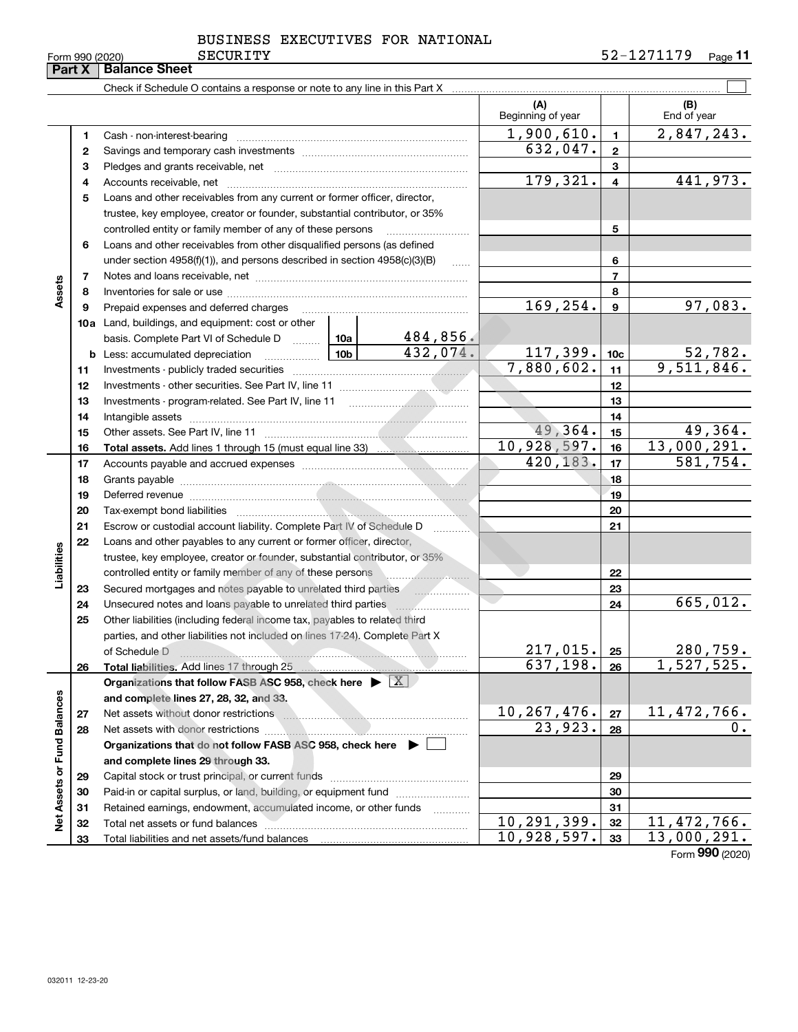032011 12-23-20

| Form 990 (2020) | <b>SECURITY</b> | $\cdot$ 70 $\cdot$<br>_<br><b>A</b> | Page |
|-----------------|-----------------|-------------------------------------|------|
|-----------------|-----------------|-------------------------------------|------|

BUSINESS EXECUTIVES FOR NATIONAL

|                             |    |                                                                                                                                                                                                                                      |            |                | (A)<br>Beginning of year |                          | (B)<br>End of year         |
|-----------------------------|----|--------------------------------------------------------------------------------------------------------------------------------------------------------------------------------------------------------------------------------------|------------|----------------|--------------------------|--------------------------|----------------------------|
|                             | 1  | Cash - non-interest-bearing                                                                                                                                                                                                          | 1,900,610. | $\mathbf{1}$   | 2,847,243.               |                          |                            |
|                             | 2  |                                                                                                                                                                                                                                      |            |                | 632,047.                 | $\mathbf{2}$             |                            |
|                             | 3  |                                                                                                                                                                                                                                      |            | 3              |                          |                          |                            |
|                             | 4  |                                                                                                                                                                                                                                      | 179,321.   | $\overline{4}$ | 441,973.                 |                          |                            |
|                             | 5  | Loans and other receivables from any current or former officer, director,                                                                                                                                                            |            |                |                          |                          |                            |
|                             |    | trustee, key employee, creator or founder, substantial contributor, or 35%                                                                                                                                                           |            |                |                          |                          |                            |
|                             |    | controlled entity or family member of any of these persons                                                                                                                                                                           |            |                |                          | 5                        |                            |
|                             | 6  | Loans and other receivables from other disqualified persons (as defined                                                                                                                                                              |            |                |                          |                          |                            |
|                             |    | under section $4958(f)(1)$ , and persons described in section $4958(c)(3)(B)$                                                                                                                                                        |            | 6              |                          |                          |                            |
|                             | 7  |                                                                                                                                                                                                                                      |            |                |                          | $\overline{\phantom{a}}$ |                            |
| Assets                      | 8  |                                                                                                                                                                                                                                      |            |                |                          | 8                        |                            |
|                             | 9  | Prepaid expenses and deferred charges                                                                                                                                                                                                |            |                | 169, 254.                | $\boldsymbol{9}$         | 97,083.                    |
|                             |    | <b>10a</b> Land, buildings, and equipment: cost or other                                                                                                                                                                             |            |                |                          |                          |                            |
|                             |    | basis. Complete Part VI of Schedule D  10a                                                                                                                                                                                           |            | 484,856.       |                          |                          |                            |
|                             |    | <u>  10b</u> 10b<br><b>b</b> Less: accumulated depreciation                                                                                                                                                                          |            | 432,074.       | 117,399.                 | 10 <sub>c</sub>          | $\frac{52,782}{9,511,846}$ |
|                             | 11 |                                                                                                                                                                                                                                      |            | 7,880,602.     | 11                       |                          |                            |
|                             | 12 |                                                                                                                                                                                                                                      |            | 12             |                          |                          |                            |
|                             | 13 |                                                                                                                                                                                                                                      |            | 13             |                          |                          |                            |
|                             | 14 |                                                                                                                                                                                                                                      |            | 14             |                          |                          |                            |
|                             | 15 |                                                                                                                                                                                                                                      |            |                | 49,364.                  | 15                       | 49,364.                    |
|                             | 16 |                                                                                                                                                                                                                                      |            |                | 10,928,597.              | 16                       | 13,000,291.                |
|                             | 17 |                                                                                                                                                                                                                                      |            |                | 420, 183.                | 17                       | 581,754.                   |
|                             | 18 |                                                                                                                                                                                                                                      |            | 18             |                          |                          |                            |
|                             | 19 | Deferred revenue <b>contract and the contract of the contract of the contract of the contract of the contract of the contract of the contract of the contract of the contract of the contract of the contract of the contract of</b> |            | 19             |                          |                          |                            |
|                             | 20 | Tax-exempt bond liabilities                                                                                                                                                                                                          |            | 20             |                          |                          |                            |
|                             | 21 | Escrow or custodial account liability. Complete Part IV of Schedule D                                                                                                                                                                |            |                | 21                       |                          |                            |
|                             | 22 | Loans and other payables to any current or former officer, director,                                                                                                                                                                 |            |                |                          |                          |                            |
| Liabilities                 |    | trustee, key employee, creator or founder, substantial contributor, or 35%                                                                                                                                                           |            |                |                          |                          |                            |
|                             |    | controlled entity or family member of any of these persons                                                                                                                                                                           |            |                |                          | 22                       |                            |
|                             | 23 | Secured mortgages and notes payable to unrelated third parties                                                                                                                                                                       |            | .              |                          | 23                       |                            |
|                             | 24 | Unsecured notes and loans payable to unrelated third parties <i>manumumum</i>                                                                                                                                                        |            |                |                          | 24                       | 665,012.                   |
|                             | 25 | Other liabilities (including federal income tax, payables to related third                                                                                                                                                           |            |                |                          |                          |                            |
|                             |    | parties, and other liabilities not included on lines 17-24). Complete Part X                                                                                                                                                         |            |                |                          |                          |                            |
|                             |    | of Schedule D                                                                                                                                                                                                                        |            |                | 217,015.                 | 25                       | 280,759.                   |
|                             | 26 | Total liabilities. Add lines 17 through 25                                                                                                                                                                                           |            |                | 637,198.                 | 26                       | 1,527,525.                 |
|                             |    | Organizations that follow FASB ASC 958, check here $\blacktriangleright \boxed{X}$                                                                                                                                                   |            |                |                          |                          |                            |
|                             |    | and complete lines 27, 28, 32, and 33.                                                                                                                                                                                               |            |                |                          |                          |                            |
|                             | 27 | Net assets without donor restrictions                                                                                                                                                                                                |            |                | <u>10,267,476.</u>       | 27                       | <u>11,472,766.</u>         |
|                             | 28 | Net assets with donor restrictions                                                                                                                                                                                                   |            |                | 23,923.                  | 28                       | 0.                         |
|                             |    | Organizations that do not follow FASB ASC 958, check here $\blacktriangleright \Box$                                                                                                                                                 |            |                |                          |                          |                            |
|                             |    | and complete lines 29 through 33.                                                                                                                                                                                                    |            |                |                          |                          |                            |
|                             | 29 |                                                                                                                                                                                                                                      |            |                |                          | 29                       |                            |
|                             | 30 | Paid-in or capital surplus, or land, building, or equipment fund                                                                                                                                                                     |            |                |                          | 30                       |                            |
| Net Assets or Fund Balances | 31 | Retained earnings, endowment, accumulated income, or other funds                                                                                                                                                                     |            |                | 10, 291, 399.            | 31                       |                            |
|                             | 32 |                                                                                                                                                                                                                                      |            |                |                          | 32                       | 11,472,766.                |
|                             | 33 |                                                                                                                                                                                                                                      |            |                | 10,928,597.              | 33                       | 13,000,291.                |
|                             |    |                                                                                                                                                                                                                                      |            |                |                          |                          | Form 990 (2020)            |

**Part X Balance Sheet**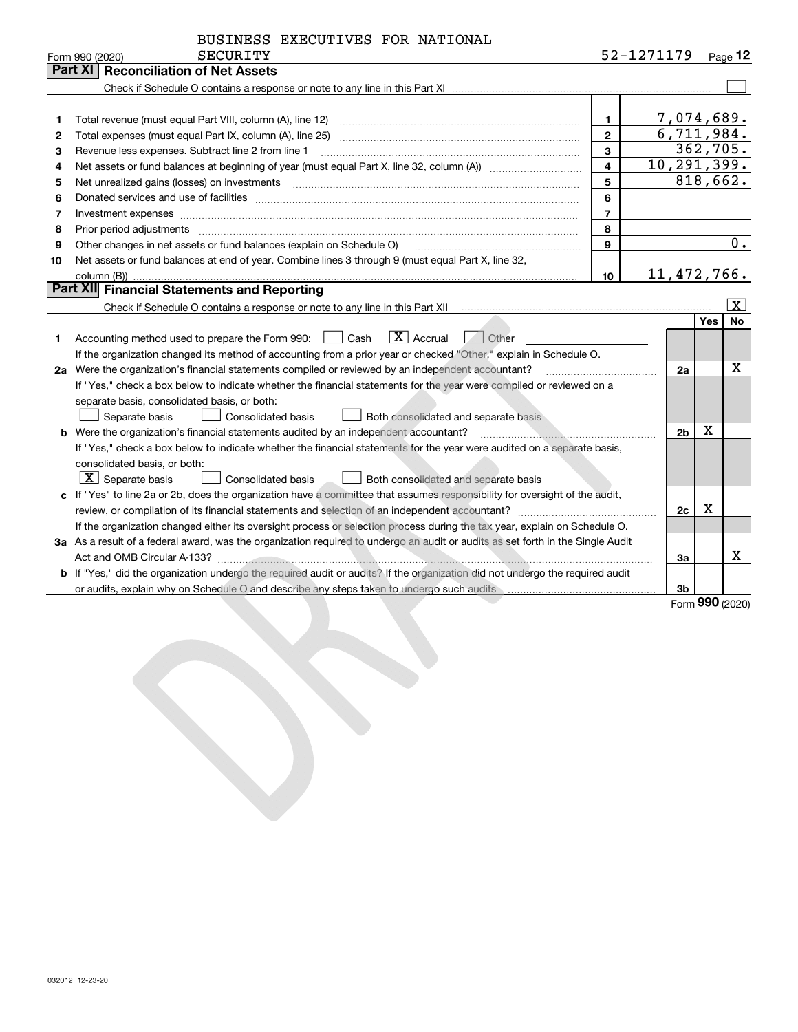| BUSINESS EXECUTIVES FOR NATIONAL |  |  |  |
|----------------------------------|--|--|--|
|----------------------------------|--|--|--|

| Part XI<br><b>Reconciliation of Net Assets</b><br>7,074,689.<br>$\mathbf 1$<br>1<br>6,711,984.<br>$\overline{2}$<br>2<br>362,705.<br>$\overline{3}$<br>Revenue less expenses. Subtract line 2 from line 1<br>з<br>10, 291, 399.<br>$\overline{\mathbf{4}}$<br>4<br>818,662.<br>5<br>5<br>6<br>6<br>$\overline{7}$<br>7<br>Investment expenses<br>8<br>8<br>$\overline{0}$ .<br>$\mathbf{9}$<br>Other changes in net assets or fund balances (explain on Schedule O)<br>9<br>Net assets or fund balances at end of year. Combine lines 3 through 9 (must equal Part X, line 32,<br>10<br>11,472,766.<br>10 <sup>1</sup><br>Part XII Financial Statements and Reporting<br>$\boxed{\text{X}}$<br><b>No</b><br><b>Yes</b><br>$\boxed{\text{X}}$ Accrual<br>Accounting method used to prepare the Form 990: <u>[</u> Cash<br>Other<br>1.<br>If the organization changed its method of accounting from a prior year or checked "Other," explain in Schedule O.<br>X<br>2a Were the organization's financial statements compiled or reviewed by an independent accountant?<br>2a<br>If "Yes," check a box below to indicate whether the financial statements for the year were compiled or reviewed on a<br>separate basis, consolidated basis, or both:<br>Separate basis<br>Consolidated basis<br>Both consolidated and separate basis<br>Х<br><b>b</b> Were the organization's financial statements audited by an independent accountant?<br>2 <sub>b</sub><br>If "Yes," check a box below to indicate whether the financial statements for the year were audited on a separate basis,<br>consolidated basis, or both:<br>$\lfloor x \rfloor$ Separate basis<br>Consolidated basis<br>Both consolidated and separate basis<br>c If "Yes" to line 2a or 2b, does the organization have a committee that assumes responsibility for oversight of the audit,<br>$\mathbf X$<br>2c<br>If the organization changed either its oversight process or selection process during the tax year, explain on Schedule O.<br>3a As a result of a federal award, was the organization required to undergo an audit or audits as set forth in the Single Audit | SECURITY<br>Form 990 (2020) |  | 52-1271179 |  |  | Page $12$ |
|---------------------------------------------------------------------------------------------------------------------------------------------------------------------------------------------------------------------------------------------------------------------------------------------------------------------------------------------------------------------------------------------------------------------------------------------------------------------------------------------------------------------------------------------------------------------------------------------------------------------------------------------------------------------------------------------------------------------------------------------------------------------------------------------------------------------------------------------------------------------------------------------------------------------------------------------------------------------------------------------------------------------------------------------------------------------------------------------------------------------------------------------------------------------------------------------------------------------------------------------------------------------------------------------------------------------------------------------------------------------------------------------------------------------------------------------------------------------------------------------------------------------------------------------------------------------------------------------------------------------------------------------------------------------------------------------------------------------------------------------------------------------------------------------------------------------------------------------------------------------------------------------------------------------------------------------------------------------------------------------------------------------------------------------------------------------------------------------------------------------------------------------|-----------------------------|--|------------|--|--|-----------|
|                                                                                                                                                                                                                                                                                                                                                                                                                                                                                                                                                                                                                                                                                                                                                                                                                                                                                                                                                                                                                                                                                                                                                                                                                                                                                                                                                                                                                                                                                                                                                                                                                                                                                                                                                                                                                                                                                                                                                                                                                                                                                                                                             |                             |  |            |  |  |           |
|                                                                                                                                                                                                                                                                                                                                                                                                                                                                                                                                                                                                                                                                                                                                                                                                                                                                                                                                                                                                                                                                                                                                                                                                                                                                                                                                                                                                                                                                                                                                                                                                                                                                                                                                                                                                                                                                                                                                                                                                                                                                                                                                             |                             |  |            |  |  |           |
|                                                                                                                                                                                                                                                                                                                                                                                                                                                                                                                                                                                                                                                                                                                                                                                                                                                                                                                                                                                                                                                                                                                                                                                                                                                                                                                                                                                                                                                                                                                                                                                                                                                                                                                                                                                                                                                                                                                                                                                                                                                                                                                                             |                             |  |            |  |  |           |
|                                                                                                                                                                                                                                                                                                                                                                                                                                                                                                                                                                                                                                                                                                                                                                                                                                                                                                                                                                                                                                                                                                                                                                                                                                                                                                                                                                                                                                                                                                                                                                                                                                                                                                                                                                                                                                                                                                                                                                                                                                                                                                                                             |                             |  |            |  |  |           |
|                                                                                                                                                                                                                                                                                                                                                                                                                                                                                                                                                                                                                                                                                                                                                                                                                                                                                                                                                                                                                                                                                                                                                                                                                                                                                                                                                                                                                                                                                                                                                                                                                                                                                                                                                                                                                                                                                                                                                                                                                                                                                                                                             |                             |  |            |  |  |           |
|                                                                                                                                                                                                                                                                                                                                                                                                                                                                                                                                                                                                                                                                                                                                                                                                                                                                                                                                                                                                                                                                                                                                                                                                                                                                                                                                                                                                                                                                                                                                                                                                                                                                                                                                                                                                                                                                                                                                                                                                                                                                                                                                             |                             |  |            |  |  |           |
|                                                                                                                                                                                                                                                                                                                                                                                                                                                                                                                                                                                                                                                                                                                                                                                                                                                                                                                                                                                                                                                                                                                                                                                                                                                                                                                                                                                                                                                                                                                                                                                                                                                                                                                                                                                                                                                                                                                                                                                                                                                                                                                                             |                             |  |            |  |  |           |
|                                                                                                                                                                                                                                                                                                                                                                                                                                                                                                                                                                                                                                                                                                                                                                                                                                                                                                                                                                                                                                                                                                                                                                                                                                                                                                                                                                                                                                                                                                                                                                                                                                                                                                                                                                                                                                                                                                                                                                                                                                                                                                                                             |                             |  |            |  |  |           |
|                                                                                                                                                                                                                                                                                                                                                                                                                                                                                                                                                                                                                                                                                                                                                                                                                                                                                                                                                                                                                                                                                                                                                                                                                                                                                                                                                                                                                                                                                                                                                                                                                                                                                                                                                                                                                                                                                                                                                                                                                                                                                                                                             |                             |  |            |  |  |           |
|                                                                                                                                                                                                                                                                                                                                                                                                                                                                                                                                                                                                                                                                                                                                                                                                                                                                                                                                                                                                                                                                                                                                                                                                                                                                                                                                                                                                                                                                                                                                                                                                                                                                                                                                                                                                                                                                                                                                                                                                                                                                                                                                             |                             |  |            |  |  |           |
|                                                                                                                                                                                                                                                                                                                                                                                                                                                                                                                                                                                                                                                                                                                                                                                                                                                                                                                                                                                                                                                                                                                                                                                                                                                                                                                                                                                                                                                                                                                                                                                                                                                                                                                                                                                                                                                                                                                                                                                                                                                                                                                                             |                             |  |            |  |  |           |
|                                                                                                                                                                                                                                                                                                                                                                                                                                                                                                                                                                                                                                                                                                                                                                                                                                                                                                                                                                                                                                                                                                                                                                                                                                                                                                                                                                                                                                                                                                                                                                                                                                                                                                                                                                                                                                                                                                                                                                                                                                                                                                                                             |                             |  |            |  |  |           |
|                                                                                                                                                                                                                                                                                                                                                                                                                                                                                                                                                                                                                                                                                                                                                                                                                                                                                                                                                                                                                                                                                                                                                                                                                                                                                                                                                                                                                                                                                                                                                                                                                                                                                                                                                                                                                                                                                                                                                                                                                                                                                                                                             |                             |  |            |  |  |           |
|                                                                                                                                                                                                                                                                                                                                                                                                                                                                                                                                                                                                                                                                                                                                                                                                                                                                                                                                                                                                                                                                                                                                                                                                                                                                                                                                                                                                                                                                                                                                                                                                                                                                                                                                                                                                                                                                                                                                                                                                                                                                                                                                             |                             |  |            |  |  |           |
|                                                                                                                                                                                                                                                                                                                                                                                                                                                                                                                                                                                                                                                                                                                                                                                                                                                                                                                                                                                                                                                                                                                                                                                                                                                                                                                                                                                                                                                                                                                                                                                                                                                                                                                                                                                                                                                                                                                                                                                                                                                                                                                                             |                             |  |            |  |  |           |
|                                                                                                                                                                                                                                                                                                                                                                                                                                                                                                                                                                                                                                                                                                                                                                                                                                                                                                                                                                                                                                                                                                                                                                                                                                                                                                                                                                                                                                                                                                                                                                                                                                                                                                                                                                                                                                                                                                                                                                                                                                                                                                                                             |                             |  |            |  |  |           |
|                                                                                                                                                                                                                                                                                                                                                                                                                                                                                                                                                                                                                                                                                                                                                                                                                                                                                                                                                                                                                                                                                                                                                                                                                                                                                                                                                                                                                                                                                                                                                                                                                                                                                                                                                                                                                                                                                                                                                                                                                                                                                                                                             |                             |  |            |  |  |           |
|                                                                                                                                                                                                                                                                                                                                                                                                                                                                                                                                                                                                                                                                                                                                                                                                                                                                                                                                                                                                                                                                                                                                                                                                                                                                                                                                                                                                                                                                                                                                                                                                                                                                                                                                                                                                                                                                                                                                                                                                                                                                                                                                             |                             |  |            |  |  |           |
|                                                                                                                                                                                                                                                                                                                                                                                                                                                                                                                                                                                                                                                                                                                                                                                                                                                                                                                                                                                                                                                                                                                                                                                                                                                                                                                                                                                                                                                                                                                                                                                                                                                                                                                                                                                                                                                                                                                                                                                                                                                                                                                                             |                             |  |            |  |  |           |
|                                                                                                                                                                                                                                                                                                                                                                                                                                                                                                                                                                                                                                                                                                                                                                                                                                                                                                                                                                                                                                                                                                                                                                                                                                                                                                                                                                                                                                                                                                                                                                                                                                                                                                                                                                                                                                                                                                                                                                                                                                                                                                                                             |                             |  |            |  |  |           |
|                                                                                                                                                                                                                                                                                                                                                                                                                                                                                                                                                                                                                                                                                                                                                                                                                                                                                                                                                                                                                                                                                                                                                                                                                                                                                                                                                                                                                                                                                                                                                                                                                                                                                                                                                                                                                                                                                                                                                                                                                                                                                                                                             |                             |  |            |  |  |           |
|                                                                                                                                                                                                                                                                                                                                                                                                                                                                                                                                                                                                                                                                                                                                                                                                                                                                                                                                                                                                                                                                                                                                                                                                                                                                                                                                                                                                                                                                                                                                                                                                                                                                                                                                                                                                                                                                                                                                                                                                                                                                                                                                             |                             |  |            |  |  |           |
|                                                                                                                                                                                                                                                                                                                                                                                                                                                                                                                                                                                                                                                                                                                                                                                                                                                                                                                                                                                                                                                                                                                                                                                                                                                                                                                                                                                                                                                                                                                                                                                                                                                                                                                                                                                                                                                                                                                                                                                                                                                                                                                                             |                             |  |            |  |  |           |
|                                                                                                                                                                                                                                                                                                                                                                                                                                                                                                                                                                                                                                                                                                                                                                                                                                                                                                                                                                                                                                                                                                                                                                                                                                                                                                                                                                                                                                                                                                                                                                                                                                                                                                                                                                                                                                                                                                                                                                                                                                                                                                                                             |                             |  |            |  |  |           |
|                                                                                                                                                                                                                                                                                                                                                                                                                                                                                                                                                                                                                                                                                                                                                                                                                                                                                                                                                                                                                                                                                                                                                                                                                                                                                                                                                                                                                                                                                                                                                                                                                                                                                                                                                                                                                                                                                                                                                                                                                                                                                                                                             |                             |  |            |  |  |           |
|                                                                                                                                                                                                                                                                                                                                                                                                                                                                                                                                                                                                                                                                                                                                                                                                                                                                                                                                                                                                                                                                                                                                                                                                                                                                                                                                                                                                                                                                                                                                                                                                                                                                                                                                                                                                                                                                                                                                                                                                                                                                                                                                             |                             |  |            |  |  |           |
|                                                                                                                                                                                                                                                                                                                                                                                                                                                                                                                                                                                                                                                                                                                                                                                                                                                                                                                                                                                                                                                                                                                                                                                                                                                                                                                                                                                                                                                                                                                                                                                                                                                                                                                                                                                                                                                                                                                                                                                                                                                                                                                                             |                             |  |            |  |  |           |
|                                                                                                                                                                                                                                                                                                                                                                                                                                                                                                                                                                                                                                                                                                                                                                                                                                                                                                                                                                                                                                                                                                                                                                                                                                                                                                                                                                                                                                                                                                                                                                                                                                                                                                                                                                                                                                                                                                                                                                                                                                                                                                                                             |                             |  |            |  |  |           |
|                                                                                                                                                                                                                                                                                                                                                                                                                                                                                                                                                                                                                                                                                                                                                                                                                                                                                                                                                                                                                                                                                                                                                                                                                                                                                                                                                                                                                                                                                                                                                                                                                                                                                                                                                                                                                                                                                                                                                                                                                                                                                                                                             |                             |  |            |  |  |           |
|                                                                                                                                                                                                                                                                                                                                                                                                                                                                                                                                                                                                                                                                                                                                                                                                                                                                                                                                                                                                                                                                                                                                                                                                                                                                                                                                                                                                                                                                                                                                                                                                                                                                                                                                                                                                                                                                                                                                                                                                                                                                                                                                             |                             |  |            |  |  |           |
|                                                                                                                                                                                                                                                                                                                                                                                                                                                                                                                                                                                                                                                                                                                                                                                                                                                                                                                                                                                                                                                                                                                                                                                                                                                                                                                                                                                                                                                                                                                                                                                                                                                                                                                                                                                                                                                                                                                                                                                                                                                                                                                                             |                             |  |            |  |  |           |
| X<br>За                                                                                                                                                                                                                                                                                                                                                                                                                                                                                                                                                                                                                                                                                                                                                                                                                                                                                                                                                                                                                                                                                                                                                                                                                                                                                                                                                                                                                                                                                                                                                                                                                                                                                                                                                                                                                                                                                                                                                                                                                                                                                                                                     |                             |  |            |  |  |           |
| <b>b</b> If "Yes," did the organization undergo the required audit or audits? If the organization did not undergo the required audit                                                                                                                                                                                                                                                                                                                                                                                                                                                                                                                                                                                                                                                                                                                                                                                                                                                                                                                                                                                                                                                                                                                                                                                                                                                                                                                                                                                                                                                                                                                                                                                                                                                                                                                                                                                                                                                                                                                                                                                                        |                             |  |            |  |  |           |
| or audits, explain why on Schedule O and describe any steps taken to undergo such audits material content and the steps taken to undergo such audits material content and the steps of an audits.<br>3b<br><b>nnn</b>                                                                                                                                                                                                                                                                                                                                                                                                                                                                                                                                                                                                                                                                                                                                                                                                                                                                                                                                                                                                                                                                                                                                                                                                                                                                                                                                                                                                                                                                                                                                                                                                                                                                                                                                                                                                                                                                                                                       |                             |  |            |  |  |           |

Form (2020) **990**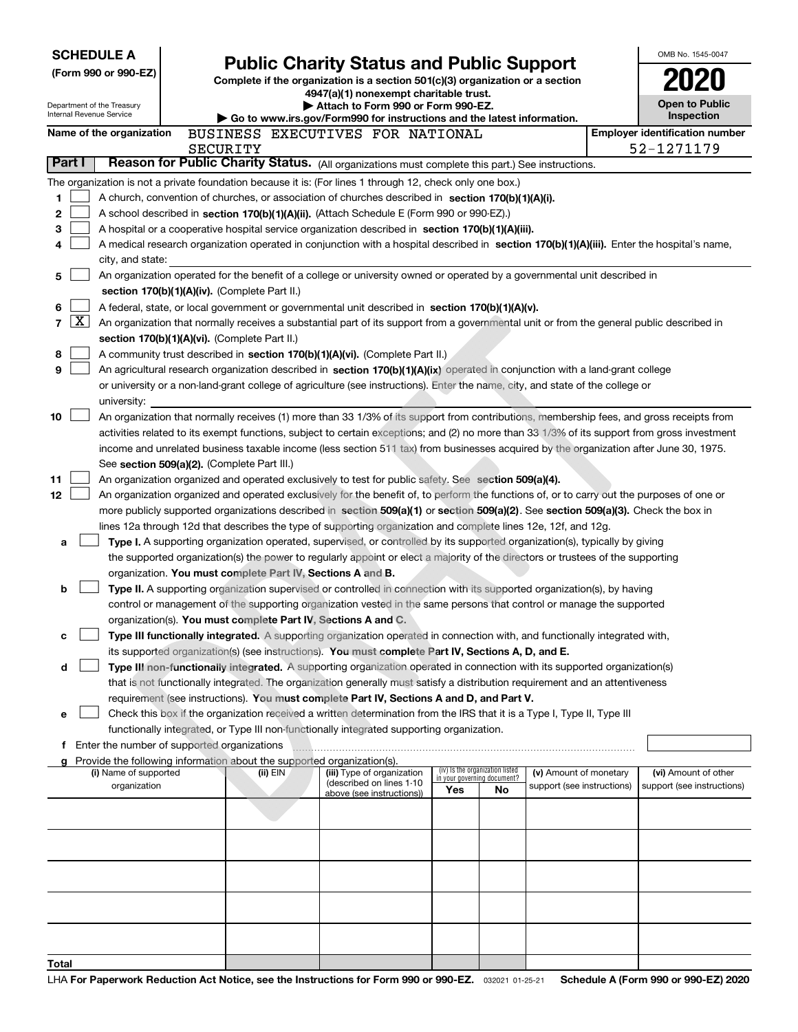|                      |              | <b>SCHEDULE A</b>                                      |                                               |          |                                        |                                                                                                                                                                                                                                 |     |                                 |                                                      | OMB No. 1545-0047                                                                                                                                                                                                                                                                |
|----------------------|--------------|--------------------------------------------------------|-----------------------------------------------|----------|----------------------------------------|---------------------------------------------------------------------------------------------------------------------------------------------------------------------------------------------------------------------------------|-----|---------------------------------|------------------------------------------------------|----------------------------------------------------------------------------------------------------------------------------------------------------------------------------------------------------------------------------------------------------------------------------------|
| (Form 990 or 990-EZ) |              |                                                        |                                               |          |                                        | <b>Public Charity Status and Public Support</b><br>Complete if the organization is a section 501(c)(3) organization or a section                                                                                                |     |                                 |                                                      |                                                                                                                                                                                                                                                                                  |
|                      |              |                                                        |                                               |          | 4947(a)(1) nonexempt charitable trust. |                                                                                                                                                                                                                                 |     |                                 |                                                      |                                                                                                                                                                                                                                                                                  |
|                      |              | Department of the Treasury<br>Internal Revenue Service |                                               |          |                                        | Attach to Form 990 or Form 990-EZ.                                                                                                                                                                                              |     |                                 |                                                      | <b>Open to Public</b><br>Inspection                                                                                                                                                                                                                                              |
|                      |              | Name of the organization                               |                                               |          |                                        | Go to www.irs.gov/Form990 for instructions and the latest information.<br>BUSINESS EXECUTIVES FOR NATIONAL                                                                                                                      |     |                                 |                                                      | <b>Employer identification number</b>                                                                                                                                                                                                                                            |
|                      |              |                                                        |                                               | SECURITY |                                        |                                                                                                                                                                                                                                 |     |                                 |                                                      | 52-1271179                                                                                                                                                                                                                                                                       |
| Part I               |              |                                                        |                                               |          |                                        | Reason for Public Charity Status. (All organizations must complete this part.) See instructions.                                                                                                                                |     |                                 |                                                      |                                                                                                                                                                                                                                                                                  |
|                      |              |                                                        |                                               |          |                                        | The organization is not a private foundation because it is: (For lines 1 through 12, check only one box.)                                                                                                                       |     |                                 |                                                      |                                                                                                                                                                                                                                                                                  |
| 1                    |              |                                                        |                                               |          |                                        | A church, convention of churches, or association of churches described in section 170(b)(1)(A)(i).                                                                                                                              |     |                                 |                                                      |                                                                                                                                                                                                                                                                                  |
| 2                    |              |                                                        |                                               |          |                                        | A school described in section 170(b)(1)(A)(ii). (Attach Schedule E (Form 990 or 990-EZ).)                                                                                                                                       |     |                                 |                                                      |                                                                                                                                                                                                                                                                                  |
| 3                    |              |                                                        |                                               |          |                                        | A hospital or a cooperative hospital service organization described in section 170(b)(1)(A)(iii).                                                                                                                               |     |                                 |                                                      |                                                                                                                                                                                                                                                                                  |
| 4                    |              |                                                        |                                               |          |                                        |                                                                                                                                                                                                                                 |     |                                 |                                                      | A medical research organization operated in conjunction with a hospital described in section 170(b)(1)(A)(iii). Enter the hospital's name,                                                                                                                                       |
|                      |              | city, and state:                                       |                                               |          |                                        |                                                                                                                                                                                                                                 |     |                                 |                                                      |                                                                                                                                                                                                                                                                                  |
| 5                    |              |                                                        |                                               |          |                                        | An organization operated for the benefit of a college or university owned or operated by a governmental unit described in                                                                                                       |     |                                 |                                                      |                                                                                                                                                                                                                                                                                  |
|                      |              |                                                        | section 170(b)(1)(A)(iv). (Complete Part II.) |          |                                        |                                                                                                                                                                                                                                 |     |                                 |                                                      |                                                                                                                                                                                                                                                                                  |
| 6<br>$\overline{7}$  | $\mathbf{X}$ |                                                        |                                               |          |                                        | A federal, state, or local government or governmental unit described in section 170(b)(1)(A)(v).                                                                                                                                |     |                                 |                                                      | An organization that normally receives a substantial part of its support from a governmental unit or from the general public described in                                                                                                                                        |
|                      |              | section 170(b)(1)(A)(vi). (Complete Part II.)          |                                               |          |                                        |                                                                                                                                                                                                                                 |     |                                 |                                                      |                                                                                                                                                                                                                                                                                  |
| 8                    |              |                                                        |                                               |          |                                        | A community trust described in section 170(b)(1)(A)(vi). (Complete Part II.)                                                                                                                                                    |     |                                 |                                                      |                                                                                                                                                                                                                                                                                  |
| 9                    |              |                                                        |                                               |          |                                        | An agricultural research organization described in section 170(b)(1)(A)(ix) operated in conjunction with a land-grant college                                                                                                   |     |                                 |                                                      |                                                                                                                                                                                                                                                                                  |
|                      |              |                                                        |                                               |          |                                        | or university or a non-land-grant college of agriculture (see instructions). Enter the name, city, and state of the college or                                                                                                  |     |                                 |                                                      |                                                                                                                                                                                                                                                                                  |
|                      |              | university:                                            |                                               |          |                                        |                                                                                                                                                                                                                                 |     |                                 |                                                      |                                                                                                                                                                                                                                                                                  |
| 10                   |              |                                                        |                                               |          |                                        |                                                                                                                                                                                                                                 |     |                                 |                                                      | An organization that normally receives (1) more than 33 1/3% of its support from contributions, membership fees, and gross receipts from                                                                                                                                         |
|                      |              |                                                        |                                               |          |                                        |                                                                                                                                                                                                                                 |     |                                 |                                                      | activities related to its exempt functions, subject to certain exceptions; and (2) no more than 33 1/3% of its support from gross investment                                                                                                                                     |
|                      |              |                                                        |                                               |          |                                        |                                                                                                                                                                                                                                 |     |                                 |                                                      | income and unrelated business taxable income (less section 511 tax) from businesses acquired by the organization after June 30, 1975.                                                                                                                                            |
|                      |              | See section 509(a)(2). (Complete Part III.)            |                                               |          |                                        |                                                                                                                                                                                                                                 |     |                                 |                                                      |                                                                                                                                                                                                                                                                                  |
| 11                   |              |                                                        |                                               |          |                                        | An organization organized and operated exclusively to test for public safety. See section 509(a)(4).                                                                                                                            |     |                                 |                                                      |                                                                                                                                                                                                                                                                                  |
| 12                   |              |                                                        |                                               |          |                                        |                                                                                                                                                                                                                                 |     |                                 |                                                      | An organization organized and operated exclusively for the benefit of, to perform the functions of, or to carry out the purposes of one or<br>more publicly supported organizations described in section 509(a)(1) or section 509(a)(2). See section 509(a)(3). Check the box in |
|                      |              |                                                        |                                               |          |                                        | lines 12a through 12d that describes the type of supporting organization and complete lines 12e, 12f, and 12g.                                                                                                                  |     |                                 |                                                      |                                                                                                                                                                                                                                                                                  |
| a                    |              |                                                        |                                               |          |                                        | Type I. A supporting organization operated, supervised, or controlled by its supported organization(s), typically by giving                                                                                                     |     |                                 |                                                      |                                                                                                                                                                                                                                                                                  |
|                      |              |                                                        |                                               |          |                                        | the supported organization(s) the power to regularly appoint or elect a majority of the directors or trustees of the supporting                                                                                                 |     |                                 |                                                      |                                                                                                                                                                                                                                                                                  |
|                      |              |                                                        |                                               |          |                                        | organization. You must complete Part IV, Sections A and B.                                                                                                                                                                      |     |                                 |                                                      |                                                                                                                                                                                                                                                                                  |
| b                    |              |                                                        |                                               |          |                                        | Type II. A supporting organization supervised or controlled in connection with its supported organization(s), by having                                                                                                         |     |                                 |                                                      |                                                                                                                                                                                                                                                                                  |
|                      |              |                                                        |                                               |          |                                        | control or management of the supporting organization vested in the same persons that control or manage the supported                                                                                                            |     |                                 |                                                      |                                                                                                                                                                                                                                                                                  |
|                      |              |                                                        |                                               |          |                                        | organization(s). You must complete Part IV, Sections A and C.                                                                                                                                                                   |     |                                 |                                                      |                                                                                                                                                                                                                                                                                  |
| с                    |              |                                                        |                                               |          |                                        | Type III functionally integrated. A supporting organization operated in connection with, and functionally integrated with,                                                                                                      |     |                                 |                                                      |                                                                                                                                                                                                                                                                                  |
| d                    |              |                                                        |                                               |          |                                        | its supported organization(s) (see instructions). You must complete Part IV, Sections A, D, and E.<br>Type III non-functionally integrated. A supporting organization operated in connection with its supported organization(s) |     |                                 |                                                      |                                                                                                                                                                                                                                                                                  |
|                      |              |                                                        |                                               |          |                                        | that is not functionally integrated. The organization generally must satisfy a distribution requirement and an attentiveness                                                                                                    |     |                                 |                                                      |                                                                                                                                                                                                                                                                                  |
|                      |              |                                                        |                                               |          |                                        | requirement (see instructions). You must complete Part IV, Sections A and D, and Part V.                                                                                                                                        |     |                                 |                                                      |                                                                                                                                                                                                                                                                                  |
| е                    |              |                                                        |                                               |          |                                        | Check this box if the organization received a written determination from the IRS that it is a Type I, Type II, Type III                                                                                                         |     |                                 |                                                      |                                                                                                                                                                                                                                                                                  |
|                      |              |                                                        |                                               |          |                                        | functionally integrated, or Type III non-functionally integrated supporting organization.                                                                                                                                       |     |                                 |                                                      |                                                                                                                                                                                                                                                                                  |
|                      |              | f Enter the number of supported organizations          |                                               |          |                                        |                                                                                                                                                                                                                                 |     |                                 |                                                      |                                                                                                                                                                                                                                                                                  |
|                      |              |                                                        |                                               |          |                                        | Provide the following information about the supported organization(s).                                                                                                                                                          |     | (iv) Is the organization listed |                                                      |                                                                                                                                                                                                                                                                                  |
|                      |              | (i) Name of supported<br>organization                  |                                               |          | (ii) EIN                               | (iii) Type of organization<br>(described on lines 1-10                                                                                                                                                                          |     | in your governing document?     | (v) Amount of monetary<br>support (see instructions) | (vi) Amount of other<br>support (see instructions)                                                                                                                                                                                                                               |
|                      |              |                                                        |                                               |          |                                        | above (see instructions))                                                                                                                                                                                                       | Yes | No                              |                                                      |                                                                                                                                                                                                                                                                                  |
|                      |              |                                                        |                                               |          |                                        |                                                                                                                                                                                                                                 |     |                                 |                                                      |                                                                                                                                                                                                                                                                                  |
|                      |              |                                                        |                                               |          |                                        |                                                                                                                                                                                                                                 |     |                                 |                                                      |                                                                                                                                                                                                                                                                                  |
|                      |              |                                                        |                                               |          |                                        |                                                                                                                                                                                                                                 |     |                                 |                                                      |                                                                                                                                                                                                                                                                                  |
|                      |              |                                                        |                                               |          |                                        |                                                                                                                                                                                                                                 |     |                                 |                                                      |                                                                                                                                                                                                                                                                                  |
|                      |              |                                                        |                                               |          |                                        |                                                                                                                                                                                                                                 |     |                                 |                                                      |                                                                                                                                                                                                                                                                                  |
|                      |              |                                                        |                                               |          |                                        |                                                                                                                                                                                                                                 |     |                                 |                                                      |                                                                                                                                                                                                                                                                                  |
|                      |              |                                                        |                                               |          |                                        |                                                                                                                                                                                                                                 |     |                                 |                                                      |                                                                                                                                                                                                                                                                                  |
|                      |              |                                                        |                                               |          |                                        |                                                                                                                                                                                                                                 |     |                                 |                                                      |                                                                                                                                                                                                                                                                                  |
|                      |              |                                                        |                                               |          |                                        |                                                                                                                                                                                                                                 |     |                                 |                                                      |                                                                                                                                                                                                                                                                                  |
| Total                |              |                                                        |                                               |          |                                        |                                                                                                                                                                                                                                 |     |                                 |                                                      |                                                                                                                                                                                                                                                                                  |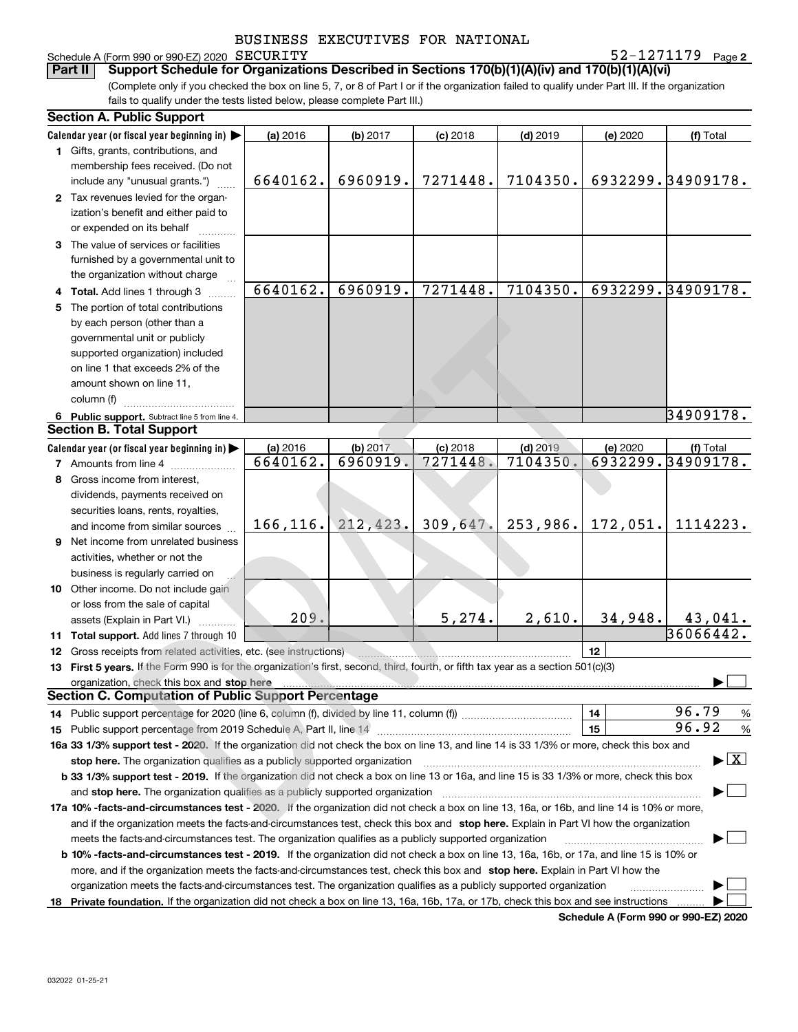# Schedule A (Form 990 or 990-EZ) 2020 SECURITY<br>**Part II** Support Schedule for Organization

**2** SECURITY 52-1271179

(Complete only if you checked the box on line 5, 7, or 8 of Part I or if the organization failed to qualify under Part III. If the organization fails to qualify under the tests listed below, please complete Part III.) **Bupport Schedule for Organizations Described in Sections 170(b)(1)(A)(iv) and 170(b)(1)(A)(vi)** 

|    | <b>Section A. Public Support</b>                                                                                                                                                                                               |           |           |            |            |                                      |                                          |
|----|--------------------------------------------------------------------------------------------------------------------------------------------------------------------------------------------------------------------------------|-----------|-----------|------------|------------|--------------------------------------|------------------------------------------|
|    | Calendar year (or fiscal year beginning in)                                                                                                                                                                                    | (a) 2016  | (b) 2017  | $(c)$ 2018 | $(d)$ 2019 | (e) 2020                             | (f) Total                                |
|    | 1 Gifts, grants, contributions, and                                                                                                                                                                                            |           |           |            |            |                                      |                                          |
|    | membership fees received. (Do not                                                                                                                                                                                              |           |           |            |            |                                      |                                          |
|    | include any "unusual grants.")                                                                                                                                                                                                 | 6640162.  | 6960919.  | 7271448.   | 7104350.   |                                      | 6932299.34909178.                        |
|    | 2 Tax revenues levied for the organ-                                                                                                                                                                                           |           |           |            |            |                                      |                                          |
|    | ization's benefit and either paid to                                                                                                                                                                                           |           |           |            |            |                                      |                                          |
|    | or expended on its behalf                                                                                                                                                                                                      |           |           |            |            |                                      |                                          |
|    | 3 The value of services or facilities                                                                                                                                                                                          |           |           |            |            |                                      |                                          |
|    | furnished by a governmental unit to                                                                                                                                                                                            |           |           |            |            |                                      |                                          |
|    | the organization without charge                                                                                                                                                                                                |           |           |            |            |                                      |                                          |
|    | 4 Total. Add lines 1 through 3                                                                                                                                                                                                 | 6640162.  | 6960919.  | 7271448.   | 7104350.   |                                      | 6932299.34909178.                        |
| 5  | The portion of total contributions                                                                                                                                                                                             |           |           |            |            |                                      |                                          |
|    | by each person (other than a                                                                                                                                                                                                   |           |           |            |            |                                      |                                          |
|    | governmental unit or publicly                                                                                                                                                                                                  |           |           |            |            |                                      |                                          |
|    | supported organization) included                                                                                                                                                                                               |           |           |            |            |                                      |                                          |
|    | on line 1 that exceeds 2% of the                                                                                                                                                                                               |           |           |            |            |                                      |                                          |
|    | amount shown on line 11,                                                                                                                                                                                                       |           |           |            |            |                                      |                                          |
|    | column (f)                                                                                                                                                                                                                     |           |           |            |            |                                      |                                          |
|    | 6 Public support. Subtract line 5 from line 4.                                                                                                                                                                                 |           |           |            |            |                                      | 34909178.                                |
|    | <b>Section B. Total Support</b>                                                                                                                                                                                                |           |           |            |            |                                      |                                          |
|    | Calendar year (or fiscal year beginning in)                                                                                                                                                                                    | (a) 2016  | (b) 2017  | $(c)$ 2018 | $(d)$ 2019 | (e) 2020                             | (f) Total                                |
|    | <b>7</b> Amounts from line 4                                                                                                                                                                                                   | 6640162.  | 6960919.  | 7271448.   | 7104350.   |                                      | 6932299.34909178.                        |
|    | 8 Gross income from interest,                                                                                                                                                                                                  |           |           |            |            |                                      |                                          |
|    | dividends, payments received on                                                                                                                                                                                                |           |           |            |            |                                      |                                          |
|    | securities loans, rents, royalties,                                                                                                                                                                                            |           |           |            |            |                                      |                                          |
|    | and income from similar sources                                                                                                                                                                                                | 166, 116. | 212, 423. | 309,647.   | 253,986.   | 172,051.                             | 1114223.                                 |
|    | 9 Net income from unrelated business                                                                                                                                                                                           |           |           |            |            |                                      |                                          |
|    | activities, whether or not the                                                                                                                                                                                                 |           |           |            |            |                                      |                                          |
|    | business is regularly carried on                                                                                                                                                                                               |           |           |            |            |                                      |                                          |
|    | 10 Other income. Do not include gain                                                                                                                                                                                           |           |           |            |            |                                      |                                          |
|    | or loss from the sale of capital                                                                                                                                                                                               |           |           |            |            |                                      |                                          |
|    | assets (Explain in Part VI.)                                                                                                                                                                                                   | 209.      |           | 5,274.     | 2,610.     | 34,948.                              |                                          |
|    | 11 Total support. Add lines 7 through 10                                                                                                                                                                                       |           |           |            |            |                                      | $\frac{43,041.}{36066442.}$              |
|    | <b>12</b> Gross receipts from related activities, etc. (see instructions)                                                                                                                                                      |           |           |            |            | 12 <sup>2</sup>                      |                                          |
|    | 13 First 5 years. If the Form 990 is for the organization's first, second, third, fourth, or fifth tax year as a section 501(c)(3)                                                                                             |           |           |            |            |                                      |                                          |
|    | organization, check this box and stop here manufactured and announced and announced the control of the control of the control of the control of the control of the control of the control of the control of the control of the |           |           |            |            |                                      |                                          |
|    | <b>Section C. Computation of Public Support Percentage</b>                                                                                                                                                                     |           |           |            |            |                                      |                                          |
|    | 14 Public support percentage for 2020 (line 6, column (f), divided by line 11, column (f) <i>manumanomeromeromerom</i>                                                                                                         |           |           |            |            | 14                                   | 96.79<br>%                               |
|    |                                                                                                                                                                                                                                |           |           |            |            | 15                                   | 96.92<br>%                               |
|    | 16a 33 1/3% support test - 2020. If the organization did not check the box on line 13, and line 14 is 33 1/3% or more, check this box and                                                                                      |           |           |            |            |                                      |                                          |
|    | stop here. The organization qualifies as a publicly supported organization                                                                                                                                                     |           |           |            |            |                                      | $\blacktriangleright$ $\boxed{\text{X}}$ |
|    | b 33 1/3% support test - 2019. If the organization did not check a box on line 13 or 16a, and line 15 is 33 1/3% or more, check this box                                                                                       |           |           |            |            |                                      |                                          |
|    | and stop here. The organization qualifies as a publicly supported organization                                                                                                                                                 |           |           |            |            |                                      |                                          |
|    | 17a 10% -facts-and-circumstances test - 2020. If the organization did not check a box on line 13, 16a, or 16b, and line 14 is 10% or more,                                                                                     |           |           |            |            |                                      |                                          |
|    | and if the organization meets the facts and circumstances test, check this box and stop here. Explain in Part VI how the organization                                                                                          |           |           |            |            |                                      |                                          |
|    | meets the facts-and-circumstances test. The organization qualifies as a publicly supported organization                                                                                                                        |           |           |            |            |                                      |                                          |
|    | <b>b 10% -facts-and-circumstances test - 2019.</b> If the organization did not check a box on line 13, 16a, 16b, or 17a, and line 15 is 10% or                                                                                 |           |           |            |            |                                      |                                          |
|    | more, and if the organization meets the facts-and-circumstances test, check this box and stop here. Explain in Part VI how the                                                                                                 |           |           |            |            |                                      |                                          |
|    | organization meets the facts-and-circumstances test. The organization qualifies as a publicly supported organization                                                                                                           |           |           |            |            |                                      |                                          |
|    |                                                                                                                                                                                                                                |           |           |            |            |                                      |                                          |
| 18 | Private foundation. If the organization did not check a box on line 13, 16a, 16b, 17a, or 17b, check this box and see instructions                                                                                             |           |           |            |            | Schodule A (Form 000 or 000 EZ) 2020 |                                          |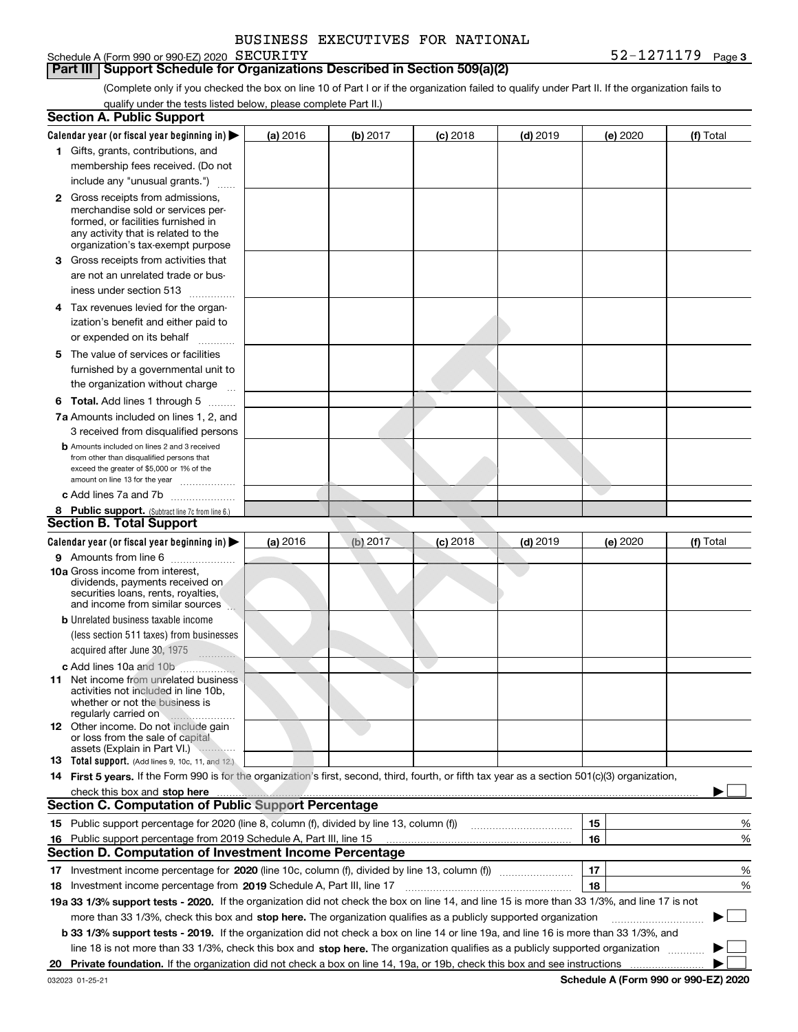| BUSINESS EXECUTIVES FOR NATIONAL |  |
|----------------------------------|--|
|                                  |  |

### Schedule A (Form 990 or 990-EZ) 2020 SECURITY

(Complete only if you checked the box on line 10 of Part I or if the organization failed to qualify under Part II. If the organization fails to **Part III** | Support Schedule for Organizations Described in Section 509(a)(2)

qualify under the tests listed below, please complete Part II.)

| <b>Section A. Public Support</b>                                                                                                                                                                                                                                                 |          |          |            |            |          |                                             |
|----------------------------------------------------------------------------------------------------------------------------------------------------------------------------------------------------------------------------------------------------------------------------------|----------|----------|------------|------------|----------|---------------------------------------------|
| Calendar year (or fiscal year beginning in) $\blacktriangleright$                                                                                                                                                                                                                | (a) 2016 | (b) 2017 | $(c)$ 2018 | $(d)$ 2019 | (e) 2020 | (f) Total                                   |
| 1 Gifts, grants, contributions, and                                                                                                                                                                                                                                              |          |          |            |            |          |                                             |
| membership fees received. (Do not                                                                                                                                                                                                                                                |          |          |            |            |          |                                             |
| include any "unusual grants.")                                                                                                                                                                                                                                                   |          |          |            |            |          |                                             |
| <b>2</b> Gross receipts from admissions,<br>merchandise sold or services per-<br>formed, or facilities furnished in<br>any activity that is related to the<br>organization's tax-exempt purpose                                                                                  |          |          |            |            |          |                                             |
| 3 Gross receipts from activities that<br>are not an unrelated trade or bus-                                                                                                                                                                                                      |          |          |            |            |          |                                             |
| iness under section 513                                                                                                                                                                                                                                                          |          |          |            |            |          |                                             |
| 4 Tax revenues levied for the organ-<br>ization's benefit and either paid to                                                                                                                                                                                                     |          |          |            |            |          |                                             |
| or expended on its behalf                                                                                                                                                                                                                                                        |          |          |            |            |          |                                             |
| 5 The value of services or facilities<br>furnished by a governmental unit to                                                                                                                                                                                                     |          |          |            |            |          |                                             |
| the organization without charge                                                                                                                                                                                                                                                  |          |          |            |            |          |                                             |
| <b>6 Total.</b> Add lines 1 through 5                                                                                                                                                                                                                                            |          |          |            |            |          |                                             |
| 7a Amounts included on lines 1, 2, and<br>3 received from disqualified persons                                                                                                                                                                                                   |          |          |            |            |          |                                             |
| <b>b</b> Amounts included on lines 2 and 3 received<br>from other than disqualified persons that<br>exceed the greater of \$5,000 or 1% of the<br>amount on line 13 for the year                                                                                                 |          |          |            |            |          |                                             |
| c Add lines 7a and 7b                                                                                                                                                                                                                                                            |          |          |            |            |          |                                             |
| 8 Public support. (Subtract line 7c from line 6.)                                                                                                                                                                                                                                |          |          |            |            |          |                                             |
| <b>Section B. Total Support</b>                                                                                                                                                                                                                                                  |          |          |            |            |          |                                             |
| Calendar year (or fiscal year beginning in)                                                                                                                                                                                                                                      | (a) 2016 | (b) 2017 | $(c)$ 2018 | $(d)$ 2019 | (e) 2020 | (f) Total                                   |
| 9 Amounts from line 6<br><b>10a</b> Gross income from interest,<br>dividends, payments received on<br>securities loans, rents, royalties,<br>and income from similar sources                                                                                                     |          |          |            |            |          |                                             |
| <b>b</b> Unrelated business taxable income<br>(less section 511 taxes) from businesses<br>acquired after June 30, 1975                                                                                                                                                           |          |          |            |            |          |                                             |
| $\cdots$<br><b>c</b> Add lines 10a and 10b                                                                                                                                                                                                                                       |          |          |            |            |          |                                             |
| <b>11</b> Net income from unrelated business<br>activities not included in line 10b.<br>whether or not the business is<br>regularly carried on                                                                                                                                   |          |          |            |            |          |                                             |
| <b>12</b> Other income. Do not include gain<br>or loss from the sale of capital<br>assets (Explain in Part VI.)                                                                                                                                                                  |          |          |            |            |          |                                             |
| 13 Total support. (Add lines 9, 10c, 11, and 12.)                                                                                                                                                                                                                                |          |          |            |            |          |                                             |
| 14 First 5 years. If the Form 990 is for the organization's first, second, third, fourth, or fifth tax year as a section 501(c)(3) organization,<br>check this box and stop here <b>contained the contained and stop here</b> contained a stop here <b>contained a stop here</b> |          |          |            |            |          |                                             |
| <b>Section C. Computation of Public Support Percentage</b>                                                                                                                                                                                                                       |          |          |            |            |          |                                             |
| 15 Public support percentage for 2020 (line 8, column (f), divided by line 13, column (f))                                                                                                                                                                                       |          |          |            |            | 15       | %                                           |
| 16 Public support percentage from 2019 Schedule A, Part III, line 15                                                                                                                                                                                                             |          |          |            |            | 16       | %                                           |
| <b>Section D. Computation of Investment Income Percentage</b>                                                                                                                                                                                                                    |          |          |            |            |          |                                             |
| 17 Investment income percentage for 2020 (line 10c, column (f), divided by line 13, column (f))                                                                                                                                                                                  |          |          |            |            | 17       | %                                           |
| <b>18</b> Investment income percentage from <b>2019</b> Schedule A, Part III, line 17                                                                                                                                                                                            |          |          |            |            | 18       | %                                           |
| 19a 33 1/3% support tests - 2020. If the organization did not check the box on line 14, and line 15 is more than 33 1/3%, and line 17 is not                                                                                                                                     |          |          |            |            |          |                                             |
| more than 33 1/3%, check this box and stop here. The organization qualifies as a publicly supported organization                                                                                                                                                                 |          |          |            |            |          | ▶                                           |
| b 33 1/3% support tests - 2019. If the organization did not check a box on line 14 or line 19a, and line 16 is more than 33 1/3%, and                                                                                                                                            |          |          |            |            |          |                                             |
| line 18 is not more than 33 1/3%, check this box and stop here. The organization qualifies as a publicly supported organization                                                                                                                                                  |          |          |            |            |          |                                             |
| 20 Private foundation. If the organization did not check a box on line 14, 19a, or 19b, check this box and see instructions                                                                                                                                                      |          |          |            |            |          | <b>Cohodulo A (Form 000 or 000 EZ) 2020</b> |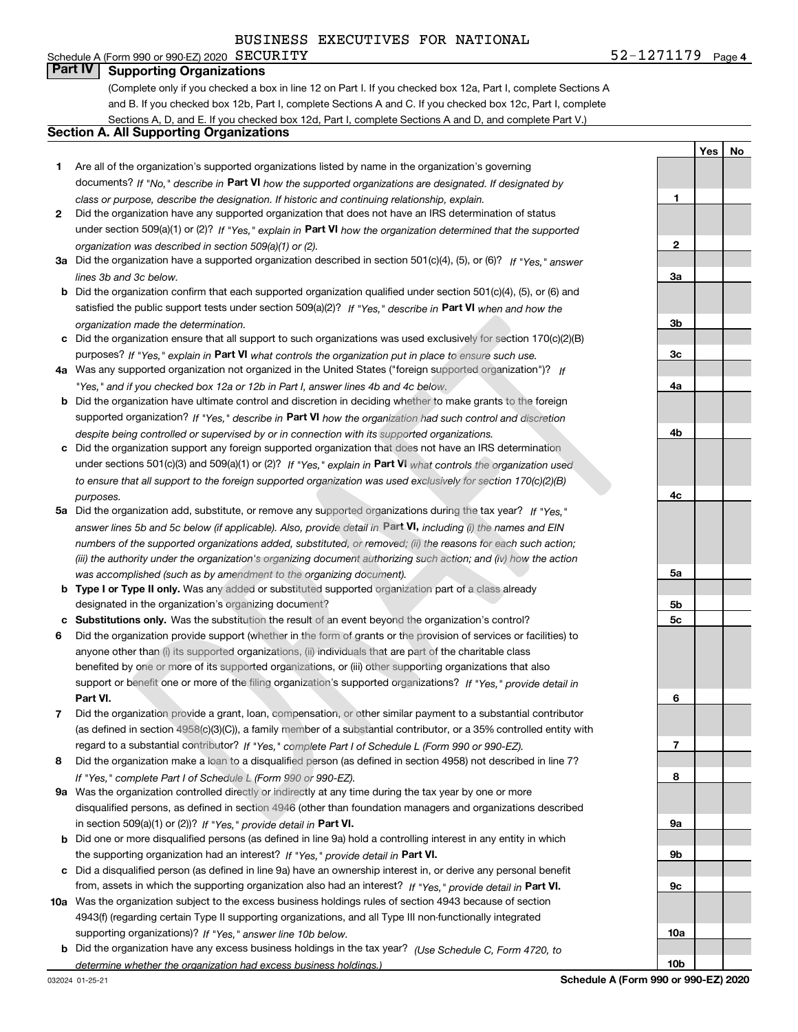# Schedule A (Form 990 or 990-EZ) 2020  $SECURITY$

**4**SECURITY 52-1271179

**1**

**2**

**3a**

**Yes No**

### **Part IV Supporting Organizations**

(Complete only if you checked a box in line 12 on Part I. If you checked box 12a, Part I, complete Sections A and B. If you checked box 12b, Part I, complete Sections A and C. If you checked box 12c, Part I, complete Sections A, D, and E. If you checked box 12d, Part I, complete Sections A and D, and complete Part V.)

### **Section A. All Supporting Organizations**

- **1** Are all of the organization's supported organizations listed by name in the organization's governing documents? If "No," describe in **Part VI** how the supported organizations are designated. If designated by *class or purpose, describe the designation. If historic and continuing relationship, explain.*
- **2** Did the organization have any supported organization that does not have an IRS determination of status under section 509(a)(1) or (2)? If "Yes," explain in Part VI how the organization determined that the supported *organization was described in section 509(a)(1) or (2).*
- **3a** Did the organization have a supported organization described in section 501(c)(4), (5), or (6)? If "Yes," answer *lines 3b and 3c below.*
- **b** Did the organization confirm that each supported organization qualified under section 501(c)(4), (5), or (6) and satisfied the public support tests under section 509(a)(2)? If "Yes," describe in **Part VI** when and how the *organization made the determination.*
- **c**Did the organization ensure that all support to such organizations was used exclusively for section 170(c)(2)(B) purposes? If "Yes," explain in **Part VI** what controls the organization put in place to ensure such use.
- **4a***If* Was any supported organization not organized in the United States ("foreign supported organization")? *"Yes," and if you checked box 12a or 12b in Part I, answer lines 4b and 4c below.*
- **b** Did the organization have ultimate control and discretion in deciding whether to make grants to the foreign supported organization? If "Yes," describe in **Part VI** how the organization had such control and discretion *despite being controlled or supervised by or in connection with its supported organizations.*
- **c** Did the organization support any foreign supported organization that does not have an IRS determination under sections 501(c)(3) and 509(a)(1) or (2)? If "Yes," explain in **Part VI** what controls the organization used *to ensure that all support to the foreign supported organization was used exclusively for section 170(c)(2)(B) purposes.*
- **5a** Did the organization add, substitute, or remove any supported organizations during the tax year? If "Yes," answer lines 5b and 5c below (if applicable). Also, provide detail in Part **VI,** including (i) the names and EIN *numbers of the supported organizations added, substituted, or removed; (ii) the reasons for each such action; (iii) the authority under the organization's organizing document authorizing such action; and (iv) how the action was accomplished (such as by amendment to the organizing document).*
- **b** Type I or Type II only. Was any added or substituted supported organization part of a class already designated in the organization's organizing document?
- **cSubstitutions only.**  Was the substitution the result of an event beyond the organization's control?
- **6** Did the organization provide support (whether in the form of grants or the provision of services or facilities) to **Part VI.** *If "Yes," provide detail in* support or benefit one or more of the filing organization's supported organizations? anyone other than (i) its supported organizations, (ii) individuals that are part of the charitable class benefited by one or more of its supported organizations, or (iii) other supporting organizations that also
- **7**Did the organization provide a grant, loan, compensation, or other similar payment to a substantial contributor *If "Yes," complete Part I of Schedule L (Form 990 or 990-EZ).* regard to a substantial contributor? (as defined in section 4958(c)(3)(C)), a family member of a substantial contributor, or a 35% controlled entity with
- **8** Did the organization make a loan to a disqualified person (as defined in section 4958) not described in line 7? *If "Yes," complete Part I of Schedule L (Form 990 or 990-EZ).*
- **9a** Was the organization controlled directly or indirectly at any time during the tax year by one or more in section 509(a)(1) or (2))? If "Yes," *provide detail in* <code>Part VI.</code> disqualified persons, as defined in section 4946 (other than foundation managers and organizations described
- **b** Did one or more disqualified persons (as defined in line 9a) hold a controlling interest in any entity in which the supporting organization had an interest? If "Yes," provide detail in P**art VI**.
- **c**Did a disqualified person (as defined in line 9a) have an ownership interest in, or derive any personal benefit from, assets in which the supporting organization also had an interest? If "Yes," provide detail in P**art VI.**
- **10a** Was the organization subject to the excess business holdings rules of section 4943 because of section supporting organizations)? If "Yes," answer line 10b below. 4943(f) (regarding certain Type II supporting organizations, and all Type III non-functionally integrated
- **b** Did the organization have any excess business holdings in the tax year? (Use Schedule C, Form 4720, to *determine whether the organization had excess business holdings.)*

**10b**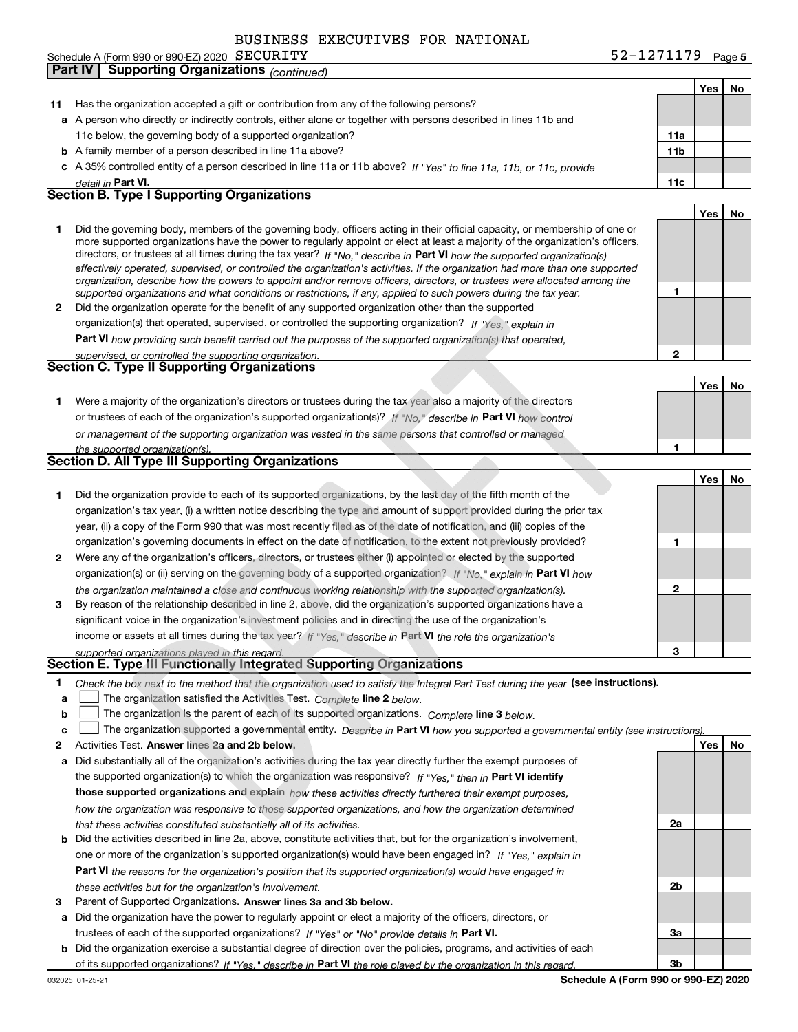Schedule A (Form 990 or 990-EZ) 2020 SECURITY **Part IV Supporting Organizations** *(continued)* 

T

|    |                                                                                                                                                                                                                                                            |                 | Yes        | No |
|----|------------------------------------------------------------------------------------------------------------------------------------------------------------------------------------------------------------------------------------------------------------|-----------------|------------|----|
| 11 | Has the organization accepted a gift or contribution from any of the following persons?                                                                                                                                                                    |                 |            |    |
|    | a A person who directly or indirectly controls, either alone or together with persons described in lines 11b and                                                                                                                                           |                 |            |    |
|    | 11c below, the governing body of a supported organization?                                                                                                                                                                                                 | 11a             |            |    |
|    | <b>b</b> A family member of a person described in line 11a above?                                                                                                                                                                                          | 11 <sub>b</sub> |            |    |
|    | c A 35% controlled entity of a person described in line 11a or 11b above? If "Yes" to line 11a, 11b, or 11c, provide                                                                                                                                       |                 |            |    |
|    | detail in Part VI.                                                                                                                                                                                                                                         | 11c             |            |    |
|    | <b>Section B. Type I Supporting Organizations</b>                                                                                                                                                                                                          |                 |            |    |
|    |                                                                                                                                                                                                                                                            |                 | Yes        | No |
| 1  | Did the governing body, members of the governing body, officers acting in their official capacity, or membership of one or                                                                                                                                 |                 |            |    |
|    | more supported organizations have the power to regularly appoint or elect at least a majority of the organization's officers,                                                                                                                              |                 |            |    |
|    | directors, or trustees at all times during the tax year? If "No," describe in Part VI how the supported organization(s)                                                                                                                                    |                 |            |    |
|    | effectively operated, supervised, or controlled the organization's activities. If the organization had more than one supported<br>organization, describe how the powers to appoint and/or remove officers, directors, or trustees were allocated among the |                 |            |    |
|    | supported organizations and what conditions or restrictions, if any, applied to such powers during the tax year.                                                                                                                                           | 1               |            |    |
| 2  | Did the organization operate for the benefit of any supported organization other than the supported                                                                                                                                                        |                 |            |    |
|    | organization(s) that operated, supervised, or controlled the supporting organization? If "Yes," explain in                                                                                                                                                 |                 |            |    |
|    | Part VI how providing such benefit carried out the purposes of the supported organization(s) that operated,                                                                                                                                                |                 |            |    |
|    | supervised, or controlled the supporting organization.                                                                                                                                                                                                     | 2               |            |    |
|    | <b>Section C. Type II Supporting Organizations</b>                                                                                                                                                                                                         |                 |            |    |
|    |                                                                                                                                                                                                                                                            |                 | Yes        | No |
| 1. | Were a majority of the organization's directors or trustees during the tax year also a majority of the directors                                                                                                                                           |                 |            |    |
|    | or trustees of each of the organization's supported organization(s)? If "No," describe in Part VI how control                                                                                                                                              |                 |            |    |
|    |                                                                                                                                                                                                                                                            |                 |            |    |
|    | or management of the supporting organization was vested in the same persons that controlled or managed                                                                                                                                                     |                 |            |    |
|    | the supported organization(s).<br><b>Section D. All Type III Supporting Organizations</b>                                                                                                                                                                  | 1               |            |    |
|    |                                                                                                                                                                                                                                                            |                 |            |    |
|    |                                                                                                                                                                                                                                                            |                 | Yes        | No |
| 1  | Did the organization provide to each of its supported organizations, by the last day of the fifth month of the                                                                                                                                             |                 |            |    |
|    | organization's tax year, (i) a written notice describing the type and amount of support provided during the prior tax                                                                                                                                      |                 |            |    |
|    | year, (ii) a copy of the Form 990 that was most recently filed as of the date of notification, and (iii) copies of the                                                                                                                                     |                 |            |    |
|    | organization's governing documents in effect on the date of notification, to the extent not previously provided?                                                                                                                                           | 1               |            |    |
| 2  | Were any of the organization's officers, directors, or trustees either (i) appointed or elected by the supported                                                                                                                                           |                 |            |    |
|    | organization(s) or (ii) serving on the governing body of a supported organization? If "No," explain in Part VI how                                                                                                                                         |                 |            |    |
|    | the organization maintained a close and continuous working relationship with the supported organization(s).                                                                                                                                                | 2               |            |    |
| 3  | By reason of the relationship described in line 2, above, did the organization's supported organizations have a                                                                                                                                            |                 |            |    |
|    | significant voice in the organization's investment policies and in directing the use of the organization's                                                                                                                                                 |                 |            |    |
|    | income or assets at all times during the tax year? If "Yes," describe in Part VI the role the organization's                                                                                                                                               |                 |            |    |
|    | supported organizations played in this regard.                                                                                                                                                                                                             | 3               |            |    |
|    | Section E. Type III Functionally Integrated Supporting Organizations                                                                                                                                                                                       |                 |            |    |
| 1  | Check the box next to the method that the organization used to satisfy the Integral Part Test during the year (see instructions).                                                                                                                          |                 |            |    |
| a  | The organization satisfied the Activities Test. Complete line 2 below.                                                                                                                                                                                     |                 |            |    |
| b  | The organization is the parent of each of its supported organizations. Complete line 3 below.                                                                                                                                                              |                 |            |    |
| c  | The organization supported a governmental entity. Describe in Part VI how you supported a governmental entity (see instructions)                                                                                                                           |                 |            |    |
| 2  | Activities Test. Answer lines 2a and 2b below.                                                                                                                                                                                                             |                 | <b>Yes</b> | No |
| а  | Did substantially all of the organization's activities during the tax year directly further the exempt purposes of                                                                                                                                         |                 |            |    |
|    | the supported organization(s) to which the organization was responsive? If "Yes," then in Part VI identify                                                                                                                                                 |                 |            |    |
|    | those supported organizations and explain how these activities directly furthered their exempt purposes,                                                                                                                                                   |                 |            |    |
|    | how the organization was responsive to those supported organizations, and how the organization determined                                                                                                                                                  |                 |            |    |
|    | that these activities constituted substantially all of its activities.                                                                                                                                                                                     | 2a              |            |    |
|    | <b>b</b> Did the activities described in line 2a, above, constitute activities that, but for the organization's involvement,                                                                                                                               |                 |            |    |
|    | one or more of the organization's supported organization(s) would have been engaged in? If "Yes," explain in                                                                                                                                               |                 |            |    |
|    | Part VI the reasons for the organization's position that its supported organization(s) would have engaged in                                                                                                                                               |                 |            |    |
|    | these activities but for the organization's involvement.                                                                                                                                                                                                   | 2b              |            |    |
| 3  | Parent of Supported Organizations. Answer lines 3a and 3b below.                                                                                                                                                                                           |                 |            |    |
| а  | Did the organization have the power to regularly appoint or elect a majority of the officers, directors, or                                                                                                                                                |                 |            |    |
|    | trustees of each of the supported organizations? If "Yes" or "No" provide details in Part VI.                                                                                                                                                              | За              |            |    |
|    | <b>b</b> Did the organization exercise a substantial degree of direction over the policies, programs, and activities of each                                                                                                                               |                 |            |    |
|    | of its supported organizations? If "Yes." describe in Part VI the role played by the organization in this regard.                                                                                                                                          | Зb              |            |    |
|    |                                                                                                                                                                                                                                                            |                 |            |    |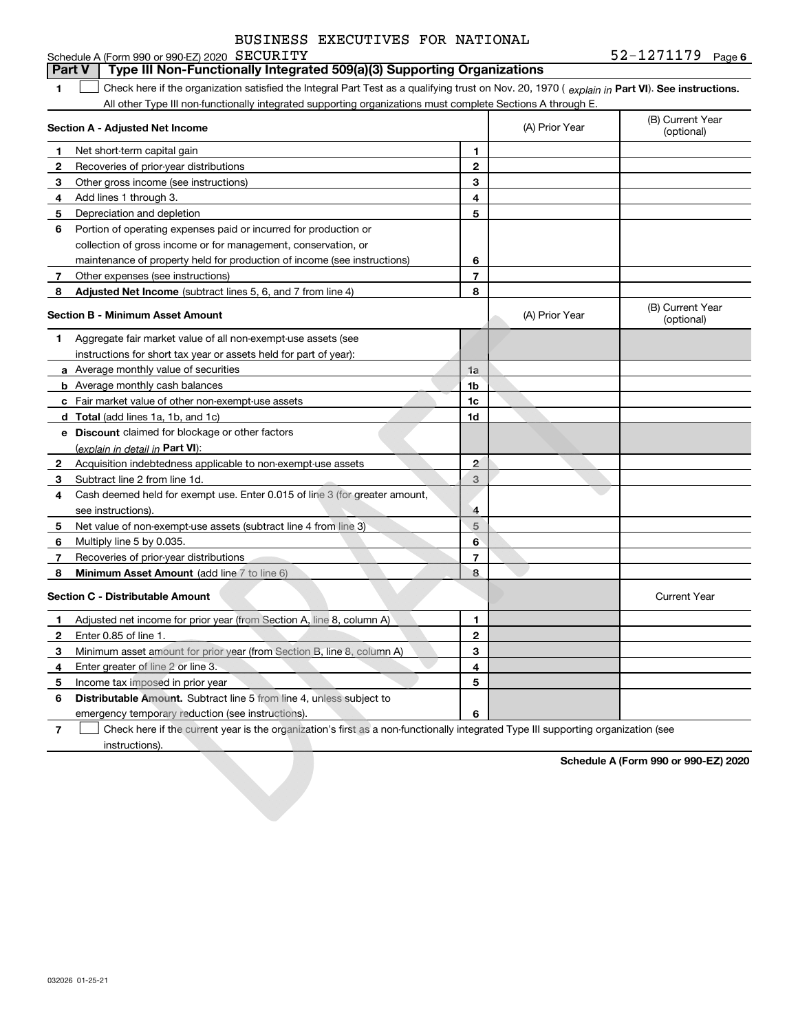|                                               | BUSINESS EXECUTIVES FOR NATIONAL |  |
|-----------------------------------------------|----------------------------------|--|
| Schedule A (Form 990 or 990-EZ) 2020 SECURITY |                                  |  |

**6**SECURITY 52-1271179

#### **1Part VI** Check here if the organization satisfied the Integral Part Test as a qualifying trust on Nov. 20, 1970 ( *explain in* Part **VI**). See instructions. **Section A - Adjusted Net Income 123** Other gross income (see instructions) **4**Add lines 1 through 3. **56** Portion of operating expenses paid or incurred for production or **78** Adjusted Net Income (subtract lines 5, 6, and 7 from line 4) **8 8 1234567Section B - Minimum Asset Amount 1**Aggregate fair market value of all non-exempt-use assets (see **2**Acquisition indebtedness applicable to non-exempt-use assets **3** Subtract line 2 from line 1d. **4**Cash deemed held for exempt use. Enter 0.015 of line 3 (for greater amount, **5** Net value of non-exempt-use assets (subtract line 4 from line 3) **678a** Average monthly value of securities **b** Average monthly cash balances **c**Fair market value of other non-exempt-use assets **dTotal**  (add lines 1a, 1b, and 1c) **eDiscount** claimed for blockage or other factors **1a1b1c1d2345678**<u>(explain in detail in **Part VI**):</u> **Minimum Asset Amount**  (add line 7 to line 6) **Section C - Distributable Amount 123456123456Distributable Amount.** Subtract line 5 from line 4, unless subject to All other Type III non-functionally integrated supporting organizations must complete Sections A through E. (B) Current Year (optional)(A) Prior Year Net short-term capital gain Recoveries of prior-year distributions Depreciation and depletion collection of gross income or for management, conservation, or maintenance of property held for production of income (see instructions) Other expenses (see instructions) (B) Current Year (optional)(A) Prior Year instructions for short tax year or assets held for part of year): see instructions). Multiply line 5 by 0.035. Recoveries of prior-year distributions Current Year Adjusted net income for prior year (from Section A, line 8, column A) Enter 0.85 of line 1. Minimum asset amount for prior year (from Section B, line 8, column A) Enter greater of line 2 or line 3. Income tax imposed in prior year emergency temporary reduction (see instructions). **Part V Type III Non-Functionally Integrated 509(a)(3) Supporting Organizations**   $\mathcal{L}^{\text{max}}$

**7**Check here if the current year is the organization's first as a non-functionally integrated Type III supporting organization (see instructions). $\mathcal{L}^{\text{max}}$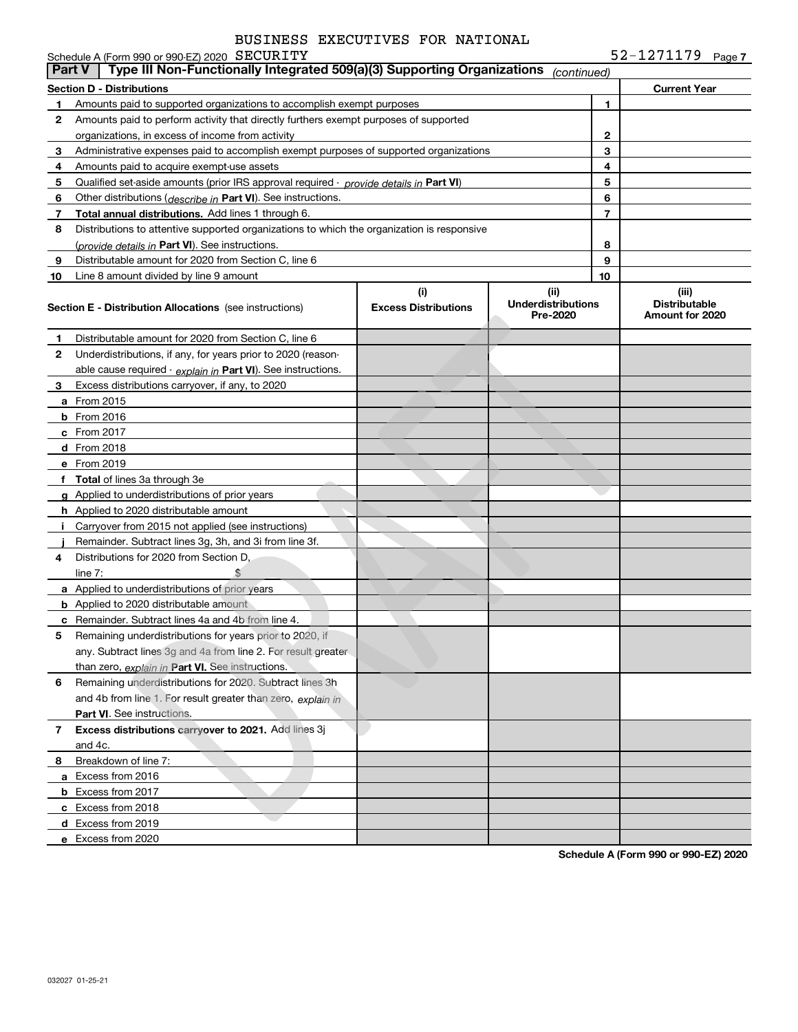|               | Schedule A (Form 990 or 990-EZ) 2020 SECURITY                                              |                                    |                                               |                | 52-1271179 Page 7                                |
|---------------|--------------------------------------------------------------------------------------------|------------------------------------|-----------------------------------------------|----------------|--------------------------------------------------|
| <b>Part V</b> | Type III Non-Functionally Integrated 509(a)(3) Supporting Organizations                    |                                    | (continued)                                   |                |                                                  |
|               | <b>Section D - Distributions</b>                                                           |                                    |                                               |                | <b>Current Year</b>                              |
| 1             | Amounts paid to supported organizations to accomplish exempt purposes                      |                                    |                                               | 1              |                                                  |
| 2             | Amounts paid to perform activity that directly furthers exempt purposes of supported       |                                    |                                               |                |                                                  |
|               | organizations, in excess of income from activity                                           |                                    |                                               | 2              |                                                  |
| 3             | Administrative expenses paid to accomplish exempt purposes of supported organizations      |                                    |                                               | 3              |                                                  |
| 4             | Amounts paid to acquire exempt-use assets                                                  |                                    |                                               | 4              |                                                  |
| 5             | Qualified set-aside amounts (prior IRS approval required - provide details in Part VI)     |                                    |                                               | 5              |                                                  |
| 6             | Other distributions ( <i>describe in</i> Part VI). See instructions.                       |                                    |                                               | 6              |                                                  |
| 7             | <b>Total annual distributions.</b> Add lines 1 through 6.                                  |                                    |                                               | $\overline{7}$ |                                                  |
| 8             | Distributions to attentive supported organizations to which the organization is responsive |                                    |                                               |                |                                                  |
|               | (provide details in Part VI). See instructions.                                            |                                    |                                               | 8              |                                                  |
| 9             | Distributable amount for 2020 from Section C, line 6                                       |                                    |                                               | 9              |                                                  |
| 10            | Line 8 amount divided by line 9 amount                                                     |                                    |                                               | 10             |                                                  |
|               | Section E - Distribution Allocations (see instructions)                                    | (i)<br><b>Excess Distributions</b> | (ii)<br><b>Underdistributions</b><br>Pre-2020 |                | (iii)<br><b>Distributable</b><br>Amount for 2020 |
| 1             | Distributable amount for 2020 from Section C, line 6                                       |                                    |                                               |                |                                                  |
| 2             | Underdistributions, if any, for years prior to 2020 (reason-                               |                                    |                                               |                |                                                  |
|               | able cause required - explain in Part VI). See instructions.                               |                                    |                                               |                |                                                  |
| 3             | Excess distributions carryover, if any, to 2020                                            |                                    |                                               |                |                                                  |
|               | <b>a</b> From 2015                                                                         |                                    |                                               |                |                                                  |
|               | <b>b</b> From 2016                                                                         |                                    |                                               |                |                                                  |
|               | $c$ From 2017                                                                              |                                    |                                               |                |                                                  |
|               | d From 2018                                                                                |                                    |                                               |                |                                                  |
|               | e From 2019                                                                                |                                    |                                               |                |                                                  |
|               | f Total of lines 3a through 3e                                                             |                                    |                                               |                |                                                  |
|               | <b>g</b> Applied to underdistributions of prior years                                      |                                    |                                               |                |                                                  |
|               | <b>h</b> Applied to 2020 distributable amount                                              |                                    |                                               |                |                                                  |
|               | Carryover from 2015 not applied (see instructions)                                         |                                    |                                               |                |                                                  |
|               | Remainder. Subtract lines 3g, 3h, and 3i from line 3f.                                     |                                    |                                               |                |                                                  |
| 4             | Distributions for 2020 from Section D,                                                     |                                    |                                               |                |                                                  |
|               | line $7$ :                                                                                 |                                    |                                               |                |                                                  |
|               | a Applied to underdistributions of prior years                                             |                                    |                                               |                |                                                  |
|               | <b>b</b> Applied to 2020 distributable amount                                              |                                    |                                               |                |                                                  |
|               | <b>c</b> Remainder. Subtract lines 4a and 4b from line 4.                                  |                                    |                                               |                |                                                  |
| 5             | Remaining underdistributions for years prior to 2020, if                                   |                                    |                                               |                |                                                  |
|               | any. Subtract lines 3g and 4a from line 2. For result greater                              |                                    |                                               |                |                                                  |
|               | than zero, explain in Part VI. See instructions.                                           |                                    |                                               |                |                                                  |
| 6             | Remaining underdistributions for 2020. Subtract lines 3h                                   |                                    |                                               |                |                                                  |
|               | and 4b from line 1. For result greater than zero, explain in                               |                                    |                                               |                |                                                  |
|               | Part VI. See instructions.                                                                 |                                    |                                               |                |                                                  |
| 7             | Excess distributions carryover to 2021. Add lines 3j                                       |                                    |                                               |                |                                                  |
|               | and 4c.                                                                                    |                                    |                                               |                |                                                  |
| 8.            | Breakdown of line 7:                                                                       |                                    |                                               |                |                                                  |
|               | a Excess from 2016                                                                         |                                    |                                               |                |                                                  |
|               | <b>b</b> Excess from 2017                                                                  |                                    |                                               |                |                                                  |
|               | c Excess from 2018                                                                         |                                    |                                               |                |                                                  |
|               | d Excess from 2019                                                                         |                                    |                                               |                |                                                  |
|               | e Excess from 2020                                                                         |                                    |                                               |                |                                                  |
|               |                                                                                            |                                    |                                               |                |                                                  |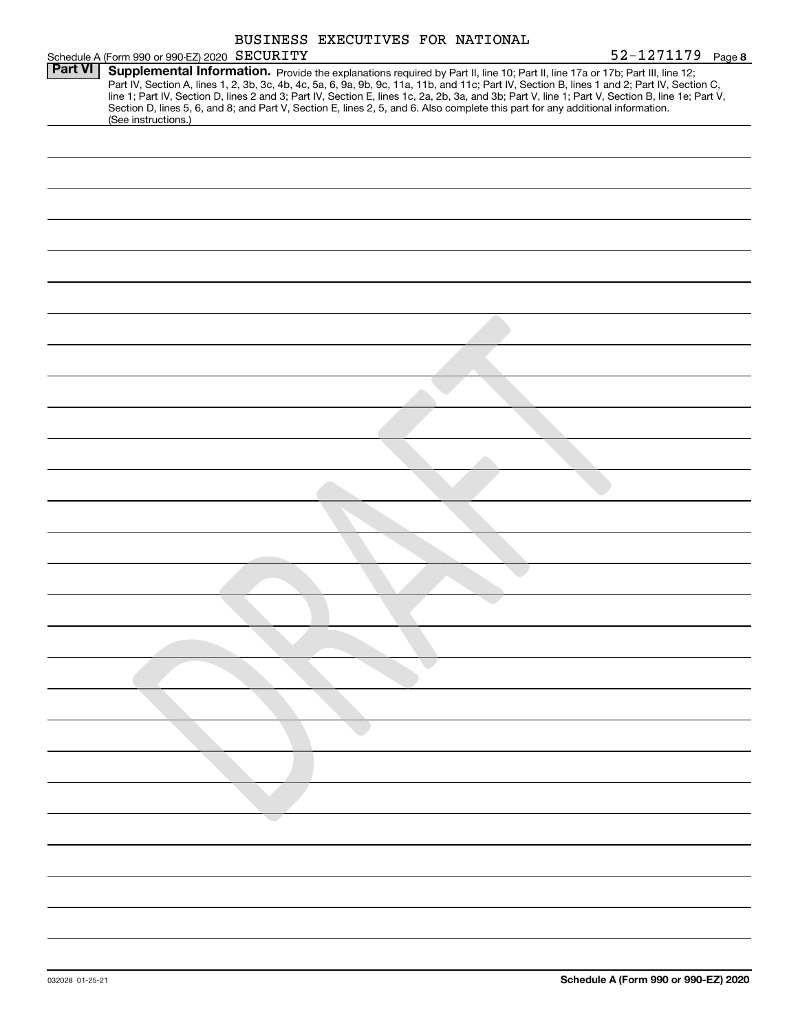|                | BUSINESS EXECUTIVES FOR NATIONAL                                                                                                                                                                                                                                                                                                                                                                                                                                                                                                                                                            |                   |
|----------------|---------------------------------------------------------------------------------------------------------------------------------------------------------------------------------------------------------------------------------------------------------------------------------------------------------------------------------------------------------------------------------------------------------------------------------------------------------------------------------------------------------------------------------------------------------------------------------------------|-------------------|
|                | Schedule A (Form 990 or 990-EZ) 2020 SECURITY                                                                                                                                                                                                                                                                                                                                                                                                                                                                                                                                               | 52-1271179 Page 8 |
| <b>Part VI</b> | Supplemental Information. Provide the explanations required by Part II, line 10; Part II, line 17a or 17b; Part III, line 12;<br>Part IV, Section A, lines 1, 2, 3b, 3c, 4b, 4c, 5a, 6, 9a, 9b, 9c, 11a, 11b, and 11c; Part IV, Section B, lines 1 and 2; Part IV, Section C,<br>line 1; Part IV, Section D, lines 2 and 3; Part IV, Section E, lines 1c, 2a, 2b, 3a, and 3b; Part V, line 1; Part V, Section B, line 1e; Part V,<br>Section D, lines 5, 6, and 8; and Part V, Section E, lines 2, 5, and 6. Also complete this part for any additional information.<br>(See instructions.) |                   |
|                |                                                                                                                                                                                                                                                                                                                                                                                                                                                                                                                                                                                             |                   |
|                |                                                                                                                                                                                                                                                                                                                                                                                                                                                                                                                                                                                             |                   |
|                |                                                                                                                                                                                                                                                                                                                                                                                                                                                                                                                                                                                             |                   |
|                |                                                                                                                                                                                                                                                                                                                                                                                                                                                                                                                                                                                             |                   |
|                |                                                                                                                                                                                                                                                                                                                                                                                                                                                                                                                                                                                             |                   |
|                |                                                                                                                                                                                                                                                                                                                                                                                                                                                                                                                                                                                             |                   |
|                |                                                                                                                                                                                                                                                                                                                                                                                                                                                                                                                                                                                             |                   |
|                |                                                                                                                                                                                                                                                                                                                                                                                                                                                                                                                                                                                             |                   |
|                |                                                                                                                                                                                                                                                                                                                                                                                                                                                                                                                                                                                             |                   |
|                |                                                                                                                                                                                                                                                                                                                                                                                                                                                                                                                                                                                             |                   |
|                |                                                                                                                                                                                                                                                                                                                                                                                                                                                                                                                                                                                             |                   |
|                |                                                                                                                                                                                                                                                                                                                                                                                                                                                                                                                                                                                             |                   |
|                |                                                                                                                                                                                                                                                                                                                                                                                                                                                                                                                                                                                             |                   |
|                |                                                                                                                                                                                                                                                                                                                                                                                                                                                                                                                                                                                             |                   |
|                |                                                                                                                                                                                                                                                                                                                                                                                                                                                                                                                                                                                             |                   |
|                |                                                                                                                                                                                                                                                                                                                                                                                                                                                                                                                                                                                             |                   |
|                |                                                                                                                                                                                                                                                                                                                                                                                                                                                                                                                                                                                             |                   |
|                |                                                                                                                                                                                                                                                                                                                                                                                                                                                                                                                                                                                             |                   |
|                |                                                                                                                                                                                                                                                                                                                                                                                                                                                                                                                                                                                             |                   |
|                |                                                                                                                                                                                                                                                                                                                                                                                                                                                                                                                                                                                             |                   |
|                |                                                                                                                                                                                                                                                                                                                                                                                                                                                                                                                                                                                             |                   |
|                |                                                                                                                                                                                                                                                                                                                                                                                                                                                                                                                                                                                             |                   |
|                |                                                                                                                                                                                                                                                                                                                                                                                                                                                                                                                                                                                             |                   |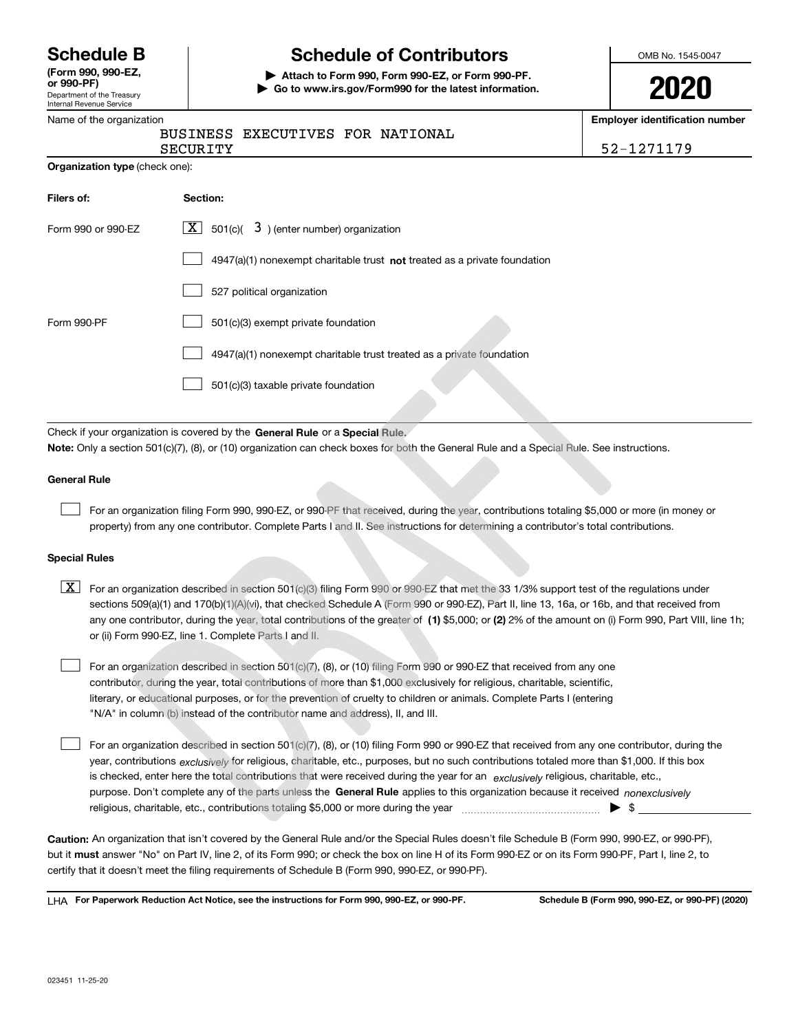|  | <b>Schedule B</b> |  |  |
|--|-------------------|--|--|
|--|-------------------|--|--|

Department of the Treasury **(Form 990, 990-EZ, or 990-PF)**

#### Internal Revenue Service Name of the organization

**Filers of:** 

# **Schedule of Contributors**

**| Attach to Form 990, Form 990-EZ, or Form 990-PF. | Go to www.irs.gov/Form990 for the latest information.** OMB No. 1545-0047

| ı | ı<br>I | s |  |
|---|--------|---|--|
|   |        |   |  |

**Employer identification number**

52-1271179

|          | BUSINESS EXECUTIVES FOR NATIONAL |  |
|----------|----------------------------------|--|
| SECURITY |                                  |  |

| <b>Organization type</b> (check one): |  |  |
|---------------------------------------|--|--|
|                                       |  |  |

Form 990-PF 501(c)(3) exempt private foundation

 $\mathcal{L}^{\text{max}}$ 

 $\mathcal{L}^{\text{max}}$ 

 $\mathcal{L}^{\text{max}}$ 

| <b>Organization type</b> (check one): |                                                                                    |  |  |  |  |
|---------------------------------------|------------------------------------------------------------------------------------|--|--|--|--|
| Filers of:                            | Section:                                                                           |  |  |  |  |
| Form 990 or 990-EZ                    | $\boxed{\mathbf{X}}$ 501(c)( 3) (enter number) organization                        |  |  |  |  |
|                                       | $4947(a)(1)$ nonexempt charitable trust <b>not</b> treated as a private foundation |  |  |  |  |
|                                       | 527 political organization                                                         |  |  |  |  |

|                                                                              | _____ | S.        |  |
|------------------------------------------------------------------------------|-------|-----------|--|
| Check if your organization is covered by the General Rule or a Special Rule. |       | <b>TA</b> |  |

501(c)(3) taxable private foundation

Check if your organization is covered by the **General Rule** or a **Special** Rule.<br>**Note:** Only a section 501(c)(7), (8), or (10) organization can check boxes for both the General Rule and a Special Rule. See instructions.

4947(a)(1) nonexempt charitable trust treated as a private foundation

#### **General Rule**

 $\mathcal{L}^{\text{max}}$ 

For an organization filing Form 990, 990-EZ, or 990-PF that received, during the year, contributions totaling \$5,000 or more (in money or property) from any one contributor. Complete Parts I and II. See instructions for determining a contributor's total contributions.

#### **Special Rules**

- any one contributor, during the year, total contributions of the greater of  $\,$  (1) \$5,000; or **(2)** 2% of the amount on (i) Form 990, Part VIII, line 1h;  $\overline{\mathbf{X}}$  For an organization described in section 501(c)(3) filing Form 990 or 990-EZ that met the 33 1/3% support test of the regulations under sections 509(a)(1) and 170(b)(1)(A)(vi), that checked Schedule A (Form 990 or 990-EZ), Part II, line 13, 16a, or 16b, and that received from or (ii) Form 990-EZ, line 1. Complete Parts I and II.
- For an organization described in section 501(c)(7), (8), or (10) filing Form 990 or 990-EZ that received from any one contributor, during the year, total contributions of more than \$1,000 exclusively for religious, charitable, scientific, literary, or educational purposes, or for the prevention of cruelty to children or animals. Complete Parts I (entering "N/A" in column (b) instead of the contributor name and address), II, and III.  $\mathcal{L}^{\text{max}}$

purpose. Don't complete any of the parts unless the **General Rule** applies to this organization because it received *nonexclusively* year, contributions <sub>exclusively</sub> for religious, charitable, etc., purposes, but no such contributions totaled more than \$1,000. If this box is checked, enter here the total contributions that were received during the year for an exclusively religious, charitable, etc., For an organization described in section 501(c)(7), (8), or (10) filing Form 990 or 990-EZ that received from any one contributor, during the religious, charitable, etc., contributions totaling \$5,000 or more during the year  $\Box$ — $\Box$   $\Box$  $\mathcal{L}^{\text{max}}$ 

**Caution:**  An organization that isn't covered by the General Rule and/or the Special Rules doesn't file Schedule B (Form 990, 990-EZ, or 990-PF), but it **must** answer "No" on Part IV, line 2, of its Form 990; or check the box on line H of its Form 990-EZ or on its Form 990-PF, Part I, line 2, to<br>cortify that it doesn't meet the filipe requirements of Schodule B (Fer certify that it doesn't meet the filing requirements of Schedule B (Form 990, 990-EZ, or 990-PF).

**For Paperwork Reduction Act Notice, see the instructions for Form 990, 990-EZ, or 990-PF. Schedule B (Form 990, 990-EZ, or 990-PF) (2020)** LHA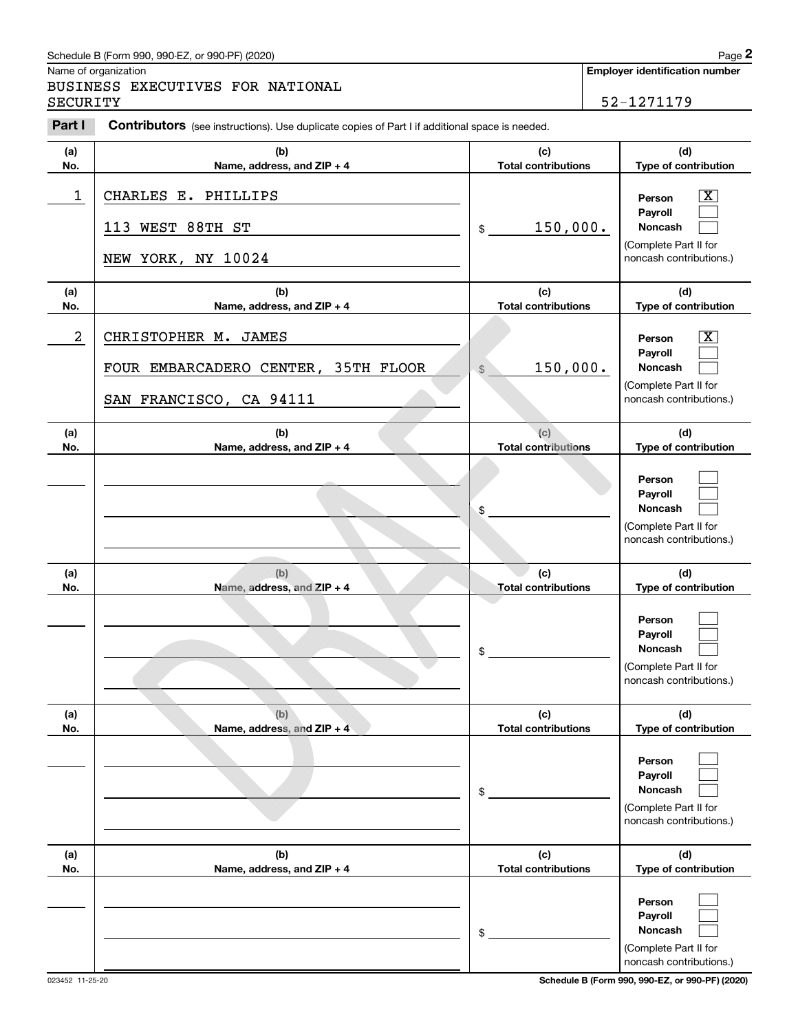## Schedule B (Form 990, 990-EZ, or 990-PF) (2020) Page 2

|            | Schedule B (Form 990, 990-EZ, or 990-PF) (2020)                                                       |                                   | Page 2                                                                                                      |
|------------|-------------------------------------------------------------------------------------------------------|-----------------------------------|-------------------------------------------------------------------------------------------------------------|
| SECURITY   | Name of organization<br>BUSINESS EXECUTIVES FOR NATIONAL                                              |                                   | <b>Employer identification number</b><br>52-1271179                                                         |
| Part I     | <b>Contributors</b> (see instructions). Use duplicate copies of Part I if additional space is needed. |                                   |                                                                                                             |
| (a)<br>No. | (b)<br>Name, address, and ZIP + 4                                                                     | (c)<br><b>Total contributions</b> | (d)<br>Type of contribution                                                                                 |
| 1          | CHARLES E. PHILLIPS<br>113 WEST 88TH ST<br>NEW YORK, NY 10024                                         | 150,000.<br>\$                    | $\mathbf{X}$<br>Person<br>Payroll<br>Noncash<br>(Complete Part II for<br>noncash contributions.)            |
| (a)<br>No. | (b)<br>Name, address, and ZIP + 4                                                                     | (c)<br><b>Total contributions</b> | (d)<br>Type of contribution                                                                                 |
| 2          | CHRISTOPHER M. JAMES<br>FOUR EMBARCADERO CENTER, 35TH FLOOR<br>SAN FRANCISCO, CA 94111                | 150,000.<br>$\frac{1}{2}$         | $\overline{\mathbf{X}}$<br>Person<br>Payroll<br>Noncash<br>(Complete Part II for<br>noncash contributions.) |
| (a)<br>No. | (b)<br>Name, address, and ZIP + 4                                                                     | (c)<br><b>Total contributions</b> | (d)<br>Type of contribution                                                                                 |
|            |                                                                                                       | \$                                | Person<br>Payroll<br>Noncash<br>(Complete Part II for<br>noncash contributions.)                            |
| (a)<br>No. | (b)<br>Name, address, and ZIP + 4                                                                     | (c)<br><b>Total contributions</b> | (d)<br>Type of contribution                                                                                 |
|            |                                                                                                       | \$                                | Person<br>Payroll<br>Noncash<br>(Complete Part II for<br>noncash contributions.)                            |
| (a)<br>No. | (b)<br>Name, address, and ZIP + 4                                                                     | (c)<br><b>Total contributions</b> | (d)<br>Type of contribution                                                                                 |
|            |                                                                                                       | \$                                | Person<br>Payroll<br>Noncash<br>(Complete Part II for<br>noncash contributions.)                            |
| (a)<br>No. | (b)<br>Name, address, and ZIP + 4                                                                     | (c)<br><b>Total contributions</b> | (d)<br>Type of contribution                                                                                 |
|            |                                                                                                       | \$                                | Person<br>Payroll<br>Noncash<br>(Complete Part II for<br>noncash contributions.)                            |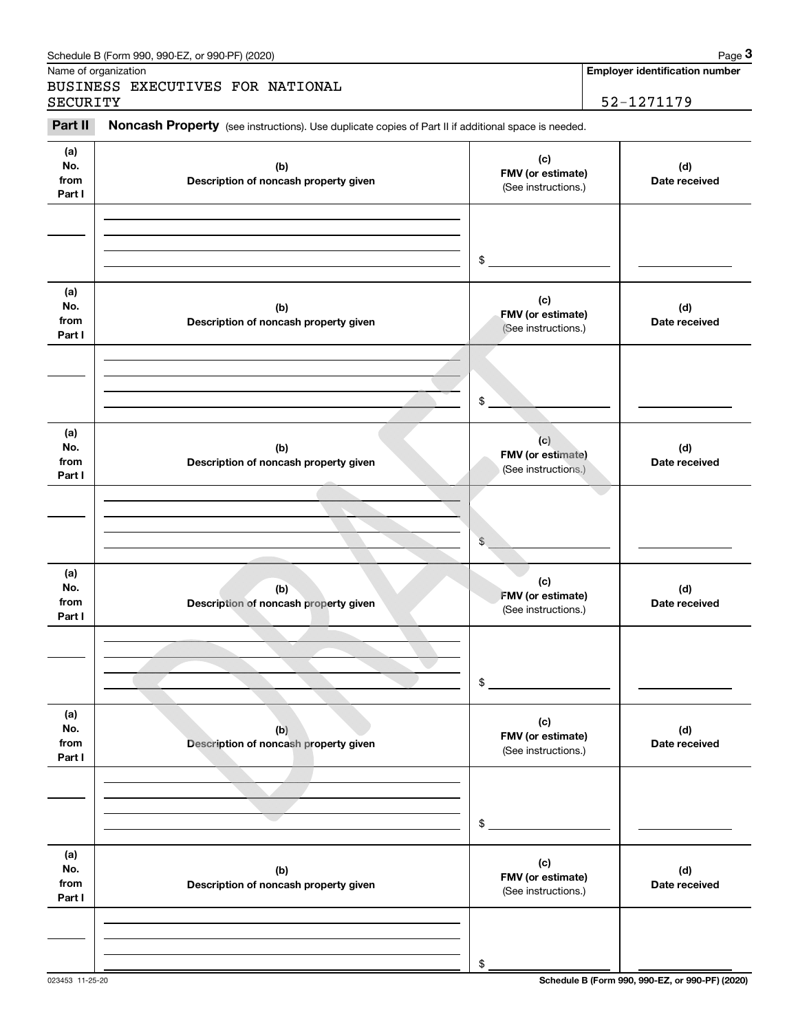|                              | Schedule B (Form 990, 990-EZ, or 990-PF) (2020)                                                     |                                                 | Page 3                                          |
|------------------------------|-----------------------------------------------------------------------------------------------------|-------------------------------------------------|-------------------------------------------------|
|                              | Name of organization<br>BUSINESS EXECUTIVES FOR NATIONAL                                            |                                                 | <b>Employer identification number</b>           |
| SECURITY                     |                                                                                                     |                                                 | 52-1271179                                      |
| Part II                      | Noncash Property (see instructions). Use duplicate copies of Part II if additional space is needed. |                                                 |                                                 |
| (a)<br>No.<br>from<br>Part I | (b)<br>Description of noncash property given                                                        | (c)<br>FMV (or estimate)<br>(See instructions.) | (d)<br>Date received                            |
|                              |                                                                                                     | \$                                              |                                                 |
| (a)<br>No.<br>from<br>Part I | (b)<br>Description of noncash property given                                                        | (c)<br>FMV (or estimate)<br>(See instructions.) | (d)<br>Date received                            |
|                              |                                                                                                     | \$                                              |                                                 |
| (a)<br>No.<br>from<br>Part I | (b)<br>Description of noncash property given                                                        | (c)<br>FMV (or estimate)<br>(See instructions.) | (d)<br>Date received                            |
|                              |                                                                                                     | \$                                              |                                                 |
| (a)<br>No.<br>from<br>Part I | (b)<br>Description of noncash property given                                                        | (c)<br>FMV (or estimate)<br>(See instructions.) | (d)<br>Date received                            |
|                              |                                                                                                     | \$                                              |                                                 |
| (a)<br>No.<br>from<br>Part I | (b)<br>Description of noncash property given                                                        | (c)<br>FMV (or estimate)<br>(See instructions.) | (d)<br>Date received                            |
|                              |                                                                                                     | \$                                              |                                                 |
| (a)<br>No.<br>from<br>Part I | (b)<br>Description of noncash property given                                                        | (c)<br>FMV (or estimate)<br>(See instructions.) | (d)<br>Date received                            |
|                              |                                                                                                     | \$                                              |                                                 |
| 023453 11-25-20              |                                                                                                     |                                                 | Schedule B (Form 990, 990-EZ, or 990-PF) (2020) |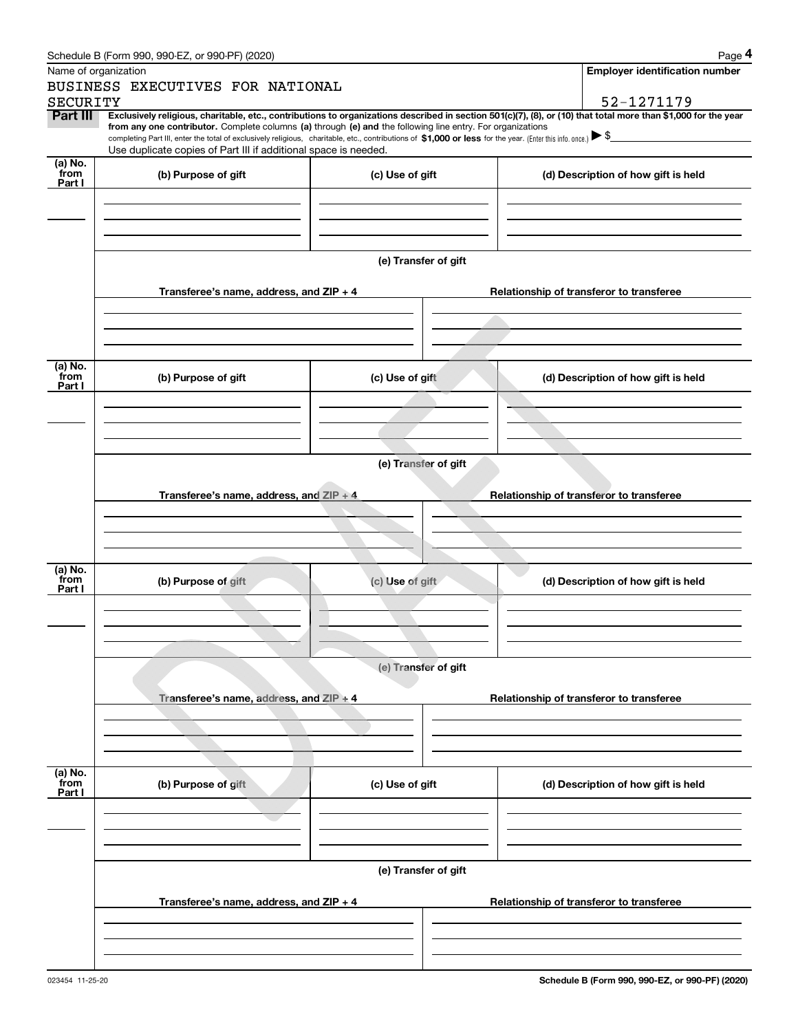|                 | Schedule B (Form 990, 990-EZ, or 990-PF) (2020)                                                                                                                                                                                                                                                                                                                                                                                                                   |                      | Page 4                                   |
|-----------------|-------------------------------------------------------------------------------------------------------------------------------------------------------------------------------------------------------------------------------------------------------------------------------------------------------------------------------------------------------------------------------------------------------------------------------------------------------------------|----------------------|------------------------------------------|
|                 | Name of organization                                                                                                                                                                                                                                                                                                                                                                                                                                              |                      | <b>Employer identification number</b>    |
|                 | BUSINESS EXECUTIVES FOR NATIONAL                                                                                                                                                                                                                                                                                                                                                                                                                                  |                      |                                          |
| <b>SECURITY</b> |                                                                                                                                                                                                                                                                                                                                                                                                                                                                   |                      | 52-1271179                               |
| Part III        | Exclusively religious, charitable, etc., contributions to organizations described in section 501(c)(7), (8), or (10) that total more than \$1,000 for the year<br>from any one contributor. Complete columns (a) through (e) and the following line entry. For organizations<br>completing Part III, enter the total of exclusively religious, charitable, etc., contributions of \$1,000 or less for the year. (Enter this info. once.) $\blacktriangleright$ \$ |                      |                                          |
|                 | Use duplicate copies of Part III if additional space is needed.                                                                                                                                                                                                                                                                                                                                                                                                   |                      |                                          |
| (a) No.         |                                                                                                                                                                                                                                                                                                                                                                                                                                                                   |                      |                                          |
| from<br>Part I  | (b) Purpose of gift                                                                                                                                                                                                                                                                                                                                                                                                                                               | (c) Use of gift      | (d) Description of how gift is held      |
|                 |                                                                                                                                                                                                                                                                                                                                                                                                                                                                   |                      |                                          |
|                 |                                                                                                                                                                                                                                                                                                                                                                                                                                                                   |                      |                                          |
|                 |                                                                                                                                                                                                                                                                                                                                                                                                                                                                   |                      |                                          |
|                 |                                                                                                                                                                                                                                                                                                                                                                                                                                                                   |                      |                                          |
|                 |                                                                                                                                                                                                                                                                                                                                                                                                                                                                   | (e) Transfer of gift |                                          |
|                 |                                                                                                                                                                                                                                                                                                                                                                                                                                                                   |                      |                                          |
|                 | Transferee's name, address, and ZIP + 4                                                                                                                                                                                                                                                                                                                                                                                                                           |                      | Relationship of transferor to transferee |
|                 |                                                                                                                                                                                                                                                                                                                                                                                                                                                                   |                      |                                          |
|                 |                                                                                                                                                                                                                                                                                                                                                                                                                                                                   |                      |                                          |
|                 |                                                                                                                                                                                                                                                                                                                                                                                                                                                                   |                      |                                          |
| (a) No.         |                                                                                                                                                                                                                                                                                                                                                                                                                                                                   |                      |                                          |
| from            | (b) Purpose of gift                                                                                                                                                                                                                                                                                                                                                                                                                                               | (c) Use of gift      | (d) Description of how gift is held      |
| Part I          |                                                                                                                                                                                                                                                                                                                                                                                                                                                                   |                      |                                          |
|                 |                                                                                                                                                                                                                                                                                                                                                                                                                                                                   |                      |                                          |
|                 |                                                                                                                                                                                                                                                                                                                                                                                                                                                                   |                      |                                          |
|                 |                                                                                                                                                                                                                                                                                                                                                                                                                                                                   |                      |                                          |
|                 |                                                                                                                                                                                                                                                                                                                                                                                                                                                                   | (e) Transfer of gift |                                          |
|                 |                                                                                                                                                                                                                                                                                                                                                                                                                                                                   |                      |                                          |
|                 | Transferee's name, address, and $ZIP + 4$                                                                                                                                                                                                                                                                                                                                                                                                                         |                      | Relationship of transferor to transferee |
|                 |                                                                                                                                                                                                                                                                                                                                                                                                                                                                   |                      |                                          |
|                 |                                                                                                                                                                                                                                                                                                                                                                                                                                                                   |                      |                                          |
|                 |                                                                                                                                                                                                                                                                                                                                                                                                                                                                   |                      |                                          |
|                 |                                                                                                                                                                                                                                                                                                                                                                                                                                                                   |                      |                                          |
| (a) No.<br>from | (b) Purpose of gift                                                                                                                                                                                                                                                                                                                                                                                                                                               | (c) Use of gift      | (d) Description of how gift is held      |
| Part I          |                                                                                                                                                                                                                                                                                                                                                                                                                                                                   |                      |                                          |
|                 |                                                                                                                                                                                                                                                                                                                                                                                                                                                                   |                      |                                          |
|                 |                                                                                                                                                                                                                                                                                                                                                                                                                                                                   |                      |                                          |
|                 |                                                                                                                                                                                                                                                                                                                                                                                                                                                                   |                      |                                          |
|                 |                                                                                                                                                                                                                                                                                                                                                                                                                                                                   | (e) Transfer of gift |                                          |
|                 |                                                                                                                                                                                                                                                                                                                                                                                                                                                                   |                      |                                          |
|                 | Transferee's name, address, and ZIP + 4                                                                                                                                                                                                                                                                                                                                                                                                                           |                      | Relationship of transferor to transferee |
|                 |                                                                                                                                                                                                                                                                                                                                                                                                                                                                   |                      |                                          |
|                 |                                                                                                                                                                                                                                                                                                                                                                                                                                                                   |                      |                                          |
|                 |                                                                                                                                                                                                                                                                                                                                                                                                                                                                   |                      |                                          |
|                 |                                                                                                                                                                                                                                                                                                                                                                                                                                                                   |                      |                                          |
| (a) No.<br>from | (b) Purpose of gift                                                                                                                                                                                                                                                                                                                                                                                                                                               | (c) Use of gift      | (d) Description of how gift is held      |
| Part I          |                                                                                                                                                                                                                                                                                                                                                                                                                                                                   |                      |                                          |
|                 |                                                                                                                                                                                                                                                                                                                                                                                                                                                                   |                      |                                          |
|                 |                                                                                                                                                                                                                                                                                                                                                                                                                                                                   |                      |                                          |
|                 |                                                                                                                                                                                                                                                                                                                                                                                                                                                                   |                      |                                          |
|                 |                                                                                                                                                                                                                                                                                                                                                                                                                                                                   | (e) Transfer of gift |                                          |
|                 |                                                                                                                                                                                                                                                                                                                                                                                                                                                                   |                      |                                          |
|                 | Transferee's name, address, and $ZIP + 4$                                                                                                                                                                                                                                                                                                                                                                                                                         |                      | Relationship of transferor to transferee |
|                 |                                                                                                                                                                                                                                                                                                                                                                                                                                                                   |                      |                                          |
|                 |                                                                                                                                                                                                                                                                                                                                                                                                                                                                   |                      |                                          |
|                 |                                                                                                                                                                                                                                                                                                                                                                                                                                                                   |                      |                                          |
|                 |                                                                                                                                                                                                                                                                                                                                                                                                                                                                   |                      |                                          |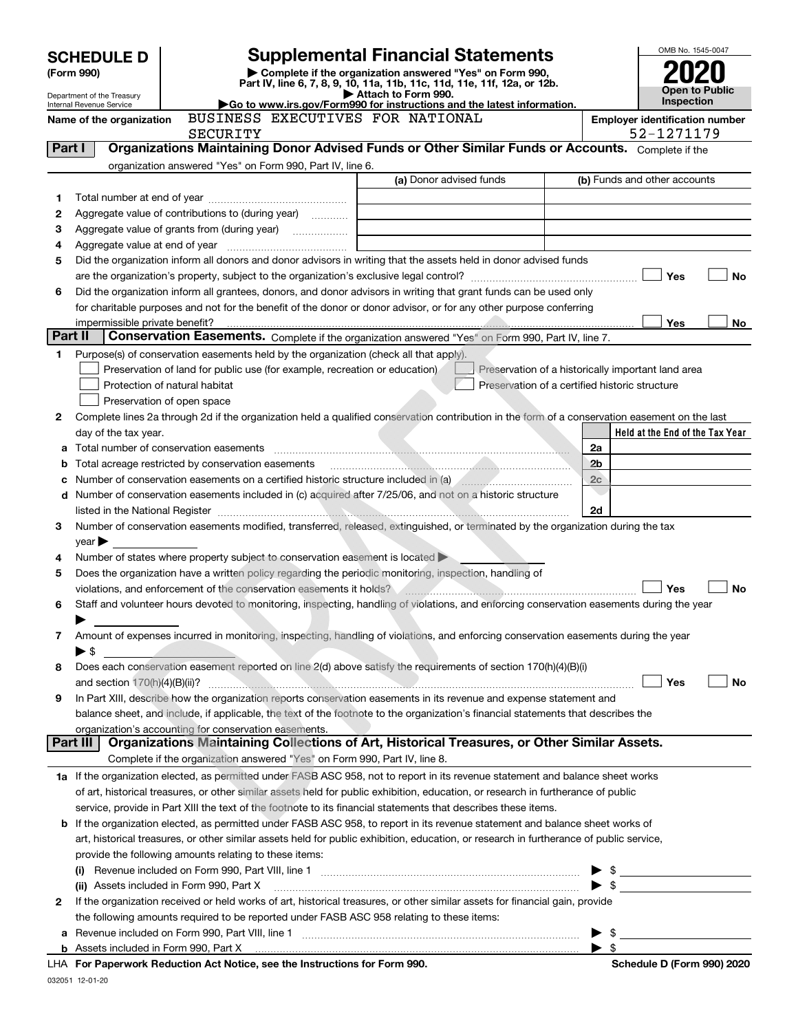|         |                                                        |                                                                                                                |                                                                                                                                                |                | OMB No. 1545-0047                     |
|---------|--------------------------------------------------------|----------------------------------------------------------------------------------------------------------------|------------------------------------------------------------------------------------------------------------------------------------------------|----------------|---------------------------------------|
|         | <b>SCHEDULE D</b>                                      |                                                                                                                | <b>Supplemental Financial Statements</b>                                                                                                       |                |                                       |
|         | (Form 990)                                             |                                                                                                                | Complete if the organization answered "Yes" on Form 990,<br>Part IV, line 6, 7, 8, 9, 10, 11a, 11b, 11c, 11d, 11e, 11f, 12a, or 12b.           |                |                                       |
|         | Department of the Treasury<br>Internal Revenue Service |                                                                                                                | Attach to Form 990.<br>Go to www.irs.gov/Form990 for instructions and the latest information.                                                  |                | Open to Public<br>Inspection          |
|         | Name of the organization                               | BUSINESS EXECUTIVES FOR NATIONAL                                                                               |                                                                                                                                                |                | <b>Employer identification number</b> |
|         |                                                        | SECURITY                                                                                                       |                                                                                                                                                |                | 52-1271179                            |
| Part I  |                                                        |                                                                                                                | Organizations Maintaining Donor Advised Funds or Other Similar Funds or Accounts. Complete if the                                              |                |                                       |
|         |                                                        | organization answered "Yes" on Form 990, Part IV, line 6.                                                      |                                                                                                                                                |                |                                       |
|         |                                                        |                                                                                                                | (a) Donor advised funds                                                                                                                        |                | (b) Funds and other accounts          |
| 1       |                                                        |                                                                                                                |                                                                                                                                                |                |                                       |
| 2<br>З  |                                                        | Aggregate value of contributions to (during year)                                                              |                                                                                                                                                |                |                                       |
| 4       |                                                        |                                                                                                                |                                                                                                                                                |                |                                       |
| 5       |                                                        |                                                                                                                | Did the organization inform all donors and donor advisors in writing that the assets held in donor advised funds                               |                |                                       |
|         |                                                        |                                                                                                                |                                                                                                                                                |                | Yes<br>No                             |
| 6       |                                                        |                                                                                                                | Did the organization inform all grantees, donors, and donor advisors in writing that grant funds can be used only                              |                |                                       |
|         |                                                        |                                                                                                                | for charitable purposes and not for the benefit of the donor or donor advisor, or for any other purpose conferring                             |                |                                       |
|         | impermissible private benefit?                         |                                                                                                                |                                                                                                                                                |                | <b>Yes</b><br>No                      |
| Part II |                                                        |                                                                                                                | Conservation Easements. Complete if the organization answered "Yes" on Form 990, Part IV, line 7.                                              |                |                                       |
| 1       |                                                        | Purpose(s) of conservation easements held by the organization (check all that apply).                          |                                                                                                                                                |                |                                       |
|         |                                                        | Preservation of land for public use (for example, recreation or education)<br>Protection of natural habitat    | Preservation of a historically important land area<br>Preservation of a certified historic structure                                           |                |                                       |
|         |                                                        | Preservation of open space                                                                                     |                                                                                                                                                |                |                                       |
| 2       |                                                        |                                                                                                                | Complete lines 2a through 2d if the organization held a qualified conservation contribution in the form of a conservation easement on the last |                |                                       |
|         | day of the tax year.                                   |                                                                                                                |                                                                                                                                                |                | Held at the End of the Tax Year       |
|         |                                                        |                                                                                                                |                                                                                                                                                | 2a             |                                       |
| b       |                                                        | Total acreage restricted by conservation easements                                                             |                                                                                                                                                | 2 <sub>b</sub> |                                       |
|         |                                                        |                                                                                                                | Number of conservation easements on a certified historic structure included in (a) manufacture included in (a)                                 | 2c             |                                       |
|         |                                                        |                                                                                                                | d Number of conservation easements included in (c) acquired after 7/25/06, and not on a historic structure                                     |                |                                       |
|         |                                                        |                                                                                                                |                                                                                                                                                | 2d             |                                       |
| 3.      |                                                        |                                                                                                                | Number of conservation easements modified, transferred, released, extinguished, or terminated by the organization during the tax               |                |                                       |
|         | $year \triangleright$                                  | Number of states where property subject to conservation easement is located                                    |                                                                                                                                                |                |                                       |
| 4<br>5  |                                                        | Does the organization have a written policy regarding the periodic monitoring, inspection, handling of         |                                                                                                                                                |                |                                       |
|         |                                                        | violations, and enforcement of the conservation easements it holds?                                            |                                                                                                                                                |                | Yes<br><b>No</b>                      |
| 6       |                                                        |                                                                                                                | Staff and volunteer hours devoted to monitoring, inspecting, handling of violations, and enforcing conservation easements during the year      |                |                                       |
|         |                                                        |                                                                                                                |                                                                                                                                                |                |                                       |
| 7       |                                                        |                                                                                                                | Amount of expenses incurred in monitoring, inspecting, handling of violations, and enforcing conservation easements during the year            |                |                                       |
|         | $\blacktriangleright$ \$                               |                                                                                                                |                                                                                                                                                |                |                                       |
| 8       |                                                        |                                                                                                                | Does each conservation easement reported on line 2(d) above satisfy the requirements of section 170(h)(4)(B)(i)                                |                |                                       |
|         |                                                        |                                                                                                                |                                                                                                                                                |                | Yes<br>No                             |
| 9       |                                                        |                                                                                                                | In Part XIII, describe how the organization reports conservation easements in its revenue and expense statement and                            |                |                                       |
|         |                                                        |                                                                                                                | balance sheet, and include, if applicable, the text of the footnote to the organization's financial statements that describes the              |                |                                       |
|         | Part III                                               | organization's accounting for conservation easements.                                                          | Organizations Maintaining Collections of Art, Historical Treasures, or Other Similar Assets.                                                   |                |                                       |
|         |                                                        | Complete if the organization answered "Yes" on Form 990, Part IV, line 8.                                      |                                                                                                                                                |                |                                       |
|         |                                                        |                                                                                                                | 1a If the organization elected, as permitted under FASB ASC 958, not to report in its revenue statement and balance sheet works                |                |                                       |
|         |                                                        |                                                                                                                | of art, historical treasures, or other similar assets held for public exhibition, education, or research in furtherance of public              |                |                                       |
|         |                                                        | service, provide in Part XIII the text of the footnote to its financial statements that describes these items. |                                                                                                                                                |                |                                       |
|         |                                                        |                                                                                                                | <b>b</b> If the organization elected, as permitted under FASB ASC 958, to report in its revenue statement and balance sheet works of           |                |                                       |
|         |                                                        |                                                                                                                | art, historical treasures, or other similar assets held for public exhibition, education, or research in furtherance of public service,        |                |                                       |
|         |                                                        | provide the following amounts relating to these items:                                                         |                                                                                                                                                |                |                                       |
|         |                                                        |                                                                                                                |                                                                                                                                                |                | $\frac{1}{2}$                         |
|         |                                                        | (ii) Assets included in Form 990, Part X                                                                       |                                                                                                                                                |                |                                       |
| 2       |                                                        |                                                                                                                | If the organization received or held works of art, historical treasures, or other similar assets for financial gain, provide                   |                |                                       |
| a       |                                                        | the following amounts required to be reported under FASB ASC 958 relating to these items:                      |                                                                                                                                                | \$             |                                       |
|         |                                                        |                                                                                                                |                                                                                                                                                |                |                                       |
|         |                                                        | exuerk Reduction Act Notice, ace the Instructions for Ferm 000                                                 |                                                                                                                                                |                | Schodule D (Form 000) 2020            |

| LHA For Paperwork Reduction Act Notice, see the Instructions for Form 990. | Schedule D (Form 990) 2020<br>the contract of the contract of the contract of the contract of the contract of the contract of the contract of |
|----------------------------------------------------------------------------|-----------------------------------------------------------------------------------------------------------------------------------------------|
|----------------------------------------------------------------------------|-----------------------------------------------------------------------------------------------------------------------------------------------|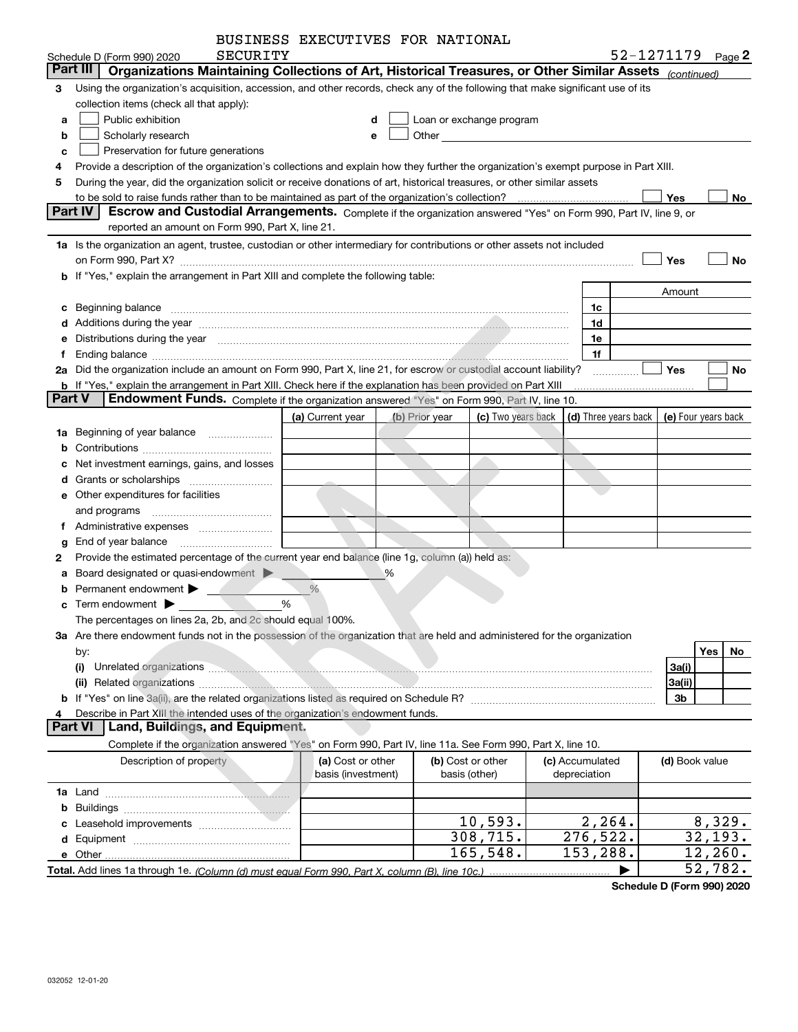| BUSINESS EXECUTIVES FOR NATIONAL |  |
|----------------------------------|--|
|                                  |  |

|        | SECURITY                                                                                                                                                                                                                            | DUSINGSS CALCUIIVES FUR NAIIUNAU |                |                          |                      | 52-1271179 Page 2 |                     |                        |           |
|--------|-------------------------------------------------------------------------------------------------------------------------------------------------------------------------------------------------------------------------------------|----------------------------------|----------------|--------------------------|----------------------|-------------------|---------------------|------------------------|-----------|
|        | Schedule D (Form 990) 2020<br>Organizations Maintaining Collections of Art, Historical Treasures, or Other Similar Assets (continued)<br>Part III                                                                                   |                                  |                |                          |                      |                   |                     |                        |           |
| 3      | Using the organization's acquisition, accession, and other records, check any of the following that make significant use of its                                                                                                     |                                  |                |                          |                      |                   |                     |                        |           |
|        | collection items (check all that apply):                                                                                                                                                                                            |                                  |                |                          |                      |                   |                     |                        |           |
| a      | Public exhibition                                                                                                                                                                                                                   | d                                |                | Loan or exchange program |                      |                   |                     |                        |           |
| b      | Scholarly research                                                                                                                                                                                                                  | e                                |                |                          |                      |                   |                     |                        |           |
| c      | Preservation for future generations                                                                                                                                                                                                 |                                  |                |                          |                      |                   |                     |                        |           |
| 4      | Provide a description of the organization's collections and explain how they further the organization's exempt purpose in Part XIII.                                                                                                |                                  |                |                          |                      |                   |                     |                        |           |
| 5      | During the year, did the organization solicit or receive donations of art, historical treasures, or other similar assets                                                                                                            |                                  |                |                          |                      |                   |                     |                        |           |
|        |                                                                                                                                                                                                                                     |                                  |                |                          |                      |                   | ∫ Yes               |                        | No        |
|        | Part IV<br>Escrow and Custodial Arrangements. Complete if the organization answered "Yes" on Form 990, Part IV, line 9, or                                                                                                          |                                  |                |                          |                      |                   |                     |                        |           |
|        | reported an amount on Form 990, Part X, line 21.                                                                                                                                                                                    |                                  |                |                          |                      |                   |                     |                        |           |
|        | 1a Is the organization an agent, trustee, custodian or other intermediary for contributions or other assets not included                                                                                                            |                                  |                |                          |                      |                   |                     |                        |           |
|        |                                                                                                                                                                                                                                     |                                  |                |                          |                      |                   | Yes                 |                        | <b>No</b> |
|        | <b>b</b> If "Yes," explain the arrangement in Part XIII and complete the following table:                                                                                                                                           |                                  |                |                          |                      |                   |                     |                        |           |
|        |                                                                                                                                                                                                                                     |                                  |                |                          |                      |                   | Amount              |                        |           |
| c      |                                                                                                                                                                                                                                     |                                  |                |                          | 1c                   |                   |                     |                        |           |
|        | d Additions during the year measurements are also according to the year measurement of the state of the state of the state of the state of the state of the state of the state of the state of the state of the state of the s      |                                  |                |                          | 1d                   |                   |                     |                        |           |
|        | Distributions during the year manufactured and contact the year of the set of the set of the set of the set of                                                                                                                      |                                  |                |                          | 1e                   |                   |                     |                        |           |
| f      |                                                                                                                                                                                                                                     |                                  |                |                          | 1f                   |                   |                     |                        |           |
|        | 2a Did the organization include an amount on Form 990, Part X, line 21, for escrow or custodial account liability?                                                                                                                  |                                  |                |                          |                      |                   | Yes                 |                        | No        |
|        | <b>b</b> If "Yes," explain the arrangement in Part XIII. Check here if the explanation has been provided on Part XIII                                                                                                               |                                  |                |                          |                      |                   |                     |                        |           |
| Part V | Endowment Funds. Complete if the organization answered "Yes" on Form 990, Part IV, line 10.                                                                                                                                         |                                  |                |                          |                      |                   |                     |                        |           |
|        |                                                                                                                                                                                                                                     | (a) Current year                 | (b) Prior year | (c) Two years back       | (d) Three years back |                   | (e) Four years back |                        |           |
| 1a     | Beginning of year balance                                                                                                                                                                                                           |                                  |                |                          |                      |                   |                     |                        |           |
| b      |                                                                                                                                                                                                                                     |                                  |                |                          |                      |                   |                     |                        |           |
|        | Net investment earnings, gains, and losses                                                                                                                                                                                          |                                  |                |                          |                      |                   |                     |                        |           |
| d      |                                                                                                                                                                                                                                     |                                  |                |                          |                      |                   |                     |                        |           |
|        | e Other expenditures for facilities                                                                                                                                                                                                 |                                  |                |                          |                      |                   |                     |                        |           |
|        | and programs                                                                                                                                                                                                                        |                                  |                |                          |                      |                   |                     |                        |           |
| f      |                                                                                                                                                                                                                                     |                                  |                |                          |                      |                   |                     |                        |           |
| g      | End of year balance                                                                                                                                                                                                                 |                                  |                |                          |                      |                   |                     |                        |           |
| 2      | Provide the estimated percentage of the current year end balance (line 1g, column (a)) held as:                                                                                                                                     |                                  |                |                          |                      |                   |                     |                        |           |
| а      | Board designated or quasi-endowment                                                                                                                                                                                                 |                                  | %              |                          |                      |                   |                     |                        |           |
|        | Permanent endowment <b>Designation</b>                                                                                                                                                                                              | $\frac{0}{0}$                    |                |                          |                      |                   |                     |                        |           |
| c      | Term endowment <b>D</b>                                                                                                                                                                                                             | %                                |                |                          |                      |                   |                     |                        |           |
|        | The percentages on lines 2a, 2b, and 2c should equal 100%.                                                                                                                                                                          |                                  |                |                          |                      |                   |                     |                        |           |
|        | 3a Are there endowment funds not in the possession of the organization that are held and administered for the organization                                                                                                          |                                  |                |                          |                      |                   |                     |                        |           |
|        | by:                                                                                                                                                                                                                                 |                                  |                |                          |                      |                   |                     | Yes                    | No        |
|        | (i)                                                                                                                                                                                                                                 |                                  |                |                          |                      |                   | 3a(i)               |                        |           |
|        | (ii) Related organizations <b>contracts</b> and contract of the contract of the contract of the contract of the contract of the contract of the contract of the contract of the contract of the contract of the contract of the con |                                  |                |                          |                      |                   | 3a(ii)              |                        |           |
|        |                                                                                                                                                                                                                                     |                                  |                |                          |                      |                   | 3b                  |                        |           |
|        | Describe in Part XIII the intended uses of the organization's endowment funds.                                                                                                                                                      |                                  |                |                          |                      |                   |                     |                        |           |
|        | Land, Buildings, and Equipment.<br>Part VI l                                                                                                                                                                                        |                                  |                |                          |                      |                   |                     |                        |           |
|        | Complete if the organization answered "Yes" on Form 990, Part IV, line 11a. See Form 990, Part X, line 10.                                                                                                                          |                                  |                |                          |                      |                   |                     |                        |           |
|        | Description of property                                                                                                                                                                                                             | (a) Cost or other                |                | (b) Cost or other        | (c) Accumulated      |                   | (d) Book value      |                        |           |
|        |                                                                                                                                                                                                                                     | basis (investment)               |                | basis (other)            | depreciation         |                   |                     |                        |           |
|        |                                                                                                                                                                                                                                     |                                  |                |                          |                      |                   |                     |                        |           |
| b      |                                                                                                                                                                                                                                     |                                  |                |                          |                      |                   |                     |                        |           |
|        |                                                                                                                                                                                                                                     |                                  |                | 10,593.                  | 2, 264.              |                   |                     | 8,329.                 |           |
|        |                                                                                                                                                                                                                                     |                                  |                | 308,715.                 | 276,522.             |                   |                     | $\overline{32}$ , 193. |           |
|        | e Other                                                                                                                                                                                                                             |                                  |                | 165,548.                 | 153,288.             |                   |                     | 12, 260.               |           |
|        |                                                                                                                                                                                                                                     |                                  |                |                          |                      |                   |                     | 52,782.                |           |

**Schedule D (Form 990) 2020**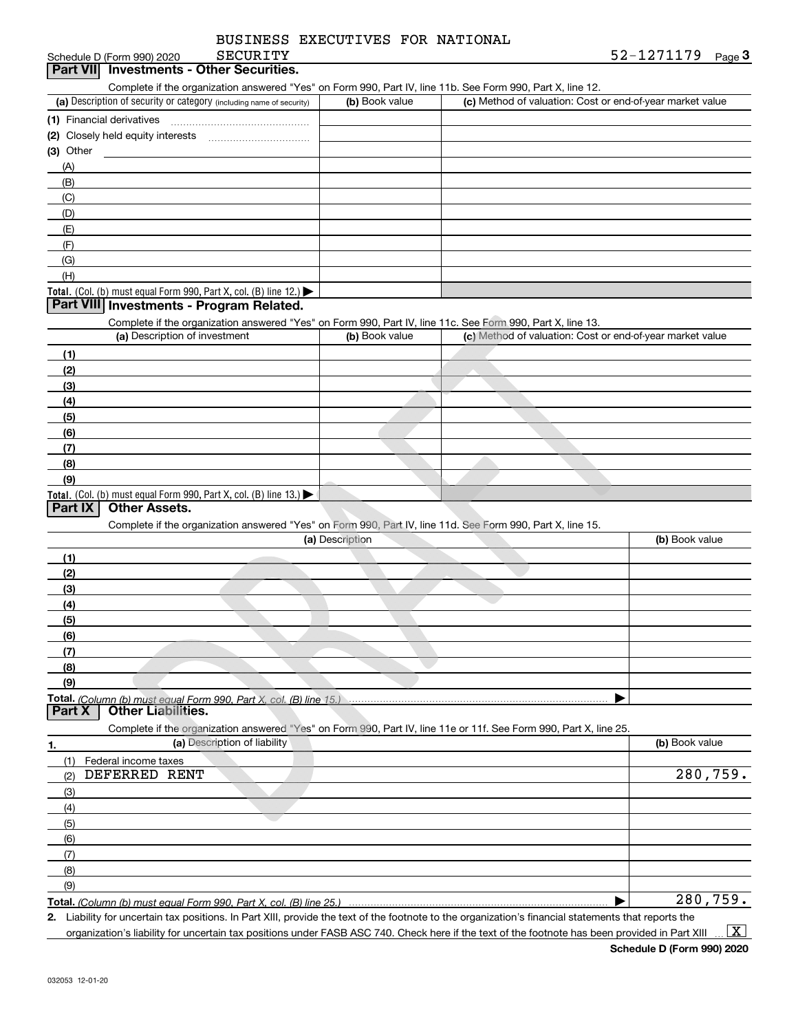| BUSINESS EXECUTIVES FOR NATIONAL |  |
|----------------------------------|--|
|                                  |  |

#### Schedule D (Form 990) 2020 SECURITY<br>**Part VII** Investments - Other Securities. SECURITY

ichedule D (Form 990) 2020 SECURITY<br>**Part VII Investments - Other Securities.**<br>Complete if the organization answered "Yes" on Form 990, Part IV, line 11b. See Form 990, Part X, line 12.

| (a) Description of security or category (including name of security)                   | (b) Book value | (c) Method of valuation: Cost or end-of-year market value |
|----------------------------------------------------------------------------------------|----------------|-----------------------------------------------------------|
| (1) Financial derivatives                                                              |                |                                                           |
| (2) Closely held equity interests                                                      |                |                                                           |
| (3) Other                                                                              |                |                                                           |
| (A)                                                                                    |                |                                                           |
| (B)                                                                                    |                |                                                           |
| (C)                                                                                    |                |                                                           |
| (D)                                                                                    |                |                                                           |
| (E)                                                                                    |                |                                                           |
| (F)                                                                                    |                |                                                           |
| (G)                                                                                    |                |                                                           |
| (H)                                                                                    |                |                                                           |
| Total. (Col. (b) must equal Form 990, Part X, col. (B) line 12.) $\blacktriangleright$ |                |                                                           |

#### **Part VIII Investments - Program Related.**

Complete if the organization answered "Yes" on Form 990, Part IV, line 11c. See Form 990, Part X, line 13.

| (a) Description of investment                                                          | (b) Book value | (c) Method of valuation: Cost or end-of-year market value |
|----------------------------------------------------------------------------------------|----------------|-----------------------------------------------------------|
| (1)                                                                                    |                |                                                           |
| (2)                                                                                    |                |                                                           |
| $\frac{1}{2}$                                                                          |                |                                                           |
| (4)                                                                                    |                |                                                           |
| (5)                                                                                    |                |                                                           |
| (6)                                                                                    |                |                                                           |
| (7)                                                                                    |                |                                                           |
| (8)                                                                                    |                |                                                           |
| (9)                                                                                    |                |                                                           |
| Total. (Col. (b) must equal Form 990, Part X, col. (B) line 13.) $\blacktriangleright$ |                |                                                           |

### **Part IX Other Assets.**

Complete if the organization answered "Yes" on Form 990, Part IV, line 11d. See Form 990, Part X, line 15.

| (a) Description | (b) Book value |
|-----------------|----------------|
| (1)             |                |
| (2)             |                |
| (3)             |                |
| (4)             |                |
| (5)             |                |
| (6)             |                |
| (7)             |                |
| (8)             |                |
| (9)             |                |
|                 |                |

**Total.**  *(Column (b) must equal Form 990, Part X, col. (B) line 15.)* **Part X Other Liabilities.**

Complete if the organization answered "Yes" on Form 990, Part IV, line 11e or 11f. See Form 990, Part X, line 25.

| 1.                  | (a) Description of liability | (b) Book value |
|---------------------|------------------------------|----------------|
| (1)                 | Federal income taxes         |                |
| (2)                 | DEFERRED RENT                | 280,759.       |
| $\qquad \qquad (3)$ |                              |                |
| (4)                 |                              |                |
| (5)                 |                              |                |
| (6)                 |                              |                |
| (7)                 |                              |                |
| (8)                 |                              |                |
| (9)                 |                              |                |
|                     |                              | 280,759.       |

**Total.**  *(Column (b) must equal Form 990, Part X, col. (B) line 25.)* 

**2.** | Liability for uncertain tax positions. In Part XIII, provide the text of the footnote to the organization's financial statements that reports the organization's liability for uncertain tax positions under FASB ASC 740. Check here if the text of the footnote has been provided in Part XIII  $\vert$  X  $\vert$ 

**Schedule D (Form 990) 2020**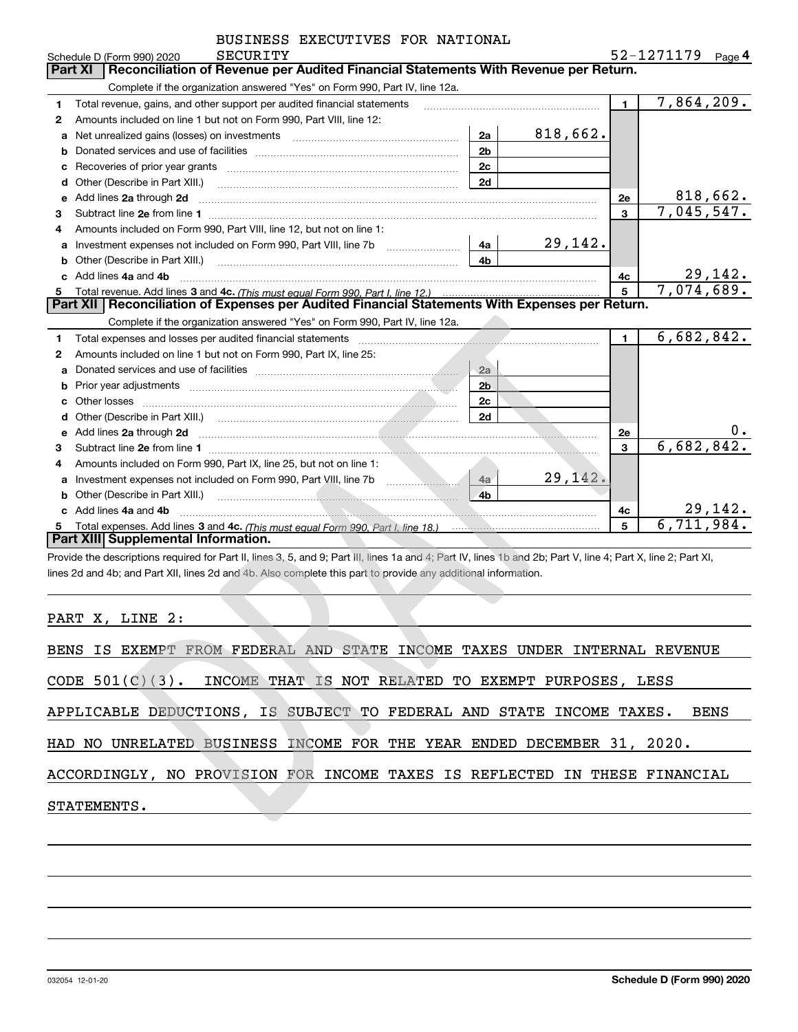|    | <b>SECURITY</b><br>Schedule D (Form 990) 2020                                                                                                                                                                                                               |                |          |                | 52-1271179 | Page 4   |
|----|-------------------------------------------------------------------------------------------------------------------------------------------------------------------------------------------------------------------------------------------------------------|----------------|----------|----------------|------------|----------|
|    | Part XI<br>Reconciliation of Revenue per Audited Financial Statements With Revenue per Return.                                                                                                                                                              |                |          |                |            |          |
|    | Complete if the organization answered "Yes" on Form 990, Part IV, line 12a.                                                                                                                                                                                 |                |          |                |            |          |
| 1  | Total revenue, gains, and other support per audited financial statements                                                                                                                                                                                    |                |          | $\blacksquare$ | 7,864,209. |          |
| 2  | Amounts included on line 1 but not on Form 990, Part VIII, line 12:                                                                                                                                                                                         |                |          |                |            |          |
| a  |                                                                                                                                                                                                                                                             | 2a             | 818,662. |                |            |          |
|    |                                                                                                                                                                                                                                                             | 2 <sub>b</sub> |          |                |            |          |
| с  |                                                                                                                                                                                                                                                             | 2c             |          |                |            |          |
| d  | Other (Describe in Part XIII.)                                                                                                                                                                                                                              | 2d             |          |                |            |          |
| е  | Add lines 2a through 2d                                                                                                                                                                                                                                     |                |          | 2e             |            | 818,662. |
| 3  |                                                                                                                                                                                                                                                             |                |          | $\mathbf{3}$   | 7,045,547. |          |
| 4  | Amounts included on Form 990, Part VIII, line 12, but not on line 1:                                                                                                                                                                                        |                |          |                |            |          |
| a  | Investment expenses not included on Form 990, Part VIII, line 7b [111] [11] Investment expenses not included on Form 990, Part VIII, line 7b                                                                                                                | 4a             | 29,142.  |                |            |          |
| b  |                                                                                                                                                                                                                                                             | 4 <sub>b</sub> |          |                |            |          |
| c. | Add lines 4a and 4b                                                                                                                                                                                                                                         |                |          | 4c             |            | 29,142.  |
|    |                                                                                                                                                                                                                                                             |                |          | $\overline{5}$ | 7,074,689. |          |
|    | Part XII   Reconciliation of Expenses per Audited Financial Statements With Expenses per Return.                                                                                                                                                            |                |          |                |            |          |
|    | Complete if the organization answered "Yes" on Form 990, Part IV, line 12a.                                                                                                                                                                                 |                |          |                |            |          |
| 1  |                                                                                                                                                                                                                                                             |                |          | $\blacksquare$ | 6,682,842. |          |
| 2  | Amounts included on line 1 but not on Form 990, Part IX, line 25:                                                                                                                                                                                           |                |          |                |            |          |
| a  |                                                                                                                                                                                                                                                             | 2a             |          |                |            |          |
|    |                                                                                                                                                                                                                                                             | 2 <sub>b</sub> |          |                |            |          |
| c  |                                                                                                                                                                                                                                                             | 2c             |          |                |            |          |
|    |                                                                                                                                                                                                                                                             | 2d             |          |                |            |          |
| е  | Add lines 2a through 2d <b>contract the contract of the contract of the contract of the contract of the contract of the contract of the contract of the contract of the contract of the contract of the contract of the contract</b>                        |                |          | 2e             |            | 0.       |
| 3  |                                                                                                                                                                                                                                                             |                |          | 3              | 6,682,842. |          |
| 4  | Amounts included on Form 990, Part IX, line 25, but not on line 1:                                                                                                                                                                                          |                |          |                |            |          |
| a  |                                                                                                                                                                                                                                                             | 4a             | 29,142.  |                |            |          |
|    |                                                                                                                                                                                                                                                             | 4 <sub>h</sub> |          |                |            |          |
|    | Add lines 4a and 4b<br><u> 1990 - 1990 - 1990 - 1990 - 1990 - 1990 - 1990 - 1990 - 1990 - 1990 - 1990 - 1990 - 1990 - 1990 - 1990 - 1990 - 1990 - 1990 - 1990 - 1990 - 1990 - 1990 - 1990 - 1990 - 1990 - 1990 - 1990 - 1990 - 1990 - 1990 - 1990 - 199</u> |                |          | 4c             |            | 29,142.  |
|    |                                                                                                                                                                                                                                                             |                |          | 5              | 6,711,984. |          |
|    | Part XIII Supplemental Information.                                                                                                                                                                                                                         |                |          |                |            |          |

**Part XIII| Supplemental Information.**<br>Provide the descriptions required for Part II, lines 3, 5, and 9; Part III, lines 1a and 4; Part IV, lines 1b and 2b; Part V, line 4; Part X, line 2; Part XI, lines 2d and 4b; and Part XII, lines 2d and 4b. Also complete this part to provide any additional information.

PART X, LINE 2:

| BENS IS EXEMPT FROM FEDERAL AND STATE INCOME TAXES UNDER INTERNAL REVENUE    |
|------------------------------------------------------------------------------|
| CODE $501(C)(3)$ . INCOME THAT IS NOT RELATED TO EXEMPT PURPOSES, LESS       |
| APPLICABLE DEDUCTIONS, IS SUBJECT TO FEDERAL AND STATE INCOME TAXES.<br>BENS |
| HAD NO UNRELATED BUSINESS INCOME FOR THE YEAR ENDED DECEMBER 31, 2020.       |
| ACCORDINGLY, NO PROVISION FOR INCOME TAXES IS REFLECTED IN THESE FINANCIAL   |
| STATEMENTS.                                                                  |
|                                                                              |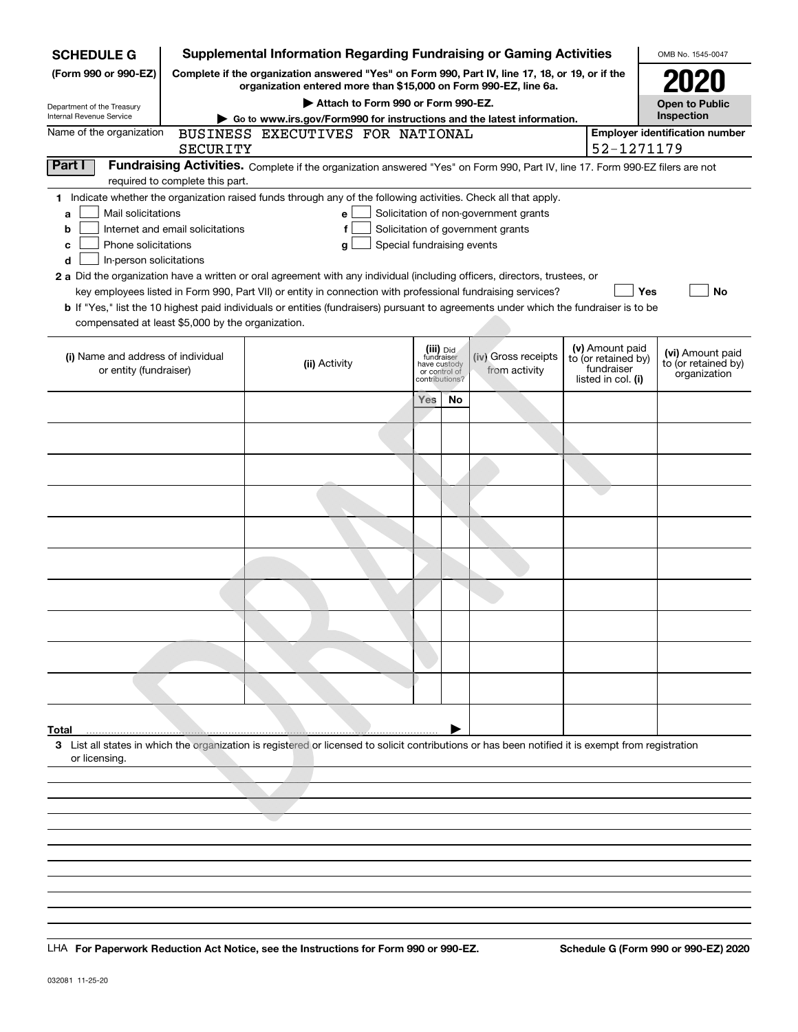| <b>SCHEDULE G</b>                                 |                                                                        | <b>Supplemental Information Regarding Fundraising or Gaming Activities</b>                                                                                          |                       |                                                 |                                                                            |  |                                        | OMB No. 1545-0047                       |
|---------------------------------------------------|------------------------------------------------------------------------|---------------------------------------------------------------------------------------------------------------------------------------------------------------------|-----------------------|-------------------------------------------------|----------------------------------------------------------------------------|--|----------------------------------------|-----------------------------------------|
| (Form 990 or 990-EZ)                              |                                                                        | Complete if the organization answered "Yes" on Form 990, Part IV, line 17, 18, or 19, or if the<br>organization entered more than \$15,000 on Form 990-EZ, line 6a. |                       |                                                 |                                                                            |  |                                        | 2020                                    |
| Department of the Treasury                        |                                                                        |                                                                                                                                                                     | <b>Open to Public</b> |                                                 |                                                                            |  |                                        |                                         |
| Internal Revenue Service                          | Go to www.irs.gov/Form990 for instructions and the latest information. |                                                                                                                                                                     | Inspection            |                                                 |                                                                            |  |                                        |                                         |
| Name of the organization                          |                                                                        | BUSINESS EXECUTIVES FOR NATIONAL                                                                                                                                    |                       |                                                 |                                                                            |  |                                        | <b>Employer identification number</b>   |
|                                                   | SECURITY                                                               |                                                                                                                                                                     |                       |                                                 |                                                                            |  | 52-1271179                             |                                         |
| Part I                                            |                                                                        | Fundraising Activities. Complete if the organization answered "Yes" on Form 990, Part IV, line 17. Form 990-EZ filers are not                                       |                       |                                                 |                                                                            |  |                                        |                                         |
|                                                   | required to complete this part.                                        |                                                                                                                                                                     |                       |                                                 |                                                                            |  |                                        |                                         |
| Mail solicitations                                |                                                                        | 1 Indicate whether the organization raised funds through any of the following activities. Check all that apply.                                                     |                       |                                                 |                                                                            |  |                                        |                                         |
| a<br>b                                            | Internet and email solicitations                                       | е<br>f                                                                                                                                                              |                       |                                                 | Solicitation of non-government grants<br>Solicitation of government grants |  |                                        |                                         |
| Phone solicitations<br>c                          |                                                                        | Special fundraising events<br>g                                                                                                                                     |                       |                                                 |                                                                            |  |                                        |                                         |
| In-person solicitations<br>d                      |                                                                        |                                                                                                                                                                     |                       |                                                 |                                                                            |  |                                        |                                         |
|                                                   |                                                                        | 2 a Did the organization have a written or oral agreement with any individual (including officers, directors, trustees, or                                          |                       |                                                 |                                                                            |  |                                        |                                         |
|                                                   |                                                                        | key employees listed in Form 990, Part VII) or entity in connection with professional fundraising services?                                                         |                       |                                                 |                                                                            |  | Yes                                    | <b>No</b>                               |
|                                                   |                                                                        | b If "Yes," list the 10 highest paid individuals or entities (fundraisers) pursuant to agreements under which the fundraiser is to be                               |                       |                                                 |                                                                            |  |                                        |                                         |
| compensated at least \$5,000 by the organization. |                                                                        |                                                                                                                                                                     |                       |                                                 |                                                                            |  |                                        |                                         |
|                                                   |                                                                        |                                                                                                                                                                     |                       |                                                 |                                                                            |  |                                        |                                         |
| (i) Name and address of individual                |                                                                        |                                                                                                                                                                     |                       | (iii) Did<br>fundraiser                         | (iv) Gross receipts                                                        |  | (v) Amount paid<br>to (or retained by) | (vi) Amount paid<br>to (or retained by) |
| or entity (fundraiser)                            |                                                                        | (ii) Activity                                                                                                                                                       |                       | have custody<br>or control of<br>contributions? | from activity                                                              |  | fundraiser<br>listed in col. (i)       | organization                            |
|                                                   |                                                                        |                                                                                                                                                                     |                       |                                                 |                                                                            |  |                                        |                                         |
|                                                   |                                                                        |                                                                                                                                                                     | Yes                   | No                                              |                                                                            |  |                                        |                                         |
|                                                   |                                                                        |                                                                                                                                                                     |                       |                                                 |                                                                            |  |                                        |                                         |
|                                                   |                                                                        |                                                                                                                                                                     |                       |                                                 |                                                                            |  |                                        |                                         |
|                                                   |                                                                        |                                                                                                                                                                     |                       |                                                 |                                                                            |  |                                        |                                         |
|                                                   |                                                                        |                                                                                                                                                                     |                       |                                                 |                                                                            |  |                                        |                                         |
|                                                   |                                                                        |                                                                                                                                                                     |                       |                                                 |                                                                            |  |                                        |                                         |
|                                                   |                                                                        |                                                                                                                                                                     |                       |                                                 |                                                                            |  |                                        |                                         |
|                                                   |                                                                        |                                                                                                                                                                     |                       |                                                 |                                                                            |  |                                        |                                         |
|                                                   |                                                                        |                                                                                                                                                                     |                       |                                                 |                                                                            |  |                                        |                                         |
|                                                   |                                                                        |                                                                                                                                                                     |                       |                                                 |                                                                            |  |                                        |                                         |
|                                                   |                                                                        |                                                                                                                                                                     |                       |                                                 |                                                                            |  |                                        |                                         |
|                                                   |                                                                        |                                                                                                                                                                     |                       |                                                 |                                                                            |  |                                        |                                         |
|                                                   |                                                                        |                                                                                                                                                                     |                       |                                                 |                                                                            |  |                                        |                                         |
|                                                   |                                                                        |                                                                                                                                                                     |                       |                                                 |                                                                            |  |                                        |                                         |
|                                                   |                                                                        |                                                                                                                                                                     |                       |                                                 |                                                                            |  |                                        |                                         |
|                                                   |                                                                        |                                                                                                                                                                     |                       |                                                 |                                                                            |  |                                        |                                         |
|                                                   |                                                                        |                                                                                                                                                                     |                       |                                                 |                                                                            |  |                                        |                                         |
|                                                   |                                                                        |                                                                                                                                                                     |                       |                                                 |                                                                            |  |                                        |                                         |
|                                                   |                                                                        |                                                                                                                                                                     |                       |                                                 |                                                                            |  |                                        |                                         |
| Total                                             |                                                                        |                                                                                                                                                                     |                       |                                                 |                                                                            |  |                                        |                                         |
|                                                   |                                                                        | 3 List all states in which the organization is registered or licensed to solicit contributions or has been notified it is exempt from registration                  |                       |                                                 |                                                                            |  |                                        |                                         |
| or licensing.                                     |                                                                        |                                                                                                                                                                     |                       |                                                 |                                                                            |  |                                        |                                         |
|                                                   |                                                                        |                                                                                                                                                                     |                       |                                                 |                                                                            |  |                                        |                                         |
|                                                   |                                                                        |                                                                                                                                                                     |                       |                                                 |                                                                            |  |                                        |                                         |
|                                                   |                                                                        |                                                                                                                                                                     |                       |                                                 |                                                                            |  |                                        |                                         |
|                                                   |                                                                        |                                                                                                                                                                     |                       |                                                 |                                                                            |  |                                        |                                         |
|                                                   |                                                                        |                                                                                                                                                                     |                       |                                                 |                                                                            |  |                                        |                                         |
|                                                   |                                                                        |                                                                                                                                                                     |                       |                                                 |                                                                            |  |                                        |                                         |

LHA For Paperwork Reduction Act Notice, see the Instructions for Form 990 or 990-EZ. Schedule G (Form 990 or 990-EZ) 2020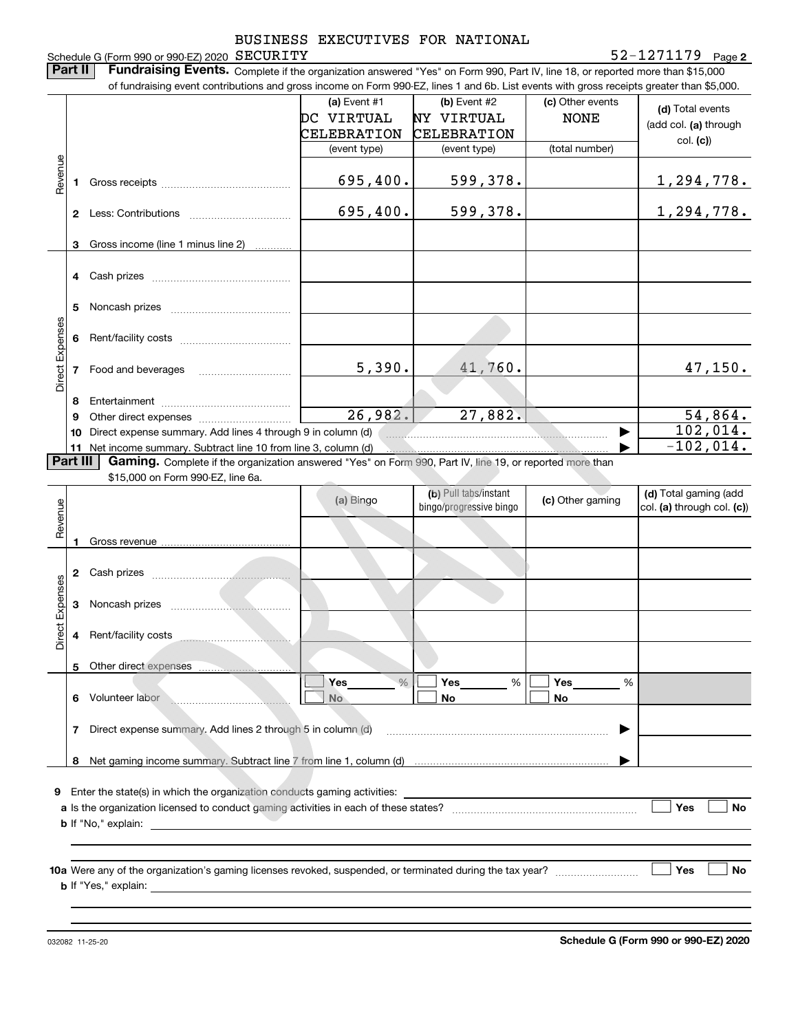BUSINESS EXECUTIVES FOR NATIONAL Schedule G (Form 990 or 990-EZ) 2020 SECURITY **2**SECURITY 52-1271179 **Part II Fundraising Events.** Complete if the organization answered "Yes" on Form 990, Part IV, line 18, or reported more than \$15,000<br>15.000 of fundraising event contributions and gross income on Form 990-EZ. lines 1 an of fundraising event contributions and gross income on Form 990-EZ, lines 1 and 6b. List events with gross receipts greater than \$5,000. **(a)** Event #1  $\vert$  **(b)** Event #2 (c) Other events **(d)**  Total events DC VIRTUAL NY VIRTUAL NONE (add col. **(a)** through CELEBRATION CELEBRATION col. **(c)**) (event type) (event type) (total number) Revenue Revenue 695,400. 599,378. 1,294,778. **1**Gross receipts ~~~~~~~~~~~~~~695,400. 599,378. 1,294,778. **2** Less: Contributions ................................ Gross income (line 1 minus line 2) **3**. . . . . . . . . . . . **4** Cash prizes \_\_\_\_\_\_\_\_\_\_\_\_\_\_\_\_\_\_\_\_\_\_\_\_\_\_\_\_\_\_\_\_ **5** Noncash prizes \_\_\_\_\_\_\_\_\_\_\_\_\_\_\_\_\_\_\_\_\_\_\_\_\_\_\_\_ Direct Expenses Direct Expenses **6**Rent/facility costs ~~~~~~~~~~~~ 41,760. 5,390. 47,150. **7**Food and beverages ~~~~~~~~~~**8**Entertainment ~~~~~~~~~~~~~~ Other direct expenses ~~~~~~~~~~ 26,982. 27,882. 54,864. **9**102,014.  $\blacktriangleright$ **10** Direct expense summary. Add lines 4 through 9 in column (d)  $-102,014$ . **Part III Gaming.** Complete if the organization answered "Yes" on Form 990, Part IV, line 19, or reported more than \$15,000 on Form 990-F7 line 6a. **11** Net income summary. Subtract line 10 from line 3, column (d) \$15,000 on Form 990-EZ, line 6a. **(b)**  Pull tabs/instant **(d)**  Total gaming (add **(a)**  Revenue Bingo **bingo** *bingo programing* **c**) Other gaming Revenue bingo/progressive bingo col. **(a)** through col. **(c)**) Gross revenue **12** Cash prizes \_\_\_\_\_\_\_\_\_\_\_\_\_\_\_\_\_\_\_\_\_\_\_\_\_\_\_\_\_\_\_\_ Direct Expenses Direct Expenses **3**Noncash prizes <sub>………………</sub>……………… Rent/facility costs **45**Other direct expenses  $\sqrt{2}$  Yes  $\sqrt{2}$  Yes  $\sqrt{2}$  Yes  $\sqrt{2}$  $\overline{\phantom{a}}$  $\frac{9}{6}$ **Yes Yes Yes**  $\%$   $\blacksquare$  Yes  $\%$   $\blacksquare$  Yes  $\%$  $\Box$  No  $\Box$  No  $\Box$ **Service 6** Volunteer labor **No No No** Volunteer labor ~~~~~~~~~~~~~**7**Direct expense summary. Add lines 2 through 5 in column (d) ~~~~~~~~~~~~~~~~~~~~~~~~ $\blacktriangleright$ 

**9**Enter the state(s) in which the organization conducts gaming activities:

**8** Net gaming income summary. Subtract line 7 from line 1, column (d)

| <b>a</b> Is the organization licensed to conduct gaming activities in each of these states? |  | Yes | No |
|---------------------------------------------------------------------------------------------|--|-----|----|
| ." explain:<br>b If "No."                                                                   |  |     |    |

**10a**Were any of the organization's gaming licenses revoked, suspended, or terminated during the tax year? **b** If "Yes," explain:

032082 11-25-20

…… ▶

**Yes**

 **No**

 $\overline{\phantom{a}}$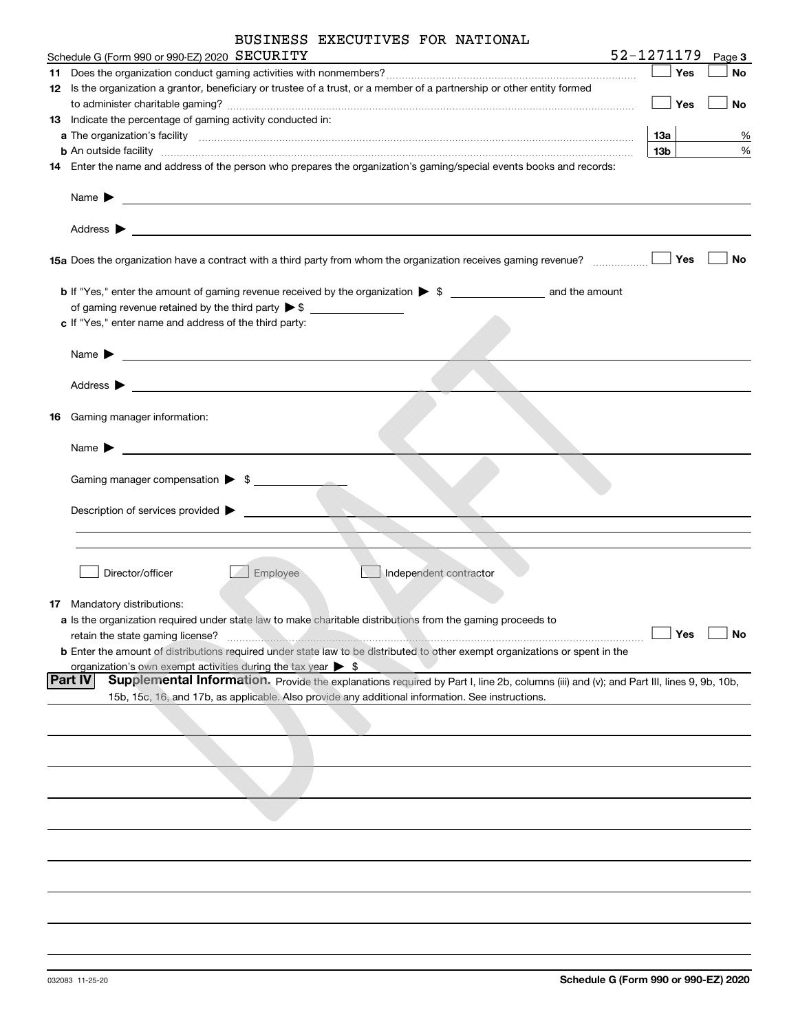| BUSINESS EXECUTIVES FOR NATIONAL |  |  |  |  |
|----------------------------------|--|--|--|--|
|----------------------------------|--|--|--|--|

| Schedule G (Form 990 or 990-EZ) 2020 SECURITY                                                                                                                                                                                                                                                                                                                     | 52-1271179     |     | Page 3    |
|-------------------------------------------------------------------------------------------------------------------------------------------------------------------------------------------------------------------------------------------------------------------------------------------------------------------------------------------------------------------|----------------|-----|-----------|
|                                                                                                                                                                                                                                                                                                                                                                   |                | Yes | <b>No</b> |
| 12 Is the organization a grantor, beneficiary or trustee of a trust, or a member of a partnership or other entity formed                                                                                                                                                                                                                                          |                |     |           |
|                                                                                                                                                                                                                                                                                                                                                                   |                | Yes | No        |
| 13 Indicate the percentage of gaming activity conducted in:                                                                                                                                                                                                                                                                                                       |                |     |           |
|                                                                                                                                                                                                                                                                                                                                                                   | 13a            |     | %         |
| <b>b</b> An outside facility <i>www.communicality contract and an executive contract and an executive contract and an executive contract and an executive contract and an executive contract and an executive contract and an executi</i><br>14 Enter the name and address of the person who prepares the organization's gaming/special events books and records: | 13b            |     | %         |
|                                                                                                                                                                                                                                                                                                                                                                   |                |     |           |
| Name $\blacktriangleright$<br><u> 1989 - Johann John Stone, meil in der Stone aus der Stone aus der Stone aus der Stone aus der Stone anderen S</u>                                                                                                                                                                                                               |                |     |           |
| Address $\blacktriangleright$                                                                                                                                                                                                                                                                                                                                     |                |     |           |
| 15a Does the organization have a contract with a third party from whom the organization receives gaming revenue?                                                                                                                                                                                                                                                  |                | Yes | No        |
|                                                                                                                                                                                                                                                                                                                                                                   |                |     |           |
|                                                                                                                                                                                                                                                                                                                                                                   |                |     |           |
| c If "Yes," enter name and address of the third party:                                                                                                                                                                                                                                                                                                            |                |     |           |
|                                                                                                                                                                                                                                                                                                                                                                   |                |     |           |
| Name $\blacktriangleright$<br><u> 1989 - Johann Stein, fransk politiker (d. 1989)</u>                                                                                                                                                                                                                                                                             |                |     |           |
| Address $\blacktriangleright$                                                                                                                                                                                                                                                                                                                                     |                |     |           |
| <u> 1980 - Johann John Stone, markin fan it fjort fan it fjort fan it fjort fan it fjort fan it fjort fan it fjort fan it fjort fan it fjort fan it fjort fan it fjort fan it fjort fan it fjort fan it fjort fan it fjort fan i</u>                                                                                                                              |                |     |           |
| 16 Gaming manager information:                                                                                                                                                                                                                                                                                                                                    |                |     |           |
|                                                                                                                                                                                                                                                                                                                                                                   |                |     |           |
| Name $\blacktriangleright$<br><u> 1989 - Jan Stein, amerikansk politiker (</u>                                                                                                                                                                                                                                                                                    |                |     |           |
|                                                                                                                                                                                                                                                                                                                                                                   |                |     |           |
| Gaming manager compensation > \$                                                                                                                                                                                                                                                                                                                                  |                |     |           |
|                                                                                                                                                                                                                                                                                                                                                                   |                |     |           |
| Description of services provided >                                                                                                                                                                                                                                                                                                                                |                |     |           |
|                                                                                                                                                                                                                                                                                                                                                                   |                |     |           |
|                                                                                                                                                                                                                                                                                                                                                                   |                |     |           |
| Director/officer<br>Employee<br>Independent contractor                                                                                                                                                                                                                                                                                                            |                |     |           |
|                                                                                                                                                                                                                                                                                                                                                                   |                |     |           |
| 17 Mandatory distributions:                                                                                                                                                                                                                                                                                                                                       |                |     |           |
| a Is the organization required under state law to make charitable distributions from the gaming proceeds to                                                                                                                                                                                                                                                       |                |     |           |
| retain the state gaming license?                                                                                                                                                                                                                                                                                                                                  | $\sqrt{ }$ Yes |     | $\Box$ No |
| <b>b</b> Enter the amount of distributions required under state law to be distributed to other exempt organizations or spent in the<br>organization's own exempt activities during the tax year $\triangleright$ \$                                                                                                                                               |                |     |           |
| Supplemental Information. Provide the explanations required by Part I, line 2b, columns (iii) and (v); and Part III, lines 9, 9b, 10b,<br> Part IV                                                                                                                                                                                                                |                |     |           |
| 15b, 15c, 16, and 17b, as applicable. Also provide any additional information. See instructions.                                                                                                                                                                                                                                                                  |                |     |           |
|                                                                                                                                                                                                                                                                                                                                                                   |                |     |           |
|                                                                                                                                                                                                                                                                                                                                                                   |                |     |           |
|                                                                                                                                                                                                                                                                                                                                                                   |                |     |           |
|                                                                                                                                                                                                                                                                                                                                                                   |                |     |           |
|                                                                                                                                                                                                                                                                                                                                                                   |                |     |           |
|                                                                                                                                                                                                                                                                                                                                                                   |                |     |           |
|                                                                                                                                                                                                                                                                                                                                                                   |                |     |           |
|                                                                                                                                                                                                                                                                                                                                                                   |                |     |           |
|                                                                                                                                                                                                                                                                                                                                                                   |                |     |           |
|                                                                                                                                                                                                                                                                                                                                                                   |                |     |           |
|                                                                                                                                                                                                                                                                                                                                                                   |                |     |           |
|                                                                                                                                                                                                                                                                                                                                                                   |                |     |           |
|                                                                                                                                                                                                                                                                                                                                                                   |                |     |           |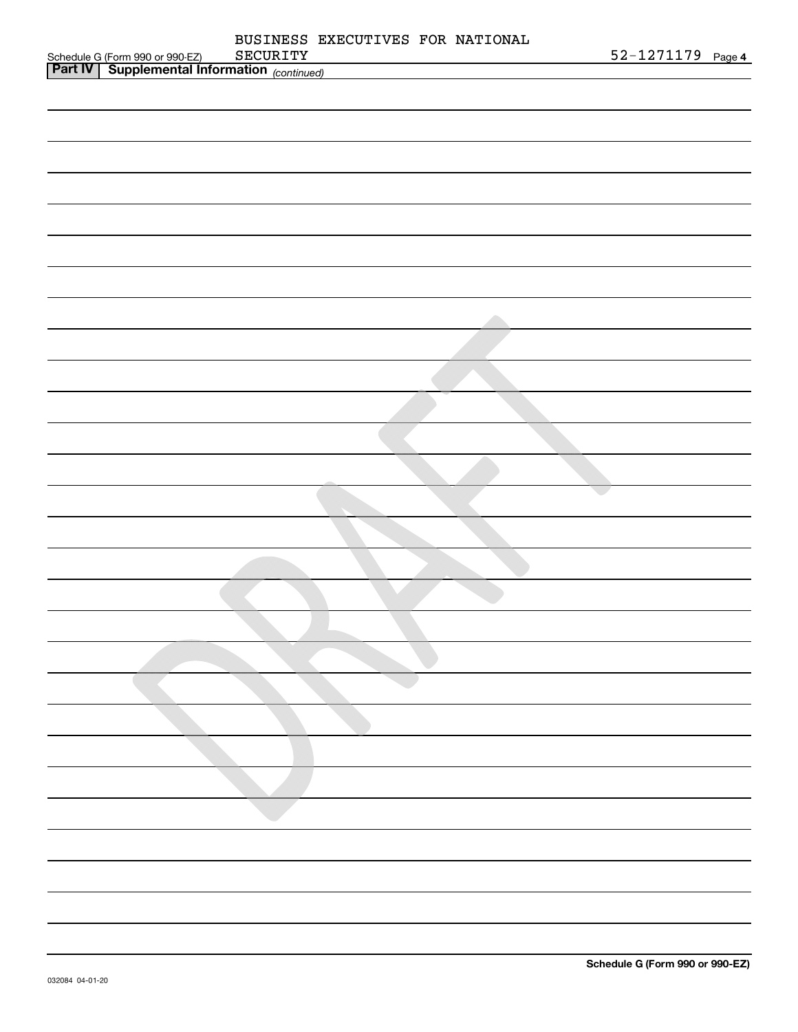|                                                                                                 |  | BUSINESS EXECUTIVES FOR NATIONAL |                   |  |
|-------------------------------------------------------------------------------------------------|--|----------------------------------|-------------------|--|
| Schedule G (Form 990 or 990-EZ) SECURITY<br><b>Part IV</b> Supplemental Information (continued) |  |                                  | 52-1271179 Page 4 |  |
|                                                                                                 |  |                                  |                   |  |
|                                                                                                 |  |                                  |                   |  |
|                                                                                                 |  |                                  |                   |  |
|                                                                                                 |  |                                  |                   |  |
|                                                                                                 |  |                                  |                   |  |
|                                                                                                 |  |                                  |                   |  |
|                                                                                                 |  |                                  |                   |  |
|                                                                                                 |  |                                  |                   |  |
|                                                                                                 |  |                                  |                   |  |
|                                                                                                 |  |                                  |                   |  |
|                                                                                                 |  |                                  |                   |  |
|                                                                                                 |  |                                  |                   |  |
|                                                                                                 |  |                                  |                   |  |
|                                                                                                 |  |                                  |                   |  |
|                                                                                                 |  |                                  |                   |  |
|                                                                                                 |  |                                  |                   |  |
|                                                                                                 |  |                                  |                   |  |
|                                                                                                 |  |                                  |                   |  |
|                                                                                                 |  |                                  |                   |  |
|                                                                                                 |  |                                  |                   |  |
|                                                                                                 |  |                                  |                   |  |
|                                                                                                 |  |                                  |                   |  |
|                                                                                                 |  |                                  |                   |  |
|                                                                                                 |  |                                  |                   |  |
|                                                                                                 |  |                                  |                   |  |
|                                                                                                 |  |                                  |                   |  |
|                                                                                                 |  |                                  |                   |  |
|                                                                                                 |  |                                  |                   |  |
|                                                                                                 |  |                                  |                   |  |
|                                                                                                 |  |                                  |                   |  |
|                                                                                                 |  |                                  |                   |  |
|                                                                                                 |  |                                  |                   |  |
|                                                                                                 |  |                                  |                   |  |
|                                                                                                 |  |                                  |                   |  |
|                                                                                                 |  |                                  |                   |  |
|                                                                                                 |  |                                  |                   |  |
|                                                                                                 |  |                                  |                   |  |
|                                                                                                 |  |                                  |                   |  |
|                                                                                                 |  |                                  |                   |  |
|                                                                                                 |  |                                  |                   |  |
|                                                                                                 |  |                                  |                   |  |
|                                                                                                 |  |                                  |                   |  |
|                                                                                                 |  |                                  |                   |  |
|                                                                                                 |  |                                  |                   |  |
|                                                                                                 |  |                                  |                   |  |
|                                                                                                 |  |                                  |                   |  |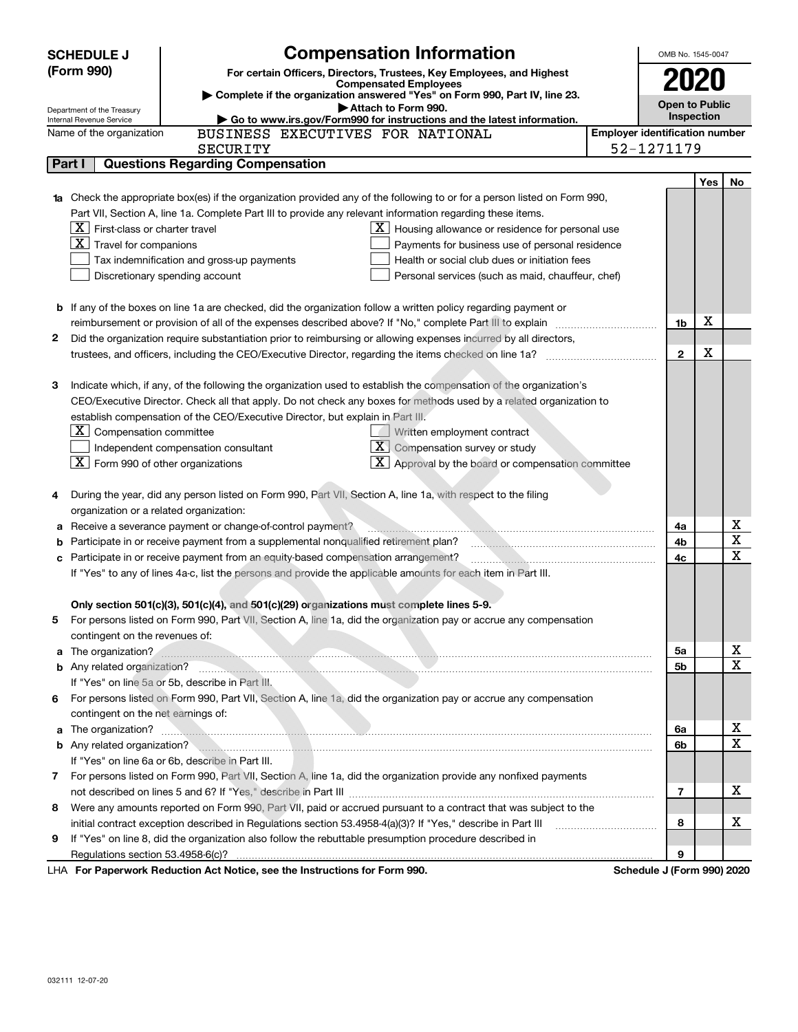| <b>SCHEDULE J</b>                                                                                                               |                                                   | <b>Compensation Information</b>                                                                                                                                                                                                     |                                       | OMB No. 1545-0047          |     |             |
|---------------------------------------------------------------------------------------------------------------------------------|---------------------------------------------------|-------------------------------------------------------------------------------------------------------------------------------------------------------------------------------------------------------------------------------------|---------------------------------------|----------------------------|-----|-------------|
| (Form 990)                                                                                                                      |                                                   | For certain Officers, Directors, Trustees, Key Employees, and Highest                                                                                                                                                               |                                       |                            |     |             |
|                                                                                                                                 |                                                   | <b>Compensated Employees</b>                                                                                                                                                                                                        |                                       | 2020                       |     |             |
| Complete if the organization answered "Yes" on Form 990, Part IV, line 23.<br>Attach to Form 990.<br>Department of the Treasury |                                                   |                                                                                                                                                                                                                                     |                                       | <b>Open to Public</b>      |     |             |
|                                                                                                                                 | Internal Revenue Service                          | Go to www.irs.gov/Form990 for instructions and the latest information.                                                                                                                                                              |                                       | <b>Inspection</b>          |     |             |
|                                                                                                                                 | Name of the organization                          | BUSINESS EXECUTIVES FOR NATIONAL                                                                                                                                                                                                    | <b>Employer identification number</b> |                            |     |             |
|                                                                                                                                 |                                                   | <b>SECURITY</b>                                                                                                                                                                                                                     |                                       | 52-1271179                 |     |             |
|                                                                                                                                 | Part I                                            | <b>Questions Regarding Compensation</b>                                                                                                                                                                                             |                                       |                            |     |             |
|                                                                                                                                 |                                                   |                                                                                                                                                                                                                                     |                                       |                            | Yes | No          |
| 1a                                                                                                                              |                                                   | Check the appropriate box(es) if the organization provided any of the following to or for a person listed on Form 990,                                                                                                              |                                       |                            |     |             |
|                                                                                                                                 |                                                   | Part VII, Section A, line 1a. Complete Part III to provide any relevant information regarding these items.                                                                                                                          |                                       |                            |     |             |
|                                                                                                                                 | $\lfloor X \rfloor$ First-class or charter travel | $\lfloor \underline{X} \rfloor$ Housing allowance or residence for personal use                                                                                                                                                     |                                       |                            |     |             |
|                                                                                                                                 | $\boxed{\mathbf{X}}$ Travel for companions        | Payments for business use of personal residence                                                                                                                                                                                     |                                       |                            |     |             |
|                                                                                                                                 |                                                   | Health or social club dues or initiation fees<br>Tax indemnification and gross-up payments                                                                                                                                          |                                       |                            |     |             |
|                                                                                                                                 |                                                   | Discretionary spending account<br>Personal services (such as maid, chauffeur, chef)                                                                                                                                                 |                                       |                            |     |             |
|                                                                                                                                 |                                                   |                                                                                                                                                                                                                                     |                                       |                            |     |             |
|                                                                                                                                 |                                                   | <b>b</b> If any of the boxes on line 1a are checked, did the organization follow a written policy regarding payment or                                                                                                              |                                       |                            |     |             |
|                                                                                                                                 |                                                   |                                                                                                                                                                                                                                     |                                       | 1b                         | X   |             |
| 2                                                                                                                               |                                                   | Did the organization require substantiation prior to reimbursing or allowing expenses incurred by all directors,                                                                                                                    |                                       |                            |     |             |
|                                                                                                                                 |                                                   |                                                                                                                                                                                                                                     |                                       | $\mathbf{2}$               | X   |             |
|                                                                                                                                 |                                                   |                                                                                                                                                                                                                                     |                                       |                            |     |             |
| З                                                                                                                               |                                                   | Indicate which, if any, of the following the organization used to establish the compensation of the organization's                                                                                                                  |                                       |                            |     |             |
|                                                                                                                                 |                                                   | CEO/Executive Director. Check all that apply. Do not check any boxes for methods used by a related organization to                                                                                                                  |                                       |                            |     |             |
|                                                                                                                                 |                                                   | establish compensation of the CEO/Executive Director, but explain in Part III.                                                                                                                                                      |                                       |                            |     |             |
|                                                                                                                                 | $ \mathbf{X} $ Compensation committee             | Written employment contract                                                                                                                                                                                                         |                                       |                            |     |             |
|                                                                                                                                 |                                                   | $\boxed{\textbf{X}}$ Compensation survey or study<br>Independent compensation consultant                                                                                                                                            |                                       |                            |     |             |
|                                                                                                                                 | $ \mathbf{X} $ Form 990 of other organizations    | $\boxed{\textbf{X}}$ Approval by the board or compensation committee                                                                                                                                                                |                                       |                            |     |             |
|                                                                                                                                 |                                                   |                                                                                                                                                                                                                                     |                                       |                            |     |             |
| 4                                                                                                                               |                                                   | During the year, did any person listed on Form 990, Part VII, Section A, line 1a, with respect to the filing                                                                                                                        |                                       |                            |     |             |
|                                                                                                                                 | organization or a related organization:           |                                                                                                                                                                                                                                     |                                       |                            |     |             |
| а                                                                                                                               |                                                   | Receive a severance payment or change-of-control payment?                                                                                                                                                                           |                                       | 4a                         |     | х           |
| b                                                                                                                               |                                                   | Participate in or receive payment from a supplemental nonqualified retirement plan?                                                                                                                                                 |                                       | 4b                         |     | X           |
| с                                                                                                                               |                                                   | Participate in or receive payment from an equity-based compensation arrangement?                                                                                                                                                    |                                       | 4с                         |     | X           |
| If "Yes" to any of lines 4a-c, list the persons and provide the applicable amounts for each item in Part III.                   |                                                   |                                                                                                                                                                                                                                     |                                       |                            |     |             |
|                                                                                                                                 |                                                   |                                                                                                                                                                                                                                     |                                       |                            |     |             |
|                                                                                                                                 |                                                   | Only section 501(c)(3), 501(c)(4), and 501(c)(29) organizations must complete lines 5-9.                                                                                                                                            |                                       |                            |     |             |
|                                                                                                                                 |                                                   | For persons listed on Form 990, Part VII, Section A, line 1a, did the organization pay or accrue any compensation                                                                                                                   |                                       |                            |     |             |
|                                                                                                                                 | contingent on the revenues of:                    |                                                                                                                                                                                                                                     |                                       |                            |     |             |
|                                                                                                                                 |                                                   | a The organization?                                                                                                                                                                                                                 |                                       | 5a                         |     | х           |
|                                                                                                                                 |                                                   | b Any related organization? <b>Construction</b> and the construction of the construction of the construction of the construction of the construction of the construction of the construction of the construction of the constructio |                                       | 5b                         |     | X           |
|                                                                                                                                 |                                                   | If "Yes" on line 5a or 5b, describe in Part III.                                                                                                                                                                                    |                                       |                            |     |             |
| 6                                                                                                                               |                                                   | For persons listed on Form 990, Part VII, Section A, line 1a, did the organization pay or accrue any compensation                                                                                                                   |                                       |                            |     |             |
|                                                                                                                                 | contingent on the net earnings of:                |                                                                                                                                                                                                                                     |                                       |                            |     |             |
| a                                                                                                                               |                                                   | The organization? <b>Example 20</b> in the organization?                                                                                                                                                                            |                                       | 6a                         |     | х           |
|                                                                                                                                 |                                                   | b Any related organization?                                                                                                                                                                                                         |                                       | 6b                         |     | $\mathbf X$ |
|                                                                                                                                 |                                                   | If "Yes" on line 6a or 6b, describe in Part III.                                                                                                                                                                                    |                                       |                            |     |             |
|                                                                                                                                 |                                                   | 7 For persons listed on Form 990, Part VII, Section A, line 1a, did the organization provide any nonfixed payments                                                                                                                  |                                       |                            |     |             |
|                                                                                                                                 |                                                   |                                                                                                                                                                                                                                     |                                       | 7                          |     | х           |
| 8                                                                                                                               |                                                   | Were any amounts reported on Form 990, Part VII, paid or accrued pursuant to a contract that was subject to the                                                                                                                     |                                       |                            |     |             |
|                                                                                                                                 |                                                   | initial contract exception described in Regulations section 53.4958-4(a)(3)? If "Yes," describe in Part III                                                                                                                         |                                       | 8                          |     | х           |
| 9                                                                                                                               |                                                   | If "Yes" on line 8, did the organization also follow the rebuttable presumption procedure described in                                                                                                                              |                                       |                            |     |             |
|                                                                                                                                 |                                                   |                                                                                                                                                                                                                                     |                                       | 9                          |     |             |
|                                                                                                                                 |                                                   | LHA For Paperwork Reduction Act Notice, see the Instructions for Form 990.                                                                                                                                                          |                                       | Schedule J (Form 990) 2020 |     |             |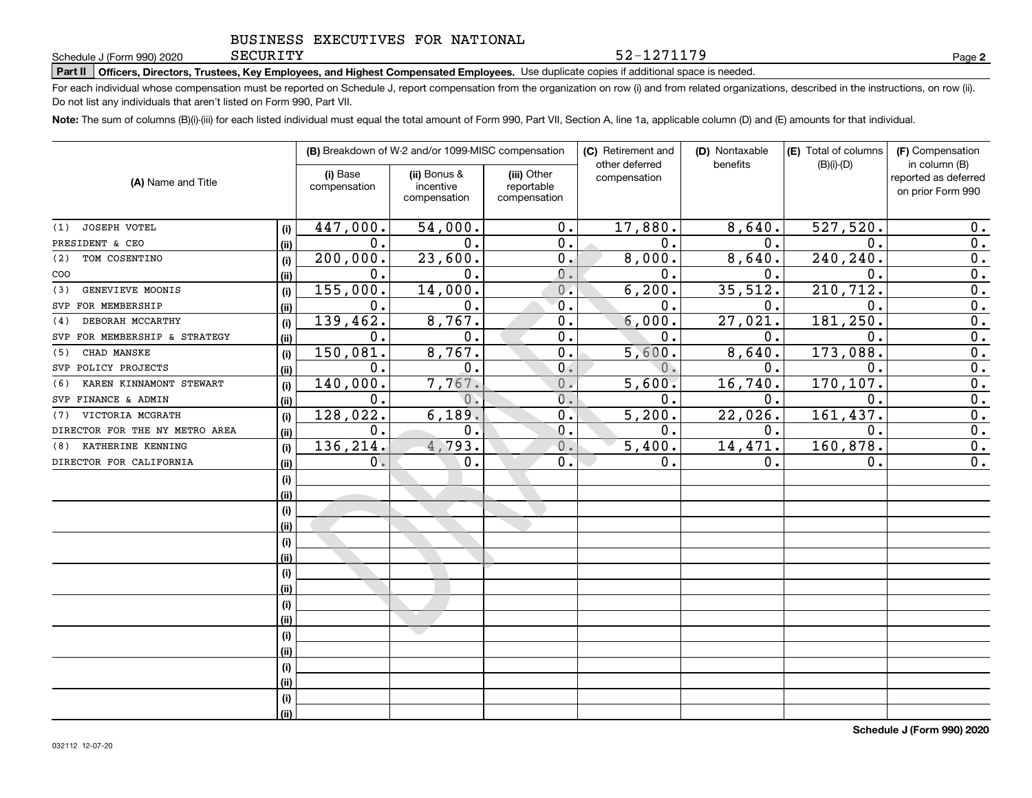SECURITY

**Part II Officers, Directors, Trustees, Key Employees, and Highest Compensated Employees.**  Schedule J (Form 990) 2020 Page Use duplicate copies if additional space is needed.

For each individual whose compensation must be reported on Schedule J, report compensation from the organization on row (i) and from related organizations, described in the instructions, on row (ii). Do not list any individuals that aren't listed on Form 990, Part VII.

**Note:**  The sum of columns (B)(i)-(iii) for each listed individual must equal the total amount of Form 990, Part VII, Section A, line 1a, applicable column (D) and (E) amounts for that individual.

|                                |      |                          | (B) Breakdown of W-2 and/or 1099-MISC compensation |                                           | (C) Retirement and<br>other deferred | (D) Nontaxable<br>benefits | (E) Total of columns | (F) Compensation<br>in column (B)         |  |
|--------------------------------|------|--------------------------|----------------------------------------------------|-------------------------------------------|--------------------------------------|----------------------------|----------------------|-------------------------------------------|--|
| (A) Name and Title             |      | (i) Base<br>compensation | (ii) Bonus &<br>incentive<br>compensation          | (iii) Other<br>reportable<br>compensation | compensation                         |                            | $(B)(i)-(D)$         | reported as deferred<br>on prior Form 990 |  |
| JOSEPH VOTEL<br>(1)            | (i)  | 447,000.                 | 54,000.                                            | 0.                                        | 17,880.                              | 8,640.                     | 527,520.             | 0.                                        |  |
| PRESIDENT & CEO                | (ii) | $\mathbf{0}$ .           | 0.                                                 | 0.                                        | $\mathbf 0$ .                        | $\mathbf{0}$ .             | $\mathbf 0$ .        | 0.                                        |  |
| TOM COSENTINO<br>(2)           | (i)  | 200,000.                 | 23,600.                                            | $0$ .                                     | 8,000.                               | 8,640.                     | 240,240.             | $\overline{0}$ .                          |  |
| COO                            | (ii) | $\mathbf{0}$ .           | 0.                                                 | $\mathbf 0$ .                             | $\mathbf 0$ .                        | 0.                         | 0.                   | $\overline{0}$ .                          |  |
| GENEVIEVE MOONIS<br>(3)        | (i)  | 155,000.                 | 14,000.                                            | 0.                                        | 6, 200.                              | 35,512.                    | 210, 712.            | $\overline{0}$ .                          |  |
| SVP FOR MEMBERSHIP             | (ii) | $\mathbf 0$ .            | $\mathbf 0$ .                                      | 0.                                        | 0.                                   | $\mathbf 0$ .              | 0.                   | $\overline{0}$ .                          |  |
| DEBORAH MCCARTHY<br>(4)        | (i)  | 139,462.                 | 8,767.                                             | 0.                                        | 6,000.                               | 27,021                     | 181,250.             | $\overline{0}$ .                          |  |
| SVP FOR MEMBERSHIP & STRATEGY  | (ii) | $\mathbf 0$ .            | 0.                                                 | 0.                                        | $\mathbf 0$ .                        | 0.                         | 0.                   | $\overline{0}$ .                          |  |
| CHAD MANSKE<br>(5)             | (i)  | 150,081.                 | 8,767.                                             | $0$ .                                     | 5,600.                               | 8,640                      | 173,088.             | $\overline{0}$ .                          |  |
| SVP POLICY PROJECTS            | (i)  | $\mathbf 0$ .            | $\mathbf 0$ .                                      | 0.                                        | $\overline{0}$ .                     | $\mathbf 0$ .              | 0.                   | $\overline{0}$ .                          |  |
| KAREN KINNAMONT STEWART<br>(6) | (i)  | 140,000.                 | 7,767.                                             | 0.                                        | 5,600.                               | 16,740.                    | 170, 107.            | $\overline{0}$ .                          |  |
| SVP FINANCE & ADMIN            | (ii) | 0.                       | 0.                                                 | 0.                                        | 0.                                   | $\mathbf 0$ .              | 0.                   | $\overline{\mathbf{0}}$ .                 |  |
| VICTORIA MCGRATH<br>(7)        | (i)  | 128,022.                 | 6,189.                                             | 0.                                        | 5,200.                               | 22,026.                    | 161, 437.            | $\overline{0}$ .                          |  |
| DIRECTOR FOR THE NY METRO AREA | (ii) | $\mathbf 0$ .            | 0.                                                 | 0.                                        | $\mathbf 0$ .                        | 0.                         | 0.                   | $\overline{0}$ .                          |  |
| KATHERINE KENNING<br>(8)       | (i)  | 136, 214.                | 4,793.                                             | $\overline{0}$ .                          | 5,400.                               | 14, 471.                   | 160,878.             | $\overline{0}$ .                          |  |
| DIRECTOR FOR CALIFORNIA        | (ii) | 0.                       | 0.                                                 | 0.                                        | 0.                                   | 0.                         | 0.                   | $\overline{0}$ .                          |  |
|                                | (i)  |                          |                                                    |                                           |                                      |                            |                      |                                           |  |
|                                | (ii) |                          |                                                    |                                           |                                      |                            |                      |                                           |  |
|                                | (i)  |                          |                                                    |                                           |                                      |                            |                      |                                           |  |
|                                | (ii) |                          |                                                    |                                           |                                      |                            |                      |                                           |  |
|                                | (i)  |                          |                                                    |                                           |                                      |                            |                      |                                           |  |
|                                | (ii) |                          |                                                    |                                           |                                      |                            |                      |                                           |  |
|                                | (i)  |                          |                                                    |                                           |                                      |                            |                      |                                           |  |
|                                | (ii) |                          |                                                    |                                           |                                      |                            |                      |                                           |  |
|                                | (i)  |                          |                                                    |                                           |                                      |                            |                      |                                           |  |
|                                | (i)  |                          |                                                    |                                           |                                      |                            |                      |                                           |  |
|                                | (i)  |                          | <b>Contract</b>                                    |                                           |                                      |                            |                      |                                           |  |
|                                | (i)  |                          |                                                    |                                           |                                      |                            |                      |                                           |  |
|                                | (i)  |                          |                                                    |                                           |                                      |                            |                      |                                           |  |
|                                | (i)  |                          |                                                    |                                           |                                      |                            |                      |                                           |  |
|                                | (i)  |                          |                                                    |                                           |                                      |                            |                      |                                           |  |
|                                | (ii) |                          |                                                    |                                           |                                      |                            |                      |                                           |  |

**2**

52-1271179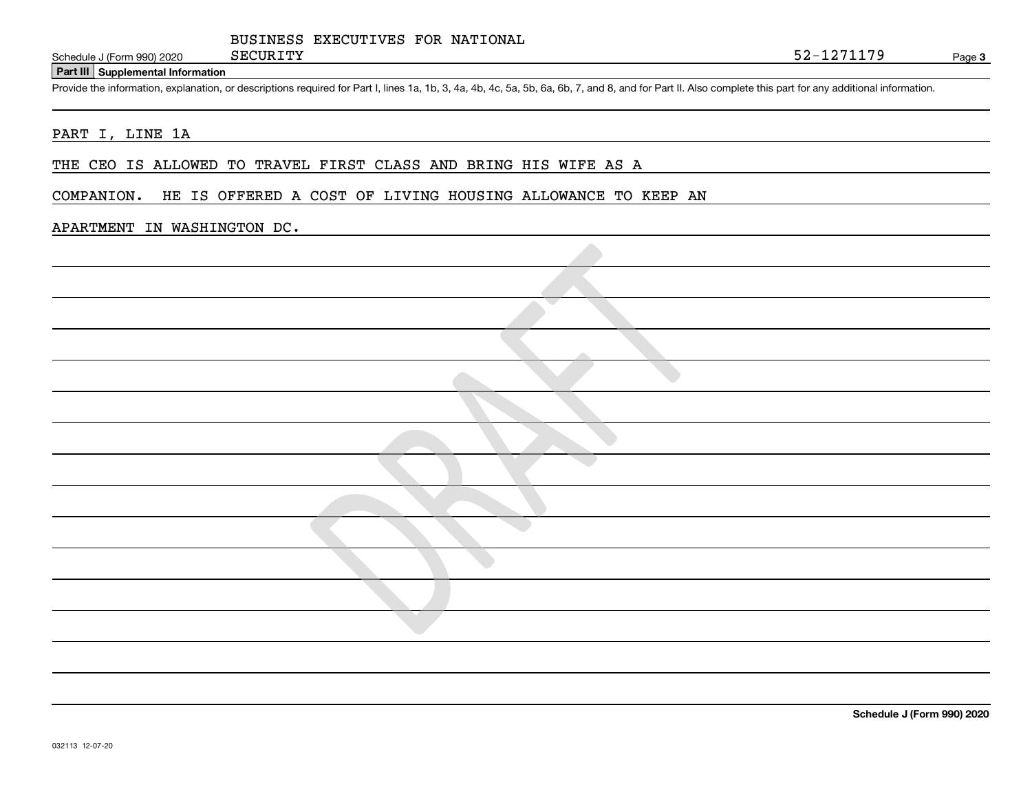#### **Part III Supplemental Information**

Schedule J (Form 990) 2020 SECURITY<br>
Part III Supplemental Information<br>
Provide the information, explanation, or descriptions required for Part I, lines 1a, 1b, 3, 4a, 4b, 4c, 5a, 5b, 6a, 6b, 7, and 8, and for Part II. Als

#### PART I, LINE 1A

THE CEO IS ALLOWED TO TRAVEL FIRST CLASS AND BRING HIS WIFE AS A

#### COMPANION. HE IS OFFERED A COST OF LIVING HOUSING ALLOWANCE TO KEEP AN

#### APARTMENT IN WASHINGTON DC.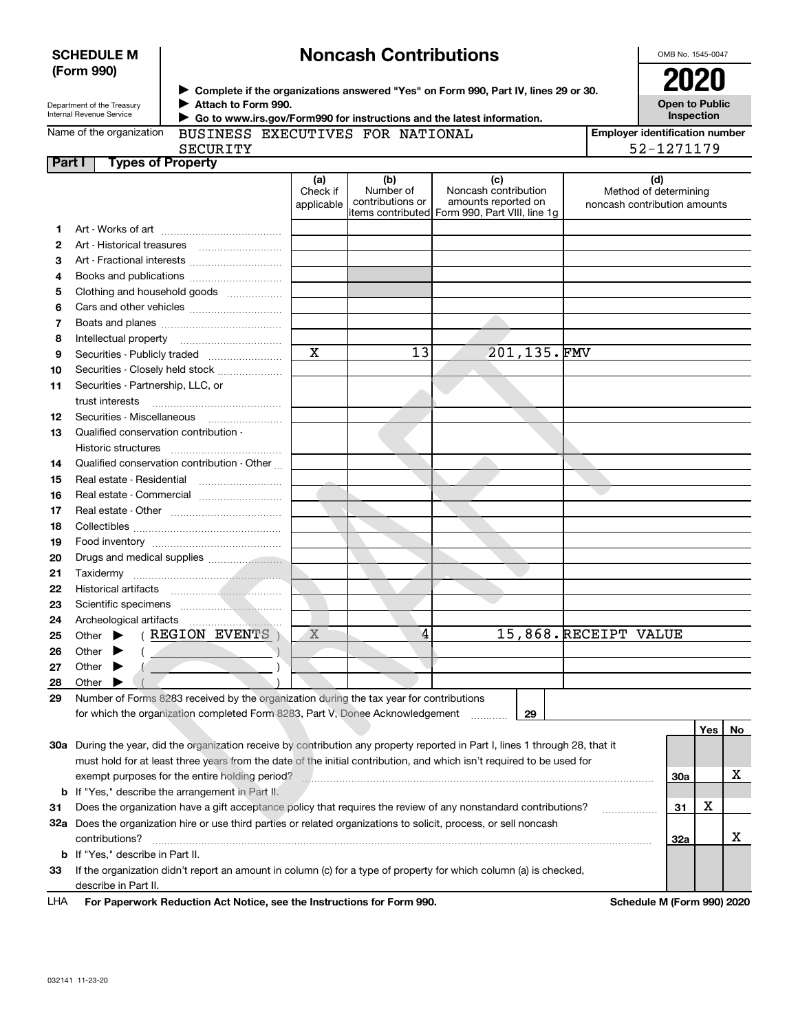|               | (Form 990)                                                   |                                                                                                  |                               |                                      | ▶ Complete if the organizations answered "Yes" on Form 990, Part IV, lines 29 or 30.                                           |                              | 2020                                  |     |    |
|---------------|--------------------------------------------------------------|--------------------------------------------------------------------------------------------------|-------------------------------|--------------------------------------|--------------------------------------------------------------------------------------------------------------------------------|------------------------------|---------------------------------------|-----|----|
|               | Department of the Treasury<br>Internal Revenue Service       | Attach to Form 990.                                                                              |                               |                                      | Go to www.irs.gov/Form990 for instructions and the latest information.                                                         |                              | <b>Open to Public</b><br>Inspection   |     |    |
|               | Name of the organization                                     | BUSINESS EXECUTIVES FOR NATIONAL                                                                 |                               |                                      |                                                                                                                                |                              | <b>Employer identification number</b> |     |    |
|               |                                                              | <b>SECURITY</b>                                                                                  |                               |                                      |                                                                                                                                |                              | 52-1271179                            |     |    |
| <b>Part I</b> |                                                              | <b>Types of Property</b>                                                                         |                               |                                      |                                                                                                                                |                              |                                       |     |    |
|               |                                                              |                                                                                                  | (a)<br>Check if<br>applicable | (b)<br>Number of<br>contributions or | (c)<br>Noncash contribution<br>amounts reported on<br>litems contributed Form 990, Part VIII, line 1g                          | noncash contribution amounts | (d)<br>Method of determining          |     |    |
| 1             |                                                              |                                                                                                  |                               |                                      |                                                                                                                                |                              |                                       |     |    |
| 2             |                                                              |                                                                                                  |                               |                                      |                                                                                                                                |                              |                                       |     |    |
| З             |                                                              | Art - Fractional interests                                                                       |                               |                                      |                                                                                                                                |                              |                                       |     |    |
| 4             |                                                              | Books and publications                                                                           |                               |                                      |                                                                                                                                |                              |                                       |     |    |
| 5             |                                                              | Clothing and household goods                                                                     |                               |                                      |                                                                                                                                |                              |                                       |     |    |
| 6             |                                                              |                                                                                                  |                               |                                      |                                                                                                                                |                              |                                       |     |    |
| 7             |                                                              |                                                                                                  |                               |                                      |                                                                                                                                |                              |                                       |     |    |
| 8             | Intellectual property                                        |                                                                                                  |                               |                                      |                                                                                                                                |                              |                                       |     |    |
| 9             |                                                              | Securities - Publicly traded                                                                     | X                             | 13                                   | 201,135.FMV                                                                                                                    |                              |                                       |     |    |
| 10            |                                                              | Securities - Closely held stock                                                                  |                               |                                      |                                                                                                                                |                              |                                       |     |    |
| 11            | Securities - Partnership, LLC, or                            |                                                                                                  |                               |                                      |                                                                                                                                |                              |                                       |     |    |
| 12            |                                                              |                                                                                                  |                               |                                      |                                                                                                                                |                              |                                       |     |    |
| 13            | Qualified conservation contribution -<br>Historic structures |                                                                                                  |                               |                                      |                                                                                                                                |                              |                                       |     |    |
| 14            |                                                              | Qualified conservation contribution - Other                                                      |                               |                                      |                                                                                                                                |                              |                                       |     |    |
| 15            | Real estate - Residential                                    |                                                                                                  |                               |                                      |                                                                                                                                |                              |                                       |     |    |
| 16            |                                                              | Real estate - Commercial                                                                         |                               |                                      |                                                                                                                                |                              |                                       |     |    |
| 17            |                                                              |                                                                                                  |                               |                                      |                                                                                                                                |                              |                                       |     |    |
| 18            |                                                              |                                                                                                  |                               |                                      |                                                                                                                                |                              |                                       |     |    |
| 19            |                                                              |                                                                                                  |                               |                                      |                                                                                                                                |                              |                                       |     |    |
| 20            |                                                              |                                                                                                  |                               |                                      |                                                                                                                                |                              |                                       |     |    |
| 21            |                                                              |                                                                                                  |                               |                                      |                                                                                                                                |                              |                                       |     |    |
| 22            |                                                              |                                                                                                  |                               |                                      |                                                                                                                                |                              |                                       |     |    |
| 23            |                                                              |                                                                                                  |                               |                                      |                                                                                                                                |                              |                                       |     |    |
| 24            | Archeological artifacts                                      |                                                                                                  |                               |                                      |                                                                                                                                |                              |                                       |     |    |
| 25            |                                                              | Other $\blacktriangleright$ ( REGION EVENTS                                                      | X                             | 4                                    |                                                                                                                                | 15,868. RECEIPT VALUE        |                                       |     |    |
| 26            | Other $\blacktriangleright$ (                                |                                                                                                  |                               |                                      |                                                                                                                                |                              |                                       |     |    |
| 27            | Other                                                        |                                                                                                  |                               |                                      |                                                                                                                                |                              |                                       |     |    |
| 28<br>29      | Other                                                        | Number of Forms 8283 received by the organization during the tax year for contributions          |                               |                                      |                                                                                                                                |                              |                                       |     |    |
|               |                                                              | for which the organization completed Form 8283, Part V, Donee Acknowledgement                    |                               |                                      | 29                                                                                                                             |                              |                                       |     |    |
|               |                                                              |                                                                                                  |                               |                                      |                                                                                                                                |                              |                                       | Yes | No |
|               |                                                              |                                                                                                  |                               |                                      | 30a During the year, did the organization receive by contribution any property reported in Part I, lines 1 through 28, that it |                              |                                       |     |    |
|               |                                                              |                                                                                                  |                               |                                      | must hold for at least three years from the date of the initial contribution, and which isn't required to be used for          |                              |                                       |     | х  |
| b             |                                                              | exempt purposes for the entire holding period?<br>If "Yes," describe the arrangement in Part II. |                               |                                      |                                                                                                                                |                              | 30a                                   |     |    |
| 31            |                                                              |                                                                                                  |                               |                                      | Does the organization have a gift acceptance policy that requires the review of any nonstandard contributions?                 |                              | 31                                    | х   |    |
| 32a           |                                                              |                                                                                                  |                               |                                      | Does the organization hire or use third parties or related organizations to solicit, process, or sell noncash                  |                              |                                       |     |    |
|               | contributions?                                               |                                                                                                  |                               |                                      |                                                                                                                                |                              | 32a                                   |     | x  |
| b             | If "Yes," describe in Part II.                               |                                                                                                  |                               |                                      |                                                                                                                                |                              |                                       |     |    |
| 33            | describe in Part II.                                         |                                                                                                  |                               |                                      | If the organization didn't report an amount in column (c) for a type of property for which column (a) is checked,              |                              |                                       |     |    |

# **Noncash Contributions**

OMB No. 1545-0047

**SCHEDULE M (Form 990)**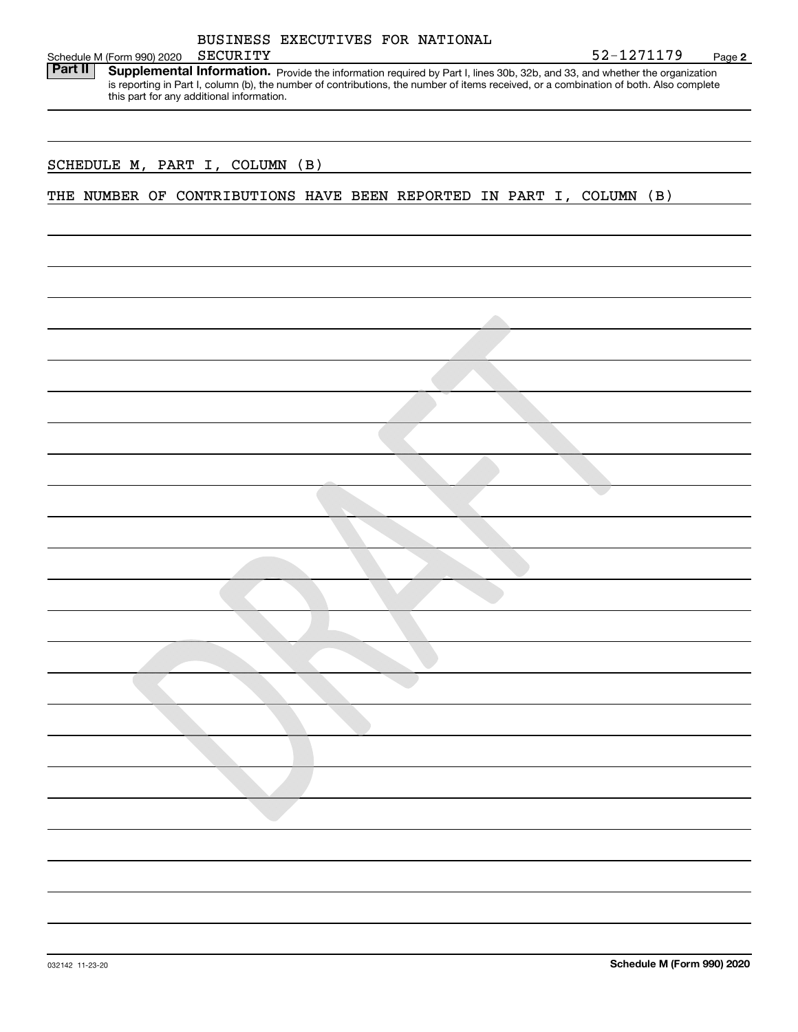| BUSINESS EXECUTIVES FOR NATIONAL                                                                                                                                                                                                                                                                                                    |            |        |  |  |  |  |
|-------------------------------------------------------------------------------------------------------------------------------------------------------------------------------------------------------------------------------------------------------------------------------------------------------------------------------------|------------|--------|--|--|--|--|
| SECURITY<br>Schedule M (Form 990) 2020                                                                                                                                                                                                                                                                                              | 52-1271179 | Page 2 |  |  |  |  |
| <b>Part II</b><br>Supplemental Information. Provide the information required by Part I, lines 30b, 32b, and 33, and whether the organization<br>is reporting in Part I, column (b), the number of contributions, the number of items received, or a combination of both. Also complete<br>this part for any additional information. |            |        |  |  |  |  |
| (B)<br>SCHEDULE M, PART I, COLUMN                                                                                                                                                                                                                                                                                                   |            |        |  |  |  |  |

THE NUMBER OF CONTRIBUTIONS HAVE BEEN REPORTED IN PART I, COLUMN (B)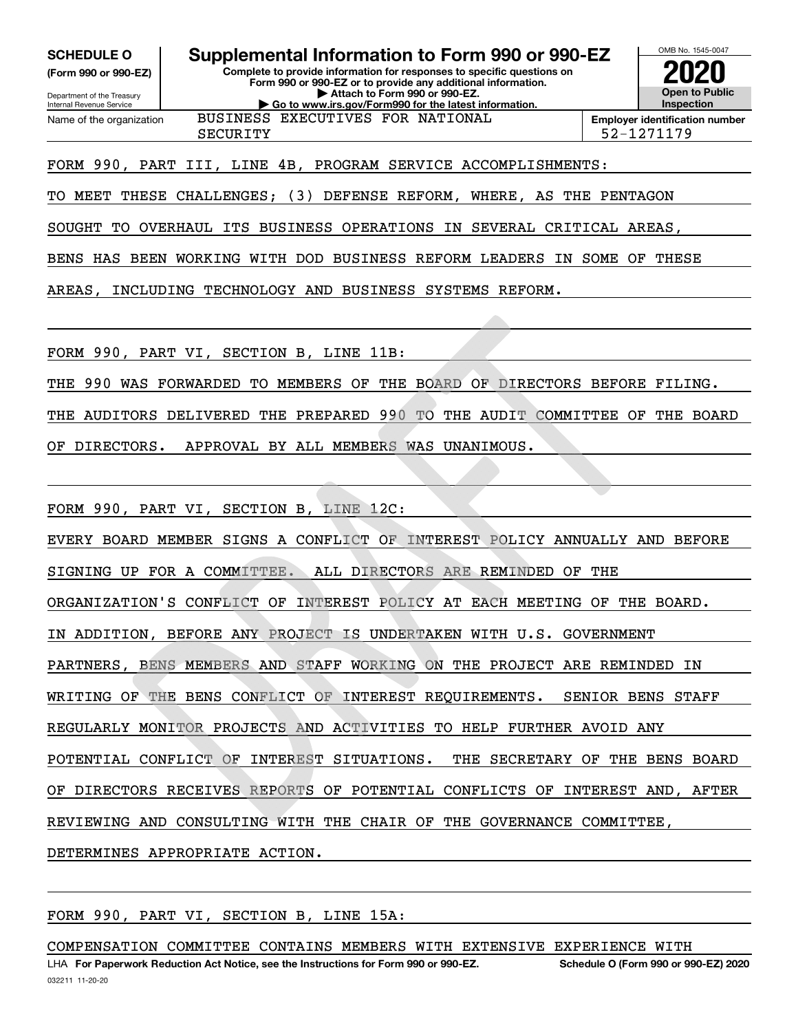**(Form 990 or 990-EZ)**

Department of the Treasury Internal Revenue Service Name of the organization

### **SCHEDULE O Supplemental Information to Form 990 or 990-EZ**

**Complete to provide information for responses to specific questions on**

**Form 990 or 990-EZ or to provide any additional information. | Attach to Form 990 or 990-EZ. | Go to www.irs.gov/Form990 for the latest information.** BUSINESS EXECUTIVES FOR NATIONAL



SECURITY 52-1271179

### FORM 990, PART III, LINE 4B, PROGRAM SERVICE ACCOMPLISHMENTS:

TO MEET THESE CHALLENGES; (3) DEFENSE REFORM, WHERE, AS THE PENTAGON

SOUGHT TO OVERHAUL ITS BUSINESS OPERATIONS IN SEVERAL CRITICAL AREAS,

BENS HAS BEEN WORKING WITH DOD BUSINESS REFORM LEADERS IN SOME OF THESE

AREAS, INCLUDING TECHNOLOGY AND BUSINESS SYSTEMS REFORM.

FORM 990, PART VI, SECTION B, LINE 11B:

THE 990 WAS FORWARDED TO MEMBERS OF THE BOARD OF DIRECTORS BEFORE FILING.

THE AUDITORS DELIVERED THE PREPARED 990 TO THE AUDIT COMMITTEE OF THE BOARD

OF DIRECTORS. APPROVAL BY ALL MEMBERS WAS UNANIMOUS.

FORM 990, PART VI, SECTION B, LINE 12C:

EVERY BOARD MEMBER SIGNS A CONFLICT OF INTEREST POLICY ANNUALLY AND BEFORE

SIGNING UP FOR A COMMITTEE. ALL DIRECTORS ARE REMINDED OF THE

ORGANIZATION'S CONFLICT OF INTEREST POLICY AT EACH MEETING OF THE BOARD.

IN ADDITION, BEFORE ANY PROJECT IS UNDERTAKEN WITH U.S. GOVERNMENT

PARTNERS, BENS MEMBERS AND STAFF WORKING ON THE PROJECT ARE REMINDED IN

WRITING OF THE BENS CONFLICT OF INTEREST REQUIREMENTS. SENIOR BENS STAFF

REGULARLY MONITOR PROJECTS AND ACTIVITIES TO HELP FURTHER AVOID ANY

POTENTIAL CONFLICT OF INTEREST SITUATIONS. THE SECRETARY OF THE BENS BOARD

OF DIRECTORS RECEIVES REPORTS OF POTENTIAL CONFLICTS OF INTEREST AND, AFTER

REVIEWING AND CONSULTING WITH THE CHAIR OF THE GOVERNANCE COMMITTEE,

DETERMINES APPROPRIATE ACTION.

FORM 990, PART VI, SECTION B, LINE 15A:

COMPENSATION COMMITTEE CONTAINS MEMBERS WITH EXTENSIVE EXPERIENCE WITH